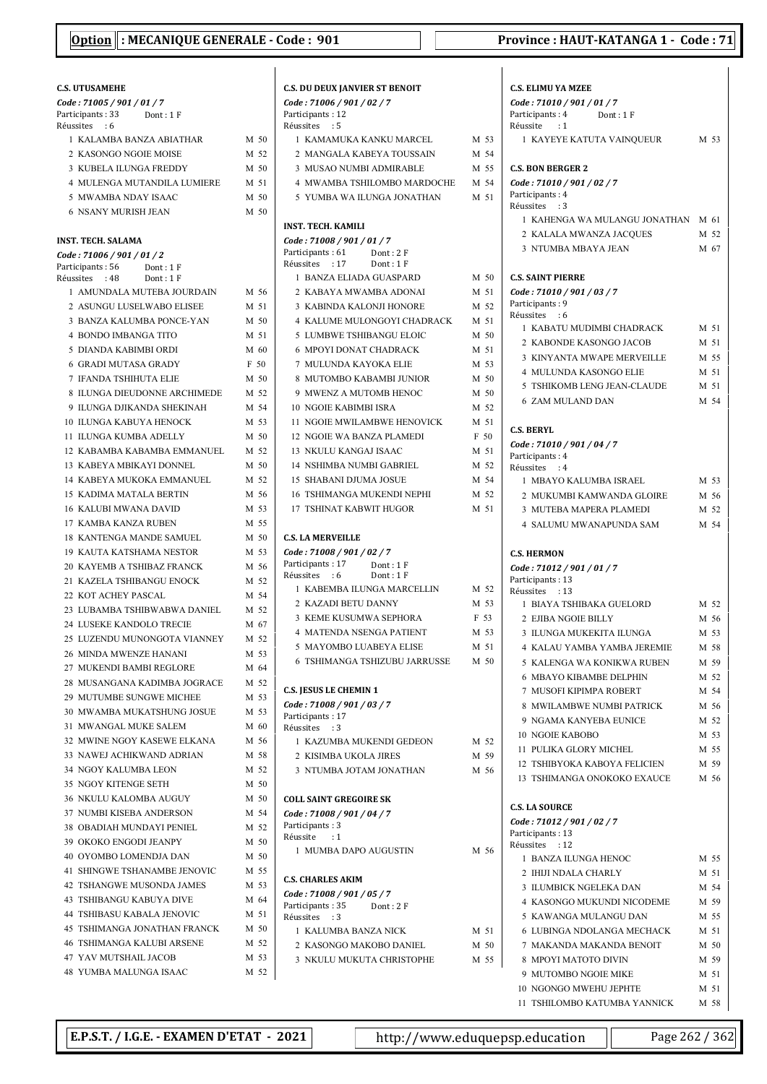### C.S. UTUSAMEHE Code : 71005 / 901 / 01 / 7 Participants: 33 Dont: 1 F Réussites : 6 1 KALAMBA BANZA ABIATHAR M 50 2 KASONGO NGOIE MOISE M 52 3 KUBELA ILUNGA FREDDY M 50 4 MULENGA MUTANDILA LUMIERE M 51 5 MWAMBA NDAY ISAAC M 50 6 NSANY MURISH JEAN M 50 INST. TECH. SALAMA Code : 71006 / 901 / 01 / 2 Participants: 56 Dont: 1 F<br>Réussites : 48 Dont: 1 F Réussites : 48 1 AMUNDALA MUTEBA JOURDAIN M 56 2 ASUNGU LUSELWABO ELISEE M 51 3 BANZA KALUMBA PONCE-YAN M 50 4 BONDO IMBANGA TITO M 51 5 DIANDA KABIMBI ORDI M 60 6 GRADI MUTASA GRADY F 50 7 IFANDA TSHIHUTA ELIE M 50 8 ILUNGA DIEUDONNE ARCHIMEDE M 52 9 ILUNGA DJIKANDA SHEKINAH M 54 10 ILUNGA KABUYA HENOCK M 53 11 ILUNGA KUMBA ADELLY M 50 12 KABAMBA KABAMBA EMMANUEL M 52 13 KABEYA MBIKAYI DONNEL M 50 14 KABEYA MUKOKA EMMANUEL M 52 15 KADIMA MATALA BERTIN M 56 16 KALUBI MWANA DAVID M 53 17 KAMBA KANZA RUBEN M 55 18 KANTENGA MANDE SAMUEL M 50 19 KAUTA KATSHAMA NESTOR M 53 20 KAYEMB A TSHIBAZ FRANCK M 56 21 KAZELA TSHIBANGU ENOCK M 52 22 KOT ACHEY PASCAL M 54 23 LUBAMBA TSHIBWABWA DANIEL M 52 24 LUSEKE KANDOLO TRECIE M 67 25 LUZENDU MUNONGOTA VIANNEY M 52 26 MINDA MWENZE HANANI M 53 27 MUKENDI BAMBI REGLORE M 64 28 MUSANGANA KADIMBA JOGRACE M 52 29 MUTUMBE SUNGWE MICHEE M 53 30 MWAMBA MUKATSHUNG JOSUE M 53 31 MWANGAL MUKE SALEM M 60 32 MWINE NGOY KASEWE ELKANA M 56 33 NAWEJ ACHIKWAND ADRIAN M 58 34 NGOY KALUMBA LEON M 52 35 NGOY KITENGE SETH M 50 36 NKULU KALOMBA AUGUY M 50 37 NUMBI KISEBA ANDERSON M 54 38 OBADIAH MUNDAYI PENIEL M 52 39 OKOKO ENGODI JEANPY M 50 40 OYOMBO LOMENDJA DAN M 50 41 SHINGWE TSHANAMBE JENOVIC M 55 42 TSHANGWE MUSONDA JAMES M 53 43 TSHIBANGU KABUYA DIVE M 64 44 TSHIBASU KABALA JENOVIC M 51 45 TSHIMANGA JONATHAN FRANCK M 50 46 TSHIMANGA KALUBI ARSENE M 52 47 YAV MUTSHAIL JACOB M 53 48 YUMBA MALUNGA ISAAC M 52

| <b>C.S. DU DEUX JANVIER ST BENOIT</b>                       |              |
|-------------------------------------------------------------|--------------|
| Code: 71006 / 901 / 02 / 7                                  |              |
| Participants: 12<br>Réussites<br>: 5                        |              |
| 1  KAMAMUKA KANKU MARCEL                                    | M 53         |
| 2 MANGALA KABEYA TOUSSAIN                                   | M 54         |
| 3 MUSAO NUMBI ADMIRABLE                                     | M 55         |
| 4 MWAMBA TSHILOMBO MARDOCHE                                 | M 54         |
| 5 YUMBA WA ILUNGA JONATHAN                                  | M 51         |
| <b>INST. TECH. KAMILI</b>                                   |              |
| Code: 71008 / 901 / 01 / 7                                  |              |
| Participants: 61<br>Dont : 2 F                              |              |
| Réussites : 17<br>Dont: 1F                                  |              |
| 1 BANZA ELIADA GUASPARD                                     | M 50         |
| 2 KABAYA MWAMBA ADONAI                                      | M 51         |
| 3 KABINDA KALONJI HONORE                                    | M 52         |
| <b>4 KALUME MULONGOYI CHADRACK</b>                          | M 51         |
| 5 LUMBWE TSHIBANGU ELOIC<br><b>6 MPOYI DONAT CHADRACK</b>   | M 50<br>M 51 |
|                                                             |              |
| 7 MULUNDA KAYOKA ELIE                                       | M 53         |
| 8 MUTOMBO KABAMBI JUNIOR<br>9 MWENZ A MUTOMB HENOC          | M 50<br>M 50 |
|                                                             |              |
| <b>10 NGOIE KABIMBI ISRA</b><br>11 NGOIE MWILAMBWE HENOVICK | M 52         |
| 12 NGOIE WA BANZA PLAMEDI                                   | M 51         |
|                                                             | F 50         |
| 13 NKULU KANGAJ ISAAC                                       | M 51         |
| 14 NSHIMBA NUMBI GABRIEL                                    | M 52         |
| 15 SHABANI DJUMA JOSUE<br>16 TSHIMANGA MUKENDI NEPHI        | M 54         |
|                                                             | M 52         |
| <b>17 TSHINAT KABWIT HUGOR</b>                              | M 51         |
| <b>C.S. LA MERVEILLE</b>                                    |              |
| Code: 71008 / 901 / 02 / 7<br>Participants: 17 Dont: 1 F    |              |
| Réussites : 6<br>Dont: 1 F                                  |              |
| 1 KABEMBA ILUNGA MARCELLIN                                  | M 52         |
| 2 KAZADI BETU DANNY                                         | M 53         |
| <b>3 KEME KUSUMWA SEPHORA</b>                               | F 53         |
| <b>4 MATENDA NSENGA PATIENT</b>                             | M 53         |
| 5 MAYOMBO LUABEYA ELISE                                     | M 51         |
| 6 TSHIMANGA TSHIZUBU JARRUSSE                               | M 50         |
| <b>C.S. JESUS LE CHEMIN 1</b>                               |              |
| Code: 71008 / 901 / 03 / 7                                  |              |
| Participants: 17                                            |              |
| Réussites : 3                                               |              |
| 1 KAZUMBA MUKENDI GEDEON                                    | M 52         |
| 2 KISIMBA UKOLA JIRES                                       | M 59         |
| 3 NTUMBA JOTAM JONATHAN                                     | M 56         |
| <b>COLL SAINT GREGOIRE SK</b>                               |              |
| Code: 71008 / 901 / 04 / 7                                  |              |
| Participants: 3                                             |              |
| Réussite : 1<br>1 MUMBA DAPO AUGUSTIN                       | M 56         |
|                                                             |              |
| <b>C.S. CHARLES AKIM</b>                                    |              |
| Code: 71008 / 901 / 05 / 7                                  |              |
| Participants: 35<br>Dont : 2 F<br>Réussites : 3             |              |
| 1 KALUMBA BANZA NICK                                        | M 51         |
|                                                             | M 50         |
| 2 KASONGO MAKOBO DANIEL                                     |              |
| 3 NKULU MUKUTA CHRISTOPHE                                   | M 55         |

 $\overline{1}$ 

 $\mathbf{I}$ 

| <b>C.S. ELIMU YA MZEE</b>                              |              |
|--------------------------------------------------------|--------------|
| Code: 71010 / 901 / 01 / 7                             |              |
| Participants: 4<br>Dont : 1 F                          |              |
| Réussite : 1                                           |              |
| 1 KAYEYE KATUTA VAINQUEUR                              | M 53         |
|                                                        |              |
| <b>C.S. BON BERGER 2</b>                               |              |
| Code: 71010 / 901 / 02 / 7<br>Participants: 4          |              |
| Réussites<br>$\cdot$ 3                                 |              |
| 1 KAHENGA WA MULANGU JONATHAN                          | M 61         |
| 2 KALALA MWANZA JACOUES                                | M 52         |
| <b>3 NTUMBA MBAYA JEAN</b>                             | M 67         |
|                                                        |              |
| <b>C.S. SAINT PIERRE</b>                               |              |
| Code: 71010 / 901 / 03 / 7                             |              |
| Participants: 9                                        |              |
| Réussites : 6                                          |              |
| 1 KABATU MUDIMBI CHADRACK                              | M 51         |
| 2 KABONDE KASONGO JACOB                                | M 51         |
| 3 KINYANTA MWAPE MERVEILLE                             | M 55         |
| <b>4 MULUNDA KASONGO ELIE</b>                          | M 51         |
| 5 TSHIKOMB LENG JEAN-CLAUDE                            | M 51         |
| <b>6 ZAM MULAND DAN</b>                                | M 54         |
|                                                        |              |
| <b>C.S. BERYL</b>                                      |              |
| Code: 71010 / 901 / 04 / 7                             |              |
| Participants: 4                                        |              |
| Réussites : 4                                          |              |
| 1 MBAYO KALUMBA ISRAEL                                 | M 53         |
| 2 MUKUMBI KAMWANDA GLOIRE                              | M 56         |
| 3 MUTEBA MAPERA PLAMEDI                                | M 52         |
| <b>4 SALUMU MWANAPUNDA SAM</b>                         | M 54         |
|                                                        |              |
| <b>C.S. HERMON</b>                                     |              |
| Code: 71012 / 901 / 01 / 7                             |              |
| Participants: 13<br>Réussites : 13                     |              |
| 1 BIAYA TSHIBAKA GUELORD                               | M 52         |
| 2 EJIBA NGOIE BILLY                                    | M 56         |
| 3 ILUNGA MUKEKITA ILUNGA                               | M 53         |
| 4 KALAU YAMBA YAMBA JEREMIE                            | M 58         |
| 5 KALENGA WA KONIKWA RUBEN                             | M 59         |
| <b>6 MBAYO KIBAMBE DELPHIN</b>                         |              |
|                                                        |              |
| <b>7 MUSOFI KIPIMPA ROBERT</b>                         | M 52         |
|                                                        | M 54         |
| 8 MWILAMBWE NUMBI PATRICK                              | M 56         |
| 9 NGAMA KANYEBA EUNICE                                 | M 52         |
| 10 NGOIE KABOBO                                        | M 53         |
| 11 PULIKA GLORY MICHEL                                 | M 55         |
| 12 TSHIBYOKA KABOYA FELICIEN                           | M 59         |
| 13 TSHIMANGA ONOKOKO EXAUCE M 56                       |              |
|                                                        |              |
| <b>C.S. LA SOURCE</b>                                  |              |
| Code: 71012 / 901 / 02 / 7                             |              |
| Participants: 13<br>Réussites : 12                     |              |
| 1 BANZA ILUNGA HENOC                                   | M 55         |
| 2 IHIJI NDALA CHARLY                                   | M 51         |
| 3 ILUMBICK NGELEKA DAN                                 | M 54         |
|                                                        |              |
| 4 KASONGO MUKUNDI NICODEME                             | M 59         |
| 5 KAWANGA MULANGU DAN                                  | M 55         |
| 6 LUBINGA NDOLANGA MECHACK                             | M 51         |
| 7 MAKANDA MAKANDA BENOIT                               | M 50         |
| 8 MPOYI MATOTO DIVIN                                   | M 59         |
| 9 MUTOMBO NGOIE MIKE                                   | M 51         |
| 10 NGONGO MWEHU JEPHTE<br>11 TSHILOMBO KATUMBA YANNICK | M 51<br>M 58 |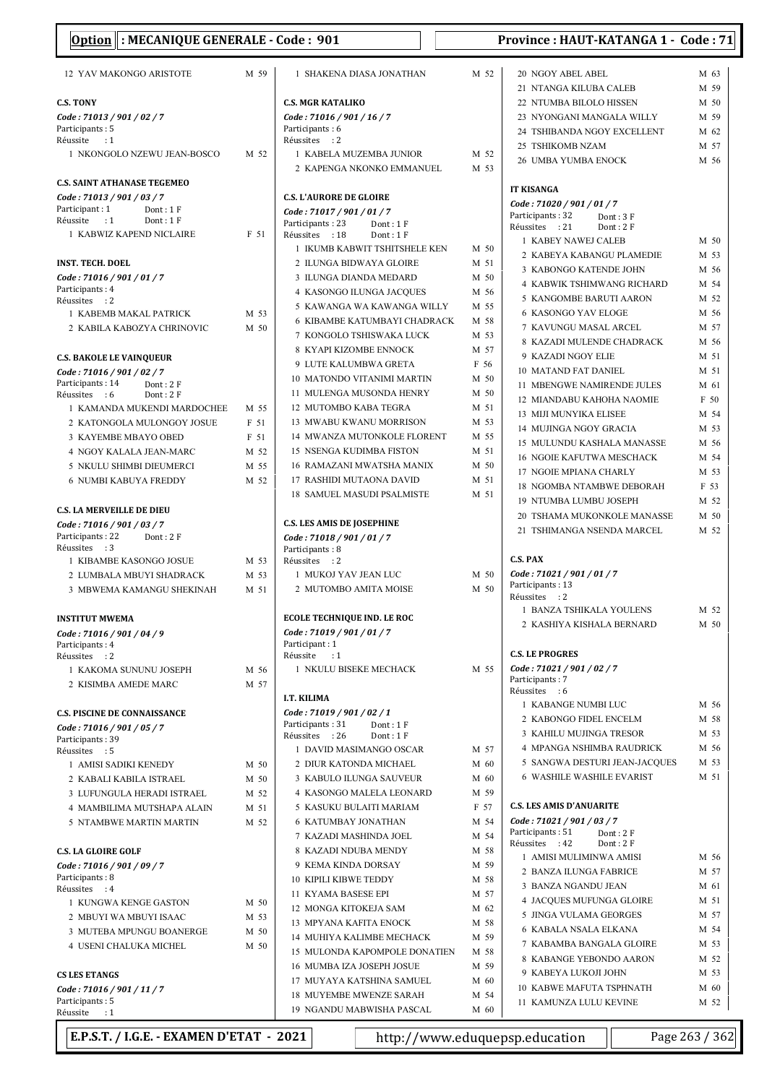| Option : MECANIQUE GENERALE - Code : 901                           |              |                                                            |              | Province: HAUT-KATANGA 1 - Code: 71                        |              |
|--------------------------------------------------------------------|--------------|------------------------------------------------------------|--------------|------------------------------------------------------------|--------------|
| 12 YAV MAKONGO ARISTOTE                                            | M 59         | 1 SHAKENA DIASA JONATHAN                                   | M 52         | 20 NGOY ABEL ABEL                                          | M 63         |
|                                                                    |              |                                                            |              | 21 NTANGA KILUBA CALEB                                     | M 59         |
| <b>C.S. TONY</b>                                                   |              | <b>C.S. MGR KATALIKO</b>                                   |              | 22 NTUMBA BILOLO HISSEN                                    | M 50         |
| Code: 71013 / 901 / 02 / 7                                         |              | Code: 71016 / 901 / 16 / 7                                 |              | 23 NYONGANI MANGALA WILLY                                  | M 59         |
| Participants: 5                                                    |              | Participants: 6                                            |              | 24 TSHIBANDA NGOY EXCELLENT                                | M 62         |
| Réussite<br>$\cdot$ 1                                              |              | Réussites : 2                                              |              | 25 TSHIKOMB NZAM                                           | M 57         |
| 1 NKONGOLO NZEWU JEAN-BOSCO                                        | M 52         | 1 KABELA MUZEMBA JUNIOR<br>2 KAPENGA NKONKO EMMANUEL       | M 52<br>M 53 | <b>26 UMBA YUMBA ENOCK</b>                                 | M 56         |
| <b>C.S. SAINT ATHANASE TEGEMEO</b>                                 |              |                                                            |              | <b>IT KISANGA</b>                                          |              |
| Code: 71013 / 901 / 03 / 7                                         |              | <b>C.S. L'AURORE DE GLOIRE</b>                             |              | Code: 71020 / 901 / 01 / 7                                 |              |
| Participant: 1<br>Dont: 1 F<br>$\cdot$ :1<br>Réussite<br>Dont: 1 F |              | Code: 71017 / 901 / 01 / 7                                 |              | Participants: 32<br>Dont: 3F                               |              |
| 1 KABWIZ KAPEND NICLAIRE                                           | F 51         | Participants: 23<br>Dont: 1F<br>Réussites : 18<br>Dont: 1F |              | Réussites : 21<br>Dont: 2F                                 |              |
|                                                                    |              | 1 IKUMB KABWIT TSHITSHELE KEN                              | M 50         | 1 KABEY NAWEJ CALEB                                        | M 50         |
| <b>INST. TECH. DOEL</b>                                            |              | 2 ILUNGA BIDWAYA GLOIRE                                    | M 51         | 2 KABEYA KABANGU PLAMEDIE                                  | M 53         |
| Code: 71016 / 901 / 01 / 7                                         |              | 3 ILUNGA DIANDA MEDARD                                     | M 50         | 3 KABONGO KATENDE JOHN                                     | M 56         |
| Participants: 4                                                    |              | <b>4 KASONGO ILUNGA JACOUES</b>                            | M 56         | <b>4 KABWIK TSHIMWANG RICHARD</b>                          | M 54         |
| Réussites : 2                                                      |              | 5 KAWANGA WA KAWANGA WILLY                                 | M 55         | 5 KANGOMBE BARUTI AARON                                    | M 52         |
| 1 KABEMB MAKAL PATRICK                                             | M 53         | <b>6 KIBAMBE KATUMBAYI CHADRACK</b>                        | M 58         | <b>6 KASONGO YAV ELOGE</b>                                 | M 56         |
| 2 KABILA KABOZYA CHRINOVIC                                         | M 50         | 7 KONGOLO TSHISWAKA LUCK                                   | M 53         | 7 KAVUNGU MASAL ARCEL                                      | M 57         |
|                                                                    |              | 8 KYAPI KIZOMBE ENNOCK                                     | M 57         | 8 KAZADI MULENDE CHADRACK                                  | M 56         |
| <b>C.S. BAKOLE LE VAINQUEUR</b>                                    |              | 9 LUTE KALUMBWA GRETA                                      | F 56         | 9 KAZADI NGOY ELIE                                         | M 51         |
| Code: 71016 / 901 / 02 / 7<br>Participants: 14<br>Dont: 2F         |              | 10 MATONDO VITANIMI MARTIN                                 | M 50         | 10 MATAND FAT DANIEL                                       | M 51         |
| Réussites : 6<br>Dont: 2F                                          |              | 11 MULENGA MUSONDA HENRY                                   | M 50         | 11 MBENGWE NAMIRENDE JULES                                 | M 61         |
| 1 KAMANDA MUKENDI MARDOCHEE                                        | M 55         | 12 MUTOMBO KABA TEGRA                                      | M 51         | 12 MIANDABU KAHOHA NAOMIE                                  | F 50         |
| 2 KATONGOLA MULONGOY JOSUE                                         | F 51         | 13 MWABU KWANU MORRISON                                    | M 53         | 13 MIJI MUNYIKA ELISEE                                     | M 54         |
| 3 KAYEMBE MBAYO OBED                                               | F 51         | 14 MWANZA MUTONKOLE FLORENT                                | M 55         | 14 MUJINGA NGOY GRACIA                                     | M 53         |
| 4 NGOY KALALA JEAN-MARC                                            | M 52         | 15 NSENGA KUDIMBA FISTON                                   | M 51         | 15 MULUNDU KASHALA MANASSE                                 | M 56         |
| 5 NKULU SHIMBI DIEUMERCI                                           | M 55         | 16 RAMAZANI MWATSHA MANIX                                  | M 50         | <b>16 NGOIE KAFUTWA MESCHACK</b>                           | M 54         |
| <b>6 NUMBI KABUYA FREDDY</b>                                       | M 52         | 17 RASHIDI MUTAONA DAVID                                   | M 51         | 17 NGOIE MPIANA CHARLY<br><b>18 NGOMBA NTAMBWE DEBORAH</b> | M 53<br>F 53 |
|                                                                    |              | <b>18 SAMUEL MASUDI PSALMISTE</b>                          | M 51         |                                                            | M 52         |
| <b>C.S. LA MERVEILLE DE DIEU</b>                                   |              |                                                            |              | 19 NTUMBA LUMBU JOSEPH<br>20 TSHAMA MUKONKOLE MANASSE      | M 50         |
| Code: 71016 / 901 / 03 / 7                                         |              | <b>C.S. LES AMIS DE JOSEPHINE</b>                          |              | 21 TSHIMANGA NSENDA MARCEL                                 | M 52         |
| Participants: 22<br>Dont: 2F                                       |              | Code: 71018 / 901 / 01 / 7                                 |              |                                                            |              |
| Réussites : 3                                                      | M 53         | Participants: 8<br>Réussites : 2                           |              | <b>C.S. PAX</b>                                            |              |
| 1 KIBAMBE KASONGO JOSUE<br>2 LUMBALA MBUYI SHADRACK                | M 53         | 1 MUKOJ YAV JEAN LUC                                       | M 50         | Code: 71021 / 901 / 01 / 7                                 |              |
| 3 MBWEMA KAMANGU SHEKINAH                                          | M 51         | 2 MUTOMBO AMITA MOISE                                      | M 50         | Participants: 13<br>Réussites : 2                          |              |
|                                                                    |              | <b>ECOLE TECHNIQUE IND. LE ROC</b>                         |              | 1 BANZA TSHIKALA YOULENS                                   | M 52         |
| <b>INSTITUT MWEMA</b>                                              |              | Code: 71019 / 901 / 01 / 7                                 |              | 2 KASHIYA KISHALA BERNARD                                  | M 50         |
| Code: 71016 / 901 / 04 / 9<br>Participants: 4                      |              | Participant: 1                                             |              |                                                            |              |
| Réussites : 2                                                      |              | Réussite<br>$\cdot$ :1                                     |              | <b>C.S. LE PROGRES</b>                                     |              |
| 1 KAKOMA SUNUNU JOSEPH                                             | M 56         | 1 NKULU BISEKE MECHACK                                     | M 55         | Code: 71021 / 901 / 02 / 7                                 |              |
| 2 KISIMBA AMEDE MARC                                               | M 57         | I.T. KILIMA                                                |              | Participants: 7<br>Réussites : 6                           |              |
| <b>C.S. PISCINE DE CONNAISSANCE</b>                                |              | Code: 71019 / 901 / 02 / 1                                 |              | 1 KABANGE NUMBI LUC                                        | M 56         |
|                                                                    |              | Participants: 31<br>Dont: $1 F$                            |              | 2 KABONGO FIDEL ENCELM                                     | M 58         |
| Code: 71016 / 901 / 05 / 7<br>Participants: 39                     |              | Réussites : 26<br>Dont: 1F                                 |              | 3 KAHILU MUJINGA TRESOR                                    | M 53         |
| Réussites : 5                                                      |              | 1 DAVID MASIMANGO OSCAR                                    | M 57         | 4 MPANGA NSHIMBA RAUDRICK                                  | M 56         |
| 1 AMISI SADIKI KENEDY                                              | M 50         | 2 DIUR KATONDA MICHAEL                                     | M 60         | 5 SANGWA DESTURI JEAN-JACOUES                              | M 53         |
| 2 KABALI KABILA ISTRAEL                                            | M 50         | 3 KABULO ILUNGA SAUVEUR                                    | M 60         | <b>6 WASHILE WASHILE EVARIST</b>                           | M 51         |
| 3 LUFUNGULA HERADI ISTRAEL                                         | M 52         | 4 KASONGO MALELA LEONARD                                   | M 59         |                                                            |              |
| 4 MAMBILIMA MUTSHAPA ALAIN                                         | M 51         | 5 KASUKU BULAITI MARIAM                                    | F 57         | <b>C.S. LES AMIS D'ANUARITE</b>                            |              |
| 5 NTAMBWE MARTIN MARTIN                                            | M 52         | <b>6 KATUMBAY JONATHAN</b>                                 | M 54         | Code: 71021 / 901 / 03 / 7                                 |              |
|                                                                    |              | 7 KAZADI MASHINDA JOEL                                     | M 54         | Participants: 51<br>Dont: 2F<br>Réussites : 42<br>Dont: 2F |              |
| <b>C.S. LA GLOIRE GOLF</b>                                         |              | 8 KAZADI NDUBA MENDY                                       | M 58         | 1 AMISI MULIMINWA AMISI                                    | M 56         |
| Code: 71016 / 901 / 09 / 7                                         |              | 9 KEMA KINDA DORSAY                                        | M 59         | 2 BANZA ILUNGA FABRICE                                     | M 57         |
| Participants: 8                                                    |              | <b>10 KIPILI KIBWE TEDDY</b>                               | M 58         | 3 BANZA NGANDU JEAN                                        | M 61         |
| Réussites : 4                                                      |              | 11 KYAMA BASESE EPI                                        | M 57         | 4 JACQUES MUFUNGA GLOIRE                                   | M 51         |
| 1 KUNGWA KENGE GASTON<br>2 MBUYI WA MBUYI ISAAC                    | M 50<br>M 53 | 12 MONGA KITOKEJA SAM                                      | M 62         | 5 JINGA VULAMA GEORGES                                     | M 57         |
|                                                                    | M 50         | 13 MPYANA KAFITA ENOCK                                     | M 58         | 6 KABALA NSALA ELKANA                                      | M 54         |
| 3 MUTEBA MPUNGU BOANERGE<br><b>4 USENI CHALUKA MICHEL</b>          | M 50         | 14 MUHIYA KALIMBE MECHACK                                  | M 59         | 7 KABAMBA BANGALA GLOIRE                                   | M 53         |
|                                                                    |              | 15 MULONDA KAPOMPOLE DONATIEN                              | M 58         | 8 KABANGE YEBONDO AARON                                    | M 52         |
| <b>CS LES ETANGS</b>                                               |              | 16 MUMBA IZA JOSEPH JOSUE                                  | M 59         | 9 KABEYA LUKOJI JOHN                                       | M 53         |
| Code: 71016 / 901 / 11 / 7                                         |              | 17 MUYAYA KATSHINA SAMUEL                                  | M 60         | 10 KABWE MAFUTA TSPHNATH                                   | M 60         |
| Participants: 5                                                    |              | <b>18 MUYEMBE MWENZE SARAH</b>                             | M 54         | 11 KAMUNZA LULU KEVINE                                     | M 52         |
| Réussite : 1                                                       |              | 19 NGANDU MABWISHA PASCAL                                  | M 60         |                                                            |              |

| M 52 | 20 NGOY ABEL ABEL                                         | M 63         |
|------|-----------------------------------------------------------|--------------|
|      | 21 NTANGA KILUBA CALEB                                    | M 59         |
|      | 22 NTUMBA BILOLO HISSEN                                   | M 50         |
|      | 23 NYONGANI MANGALA WILLY                                 | M 59         |
|      | 24 TSHIBANDA NGOY EXCELLENT                               | M 62         |
|      | 25 TSHIKOMB NZAM                                          | M 57         |
| M 52 | 26 UMBA YUMBA ENOCK                                       | M 56         |
| M 53 |                                                           |              |
|      | <b>IT KISANGA</b>                                         |              |
|      | Code: 71020 / 901 / 01 / 7                                |              |
|      | Participants: 32<br>Dont: 3F                              |              |
|      | Réussites<br>: 21<br>Dont: $2 F$                          |              |
| M 50 | 1 KABEY NAWEJ CALEB                                       | M 50         |
| M 51 | 2 KABEYA KABANGU PLAMEDIE                                 | M 53         |
|      | 3 KABONGO KATENDE JOHN                                    | M 56         |
| M 50 | <b>4 KABWIK TSHIMWANG RICHARD</b>                         | M 54         |
| M 56 | 5 KANGOMBE BARUTI AARON                                   | M 52         |
| M 55 | <b>6 KASONGO YAV ELOGE</b>                                | M 56         |
| M 58 | 7 KAVUNGU MASAL ARCEL                                     | M 57         |
| M 53 | 8 KAZADI MULENDE CHADRACK                                 | M 56         |
| M 57 | 9 KAZADI NGOY ELIE                                        | M 51         |
| F 56 | 10 MATAND FAT DANIEL                                      | M 51         |
| M 50 | 11 MBENGWE NAMIRENDE JULES                                | M 61         |
| M 50 | 12 MIANDABU KAHOHA NAOMIE                                 | F 50         |
| M 51 | 13 MIJI MUNYIKA ELISEE                                    | M 54         |
| M 53 | 14 MUJINGA NGOY GRACIA                                    | M 53         |
| M 55 | 15 MULUNDU KASHALA MANASSE                                | M 56         |
| M 51 | 16 NGOIE KAFUTWA MESCHACK                                 | M 54         |
| M 50 | 17 NGOIE MPIANA CHARLY                                    | M 53         |
| M 51 | 18 NGOMBA NTAMBWE DEBORAH                                 | F 53         |
| M 51 | 19 NTUMBA LUMBU JOSEPH                                    | M 52         |
|      | 20 TSHAMA MUKONKOLE MANASSE                               | M 50         |
|      | 21 TSHIMANGA NSENDA MARCEL                                | M 52         |
|      |                                                           |              |
|      | C.S. PAX                                                  |              |
| M 50 | Code : 71021 / 901 / 01 / 7                               |              |
| M 50 | Participants: 13                                          |              |
|      | Réussites : 2                                             |              |
|      |                                                           |              |
|      | 1 BANZA TSHIKALA YOULENS                                  | M 52         |
|      | 2 KASHIYA KISHALA BERNARD                                 | M 50         |
|      |                                                           |              |
|      | <b>C.S. LE PROGRES</b>                                    |              |
| M 55 | Code : 71021 / 901 / 02 / 7                               |              |
|      | Participants: 7                                           |              |
|      | Réussites<br>: 6<br>1 KABANGE NUMBI LUC                   | M 56         |
|      | 2 KABONGO FIDEL ENCELM                                    | M 58         |
|      | 3 KAHILU MUJINGA TRESOR                                   | M 53         |
| M 57 | <b>4 MPANGA NSHIMBA RAUDRICK</b>                          | M 56         |
| M 60 | 5 SANGWA DESTURI JEAN-JACQUES                             | M 53         |
| M 60 | <b>6 WASHILE WASHILE EVARIST</b>                          | M 51         |
| M 59 |                                                           |              |
| F 57 | <b>C.S. LES AMIS D'ANUARITE</b>                           |              |
| M 54 | Code: 71021 / 901 / 03 / 7                                |              |
| M 54 | Participants: 51<br>Dont: 2F                              |              |
| M 58 | Réussites<br>Dont: 2F<br>: 42                             |              |
| M 59 | 1 AMISI MULIMINWA AMISI                                   | M 56         |
| M 58 | 2 BANZA ILUNGA FABRICE                                    | M 57         |
| M 57 | 3 BANZA NGANDU JEAN                                       | M 61         |
| M 62 | 4 JACQUES MUFUNGA GLOIRE                                  | M 51         |
| M 58 | 5 JINGA VULAMA GEORGES                                    | M 57         |
| M 59 | <b>6 KABALA NSALA ELKANA</b>                              | M 54         |
| M 58 | 7 KABAMBA BANGALA GLOIRE                                  | M 53         |
| M 59 | 8 KABANGE YEBONDO AARON                                   | M 52         |
| M 60 | 9 KABEYA LUKOJI JOHN                                      | M 53         |
| M 54 | <b>10 KABWE MAFUTA TSPHNATH</b><br>11 KAMUNZA LULU KEVINE | M 60<br>M 52 |

E.P.S.T. / I.G.E. - EXAMEN D'ETAT - 2021 http://www.eduquepsp.education Page 263 / 362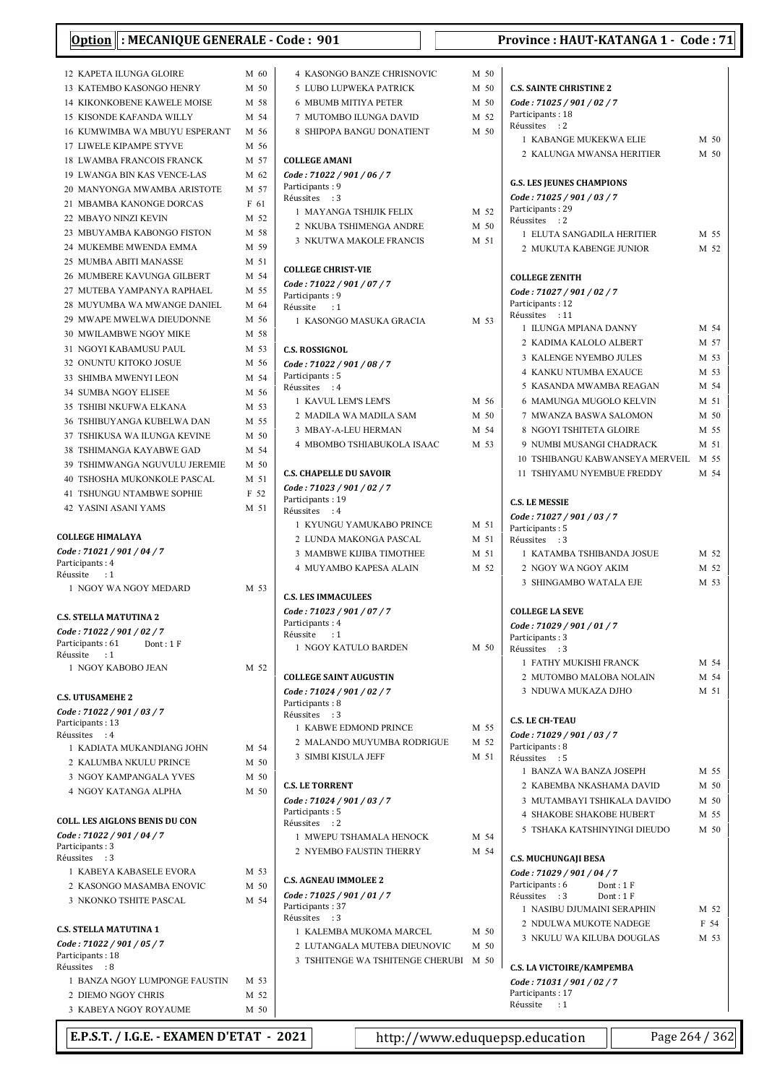| : MECANIQUE GENERALE - Code: 901<br><b>Option</b>  |              |                                               |      | Province: HAUT-KATANGA 1 - Code: 71                            |          |                |
|----------------------------------------------------|--------------|-----------------------------------------------|------|----------------------------------------------------------------|----------|----------------|
| 12 KAPETA ILUNGA GLOIRE                            | M 60         | 4 KASONGO BANZE CHRISNOVIC                    | M 50 |                                                                |          |                |
| <b>13 KATEMBO KASONGO HENRY</b>                    | M 50         | 5 LUBO LUPWEKA PATRICK                        | M 50 | <b>C.S. SAINTE CHRISTINE 2</b>                                 |          |                |
| <b>14 KIKONKOBENE KAWELE MOISE</b>                 | M 58         | <b>6 MBUMB MITIYA PETER</b>                   | M 50 | Code: 71025 / 901 / 02 / 7                                     |          |                |
| 15 KISONDE KAFANDA WILLY                           | M 54         | 7 MUTOMBO ILUNGA DAVID                        | M 52 | Participants: 18                                               |          |                |
| <b>16 KUMWIMBA WA MBUYU ESPERANT</b>               | M 56         | 8 SHIPOPA BANGU DONATIENT                     | M 50 | Réussites : 2                                                  |          |                |
| 17 LIWELE KIPAMPE STYVE                            | M 56         |                                               |      | 1 KABANGE MUKEKWA ELIE                                         |          | M 50           |
| <b>18 LWAMBA FRANCOIS FRANCK</b>                   | M 57         | <b>COLLEGE AMANI</b>                          |      | 2 KALUNGA MWANSA HERITIER                                      |          | M 50           |
| <b>19 LWANGA BIN KAS VENCE-LAS</b>                 | M 62         | Code: 71022 / 901 / 06 / 7                    |      |                                                                |          |                |
| 20 MANYONGA MWAMBA ARISTOTE                        | M 57         | Participants: 9                               |      | <b>G.S. LES JEUNES CHAMPIONS</b><br>Code: 71025 / 901 / 03 / 7 |          |                |
| 21 MBAMBA KANONGE DORCAS                           | F 61         | Réussites : 3<br>1 MAYANGA TSHIJIK FELIX      | M 52 | Participants: 29                                               |          |                |
| 22 MBAYO NINZI KEVIN                               | M 52         | 2 NKUBA TSHIMENGA ANDRE                       | M 50 | Réussites : 2                                                  |          |                |
| 23 MBUYAMBA KABONGO FISTON                         | M 58         | 3 NKUTWA MAKOLE FRANCIS                       | M 51 | 1 ELUTA SANGADILA HERITIER                                     |          | M 55           |
| 24 MUKEMBE MWENDA EMMA                             | M 59         |                                               |      | 2 MUKUTA KABENGE JUNIOR                                        |          | M 52           |
| 25 MUMBA ABITI MANASSE                             | M 51         | <b>COLLEGE CHRIST-VIE</b>                     |      |                                                                |          |                |
| 26 MUMBERE KAVUNGA GILBERT                         | M 54         | Code: 71022 / 901 / 07 / 7                    |      | <b>COLLEGE ZENITH</b>                                          |          |                |
| 27 MUTEBA YAMPANYA RAPHAEL                         | M 55         | Participants: 9                               |      | Code: 71027 / 901 / 02 / 7                                     |          |                |
| 28 MUYUMBA WA MWANGE DANIEL                        | M 64         | Réussite<br>$\cdot$ :1                        |      | Participants: 12<br>Réussites : 11                             |          |                |
| 29 MWAPE MWELWA DIEUDONNE                          | M 56         | 1 KASONGO MASUKA GRACIA                       | M 53 | 1 ILUNGA MPIANA DANNY                                          |          | M 54           |
| 30 MWILAMBWE NGOY MIKE                             | M 58         |                                               |      | 2 KADIMA KALOLO ALBERT                                         |          | M 57           |
| 31 NGOYI KABAMUSU PAUL<br>32 ONUNTU KITOKO JOSUE   | M 53<br>M 56 | <b>C.S. ROSSIGNOL</b>                         |      | 3 KALENGE NYEMBO JULES                                         |          | M 53           |
| 33 SHIMBA MWENYI LEON                              | M 54         | Code: 71022 / 901 / 08 / 7<br>Participants: 5 |      | <b>4 KANKU NTUMBA EXAUCE</b>                                   |          | M 53           |
| <b>34 SUMBA NGOY ELISEE</b>                        | M 56         | Réussites : 4                                 |      | 5 KASANDA MWAMBA REAGAN                                        |          | M 54           |
| 35 TSHIBI NKUFWA ELKANA                            | M 53         | 1 KAVUL LEM'S LEM'S                           | M 56 | 6 MAMUNGA MUGOLO KELVIN                                        |          | M 51           |
| <b>36 TSHIBUYANGA KUBELWA DAN</b>                  | M 55         | 2 MADILA WA MADILA SAM                        | M 50 | 7 MWANZA BASWA SALOMON                                         |          | M 50           |
| 37 TSHIKUSA WA ILUNGA KEVINE                       | M 50         | 3 MBAY-A-LEU HERMAN                           | M 54 | 8 NGOYI TSHITETA GLOIRE                                        |          | M 55           |
| <b>38 TSHIMANGA KAYABWE GAD</b>                    | M 54         | 4 MBOMBO TSHIABUKOLA ISAAC                    | M 53 | 9 NUMBI MUSANGI CHADRACK                                       |          | M 51           |
| 39 TSHIMWANGA NGUVULU JEREMIE                      | M 50         |                                               |      | 10 TSHIBANGU KABWANSEYA MERVEIL                                |          | M 55           |
| 40 TSHOSHA MUKONKOLE PASCAL                        | M 51         | <b>C.S. CHAPELLE DU SAVOIR</b>                |      | 11 TSHIYAMU NYEMBUE FREDDY                                     |          | M 54           |
| <b>41 TSHUNGU NTAMBWE SOPHIE</b>                   | F 52         | Code: 71023 / 901 / 02 / 7                    |      |                                                                |          |                |
| 42 YASINI ASANI YAMS                               | M 51         | Participants: 19<br>Réussites : 4             |      | <b>C.S. LE MESSIE</b>                                          |          |                |
|                                                    |              | 1 KYUNGU YAMUKABO PRINCE                      | M 51 | Code: 71027 / 901 / 03 / 7<br>Participants: 5                  |          |                |
| <b>COLLEGE HIMALAYA</b>                            |              | 2 LUNDA MAKONGA PASCAL                        | M 51 | Réussites : 3                                                  |          |                |
| Code: 71021 / 901 / 04 / 7                         |              | 3 MAMBWE KIJIBA TIMOTHEE                      | M 51 | 1 KATAMBA TSHIBANDA JOSUE                                      |          | M 52           |
| Participants: 4<br>Réussite<br>$\cdot$ :1          |              | <b>4 MUYAMBO KAPESA ALAIN</b>                 | M 52 | 2 NGOY WA NGOY AKIM                                            |          | M 52           |
| 1 NGOY WA NGOY MEDARD                              | M 53         |                                               |      | 3 SHINGAMBO WATALA EJE                                         |          | M 53           |
|                                                    |              | <b>C.S. LES IMMACULEES</b>                    |      |                                                                |          |                |
| <b>C.S. STELLA MATUTINA 2</b>                      |              | Code: 71023 / 901 / 07 / 7                    |      | <b>COLLEGE LA SEVE</b>                                         |          |                |
| Code: 71022 / 901 / 02 / 7                         |              | Participants: 4<br>Réussite                   |      | Code: 71029 / 901 / 01 / 7                                     |          |                |
| Participants: 61<br>Dont: 1 F                      |              | $\cdot$ :1<br>1 NGOY KATULO BARDEN            | M 50 | Participants: 3<br>Réussites : 3                               |          |                |
| Réussite<br>$\cdot$ :1                             |              |                                               |      | 1 FATHY MUKISHI FRANCK                                         |          | M 54           |
| 1 NGOY KABOBO JEAN                                 | M 52         | <b>COLLEGE SAINT AUGUSTIN</b>                 |      | 2 MUTOMBO MALOBA NOLAIN                                        |          | M 54           |
|                                                    |              | Code: 71024 / 901 / 02 / 7                    |      | 3 NDUWA MUKAZA DJHO                                            |          | M 51           |
| <b>C.S. UTUSAMEHE 2</b>                            |              | Participants: 8                               |      |                                                                |          |                |
| Code: 71022 / 901 / 03 / 7                         |              | Réussites : 3                                 |      | <b>C.S. LE CH-TEAU</b>                                         |          |                |
| Participants: 13<br>Réussites : 4                  |              | 1 KABWE EDMOND PRINCE                         | M 55 | Code: 71029 / 901 / 03 / 7                                     |          |                |
| 1 KADIATA MUKANDIANG JOHN                          | M 54         | 2 MALANDO MUYUMBA RODRIGUE                    | M 52 | Participants: 8                                                |          |                |
| 2 KALUMBA NKULU PRINCE                             | M 50         | 3 SIMBI KISULA JEFF                           | M 51 | Réussites : 5                                                  |          |                |
| 3 NGOY KAMPANGALA YVES                             | M 50         |                                               |      | 1 BANZA WA BANZA JOSEPH                                        |          | M 55           |
| 4 NGOY KATANGA ALPHA                               | M 50         | <b>C.S. LE TORRENT</b>                        |      | 2 KABEMBA NKASHAMA DAVID                                       |          | M 50           |
|                                                    |              | Code: 71024 / 901 / 03 / 7                    |      | 3 MUTAMBAYI TSHIKALA DAVIDO                                    |          | M 50           |
| <b>COLL. LES AIGLONS BENIS DU CON</b>              |              | Participants: 5<br>Réussites : 2              |      | <b>4 SHAKOBE SHAKOBE HUBERT</b>                                |          | M 55           |
| Code: 71022 / 901 / 04 / 7                         |              | 1 MWEPU TSHAMALA HENOCK                       | M 54 | 5 TSHAKA KATSHINYINGI DIEUDO                                   |          | M 50           |
| Participants: 3                                    |              | 2 NYEMBO FAUSTIN THERRY                       | M 54 |                                                                |          |                |
| Réussites : 3                                      | M 53         |                                               |      | <b>C.S. MUCHUNGAJI BESA</b>                                    |          |                |
| 1 KABEYA KABASELE EVORA                            | M 50         | <b>C.S. AGNEAU IMMOLEE 2</b>                  |      | Code: 71029 / 901 / 04 / 7<br>Participants: 6                  | Dont: 1F |                |
| 2 KASONGO MASAMBA ENOVIC<br>3 NKONKO TSHITE PASCAL | M 54         | Code: 71025 / 901 / 01 / 7                    |      | Réussites : 3                                                  | Dont: 1F |                |
|                                                    |              | Participants: 37                              |      | 1 NASIBU DJUMAINI SERAPHIN                                     |          | M 52           |
| <b>C.S. STELLA MATUTINA 1</b>                      |              | Réussites : 3                                 |      | 2 NDULWA MUKOTE NADEGE                                         |          | F 54           |
| Code: 71022 / 901 / 05 / 7                         |              | 1 KALEMBA MUKOMA MARCEL                       | M 50 | 3 NKULU WA KILUBA DOUGLAS                                      |          | M 53           |
| Participants: 18                                   |              | 2 LUTANGALA MUTEBA DIEUNOVIC                  | M 50 |                                                                |          |                |
| Réussites : 8                                      |              | 3 TSHITENGE WA TSHITENGE CHERUBI M 50         |      | C.S. LA VICTOIRE/KAMPEMBA                                      |          |                |
| 1 BANZA NGOY LUMPONGE FAUSTIN                      | M 53         |                                               |      | Code: 71031 / 901 / 02 / 7                                     |          |                |
| 2 DIEMO NGOY CHRIS                                 | M 52         |                                               |      | Participants: 17<br>Réussite<br>$\cdot$ 1                      |          |                |
| 3 KABEYA NGOY ROYAUME                              | M 50         |                                               |      |                                                                |          |                |
| E.P.S.T. / I.G.E. - EXAMEN D'ETAT - 2021           |              | http://www.eduquepsp.education                |      |                                                                |          | Page 264 / 362 |
|                                                    |              |                                               |      |                                                                |          |                |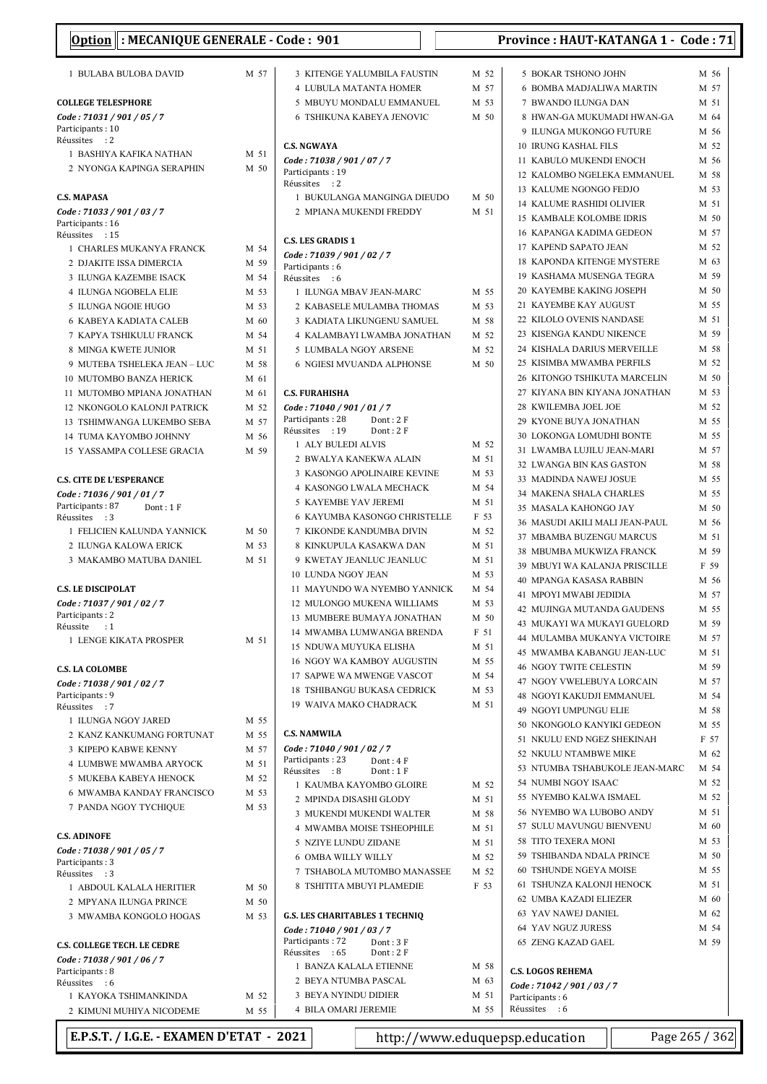| Option : MECANIQUE GENERALE - Code : 901  |      |                                                            |      | Province: HAUT-KATANGA 1 - Code: 71 |      |  |
|-------------------------------------------|------|------------------------------------------------------------|------|-------------------------------------|------|--|
| 1 BULABA BULOBA DAVID                     | M 57 | 3 KITENGE YALUMBILA FAUSTIN                                | M 52 | 5 BOKAR TSHONO JOHN                 | M 56 |  |
|                                           |      | 4 LUBULA MATANTA HOMER                                     | M 57 | <b>6 BOMBA MADJALIWA MARTIN</b>     | M 57 |  |
| <b>COLLEGE TELESPHORE</b>                 |      | 5 MBUYU MONDALU EMMANUEL                                   | M 53 | 7 BWANDO ILUNGA DAN                 | M 51 |  |
| Code: 71031 / 901 / 05 / 7                |      | 6 TSHIKUNA KABEYA JENOVIC                                  | M 50 | 8 HWAN-GA MUKUMADI HWAN-GA          | M 64 |  |
| Participants: 10                          |      |                                                            |      | 9 ILUNGA MUKONGO FUTURE             | M 56 |  |
| Réussites : 2                             |      | <b>C.S. NGWAYA</b>                                         |      | 10 IRUNG KASHAL FILS                | M 52 |  |
| 1 BASHIYA KAFIKA NATHAN                   | M 51 | Code: 71038 / 901 / 07 / 7                                 |      | 11 KABULO MUKENDI ENOCH             | M 56 |  |
| 2 NYONGA KAPINGA SERAPHIN                 | M 50 | Participants: 19                                           |      | 12 KALOMBO NGELEKA EMMANUEL         | M 58 |  |
|                                           |      | Réussites : 2                                              |      | 13 KALUME NGONGO FEDJO              | M 53 |  |
| <b>C.S. MAPASA</b>                        |      | 1 BUKULANGA MANGINGA DIEUDO                                | M 50 | <b>14 KALUME RASHIDI OLIVIER</b>    | M 51 |  |
| Code: 71033 / 901 / 03 / 7                |      | 2 MPIANA MUKENDI FREDDY                                    | M 51 | <b>15 KAMBALE KOLOMBE IDRIS</b>     | M 50 |  |
| Participants: 16<br>Réussites : 15        |      |                                                            |      | 16 KAPANGA KADIMA GEDEON            | M 57 |  |
| 1 CHARLES MUKANYA FRANCK                  | M 54 | <b>C.S. LES GRADIS 1</b>                                   |      | 17 KAPEND SAPATO JEAN               | M 52 |  |
| 2 DJAKITE ISSA DIMERCIA                   | M 59 | Code: 71039 / 901 / 02 / 7                                 |      | 18 KAPONDA KITENGE MYSTERE          | M 63 |  |
| 3 ILUNGA KAZEMBE ISACK                    | M 54 | Participants: 6<br>Réussites : 6                           |      | 19 KASHAMA MUSENGA TEGRA            | M 59 |  |
| 4 ILUNGA NGOBELA ELIE                     | M 53 | 1 ILUNGA MBAV JEAN-MARC                                    | M 55 | 20 KAYEMBE KAKING JOSEPH            | M 50 |  |
| 5 ILUNGA NGOIE HUGO                       | M 53 | 2 KABASELE MULAMBA THOMAS                                  | M 53 | 21 KAYEMBE KAY AUGUST               | M 55 |  |
| 6 KABEYA KADIATA CALEB                    | M 60 | 3 KADIATA LIKUNGENU SAMUEL                                 | M 58 | 22 KILOLO OVENIS NANDASE            | M 51 |  |
| 7 KAPYA TSHIKULU FRANCK                   | M 54 | 4 KALAMBAYI LWAMBA JONATHAN                                | M 52 | 23 KISENGA KANDU NIKENCE            | M 59 |  |
| 8 MINGA KWETE JUNIOR                      | M 51 | 5 LUMBALA NGOY ARSENE                                      | M 52 | 24 KISHALA DARIUS MERVEILLE         | M 58 |  |
| 9 MUTEBA TSHELEKA JEAN - LUC              | M 58 | <b>6 NGIESI MVUANDA ALPHONSE</b>                           | M 50 | 25 KISIMBA MWAMBA PERFILS           | M 52 |  |
| <b>10 MUTOMBO BANZA HERICK</b>            | M 61 |                                                            |      | 26 KITONGO TSHIKUTA MARCELIN        | M 50 |  |
| 11 MUTOMBO MPIANA JONATHAN                | M 61 | <b>C.S. FURAHISHA</b>                                      |      | 27 KIYANA BIN KIYANA JONATHAN       | M 53 |  |
| 12 NKONGOLO KALONJI PATRICK               | M 52 | Code: 71040 / 901 / 01 / 7                                 |      | 28 KWILEMBA JOEL JOE                | M 52 |  |
| 13 TSHIMWANGA LUKEMBO SEBA                | M 57 | Participants: 28<br>Dont: 2F                               |      | 29 KYONE BUYA JONATHAN              | M 55 |  |
| 14 TUMA KAYOMBO JOHNNY                    | M 56 | Réussites : 19<br>Dont: 2F                                 |      | <b>30 LOKONGA LOMUDHI BONTE</b>     | M 55 |  |
| 15 YASSAMPA COLLESE GRACIA                | M 59 | 1 ALY BULEDI ALVIS                                         | M 52 | 31 LWAMBA LUJILU JEAN-MARI          | M 57 |  |
|                                           |      | 2 BWALYA KANEKWA ALAIN                                     | M 51 | 32 LWANGA BIN KAS GASTON            | M 58 |  |
| <b>C.S. CITE DE L'ESPERANCE</b>           |      | 3 KASONGO APOLINAIRE KEVINE                                | M 53 | 33 MADINDA NAWEJ JOSUE              | M 55 |  |
| Code: 71036 / 901 / 01 / 7                |      | 4 KASONGO LWALA MECHACK                                    | M 54 | 34 MAKENA SHALA CHARLES             | M 55 |  |
| Participants: 87<br>Dont: $1 F$           |      | 5 KAYEMBE YAV JEREMI                                       | M 51 | 35 MASALA KAHONGO JAY               | M 50 |  |
| Réussites : 3                             |      | 6 KAYUMBA KASONGO CHRISTELLE                               | F 53 | 36 MASUDI AKILI MALI JEAN-PAUL      | M 56 |  |
| 1 FELICIEN KALUNDA YANNICK                | M 50 | 7 KIKONDE KANDUMBA DIVIN                                   | M 52 | 37 MBAMBA BUZENGU MARCUS            | M 51 |  |
| 2 ILUNGA KALOWA ERICK                     | M 53 | 8 KINKUPULA KASAKWA DAN                                    | M 51 | 38 MBUMBA MUKWIZA FRANCK            | M 59 |  |
| 3 MAKAMBO MATUBA DANIEL                   | M 51 | 9 KWETAY JEANLUC JEANLUC                                   | M 51 | 39 MBUYI WA KALANJA PRISCILLE       | F 59 |  |
|                                           |      | <b>10 LUNDA NGOY JEAN</b>                                  | M 53 | 40 MPANGA KASASA RABBIN             | M 56 |  |
| <b>C.S. LE DISCIPOLAT</b>                 |      | 11 MAYUNDO WA NYEMBO YANNICK                               | M 54 | 41 MPOYI MWABI JEDIDIA              | M 57 |  |
| Code: 71037 / 901 / 02 / 7                |      | 12 MULONGO MUKENA WILLIAMS                                 | M 53 | 42 MUJINGA MUTANDA GAUDENS          | M 55 |  |
| Participants: 2<br>Réussite<br>$\cdot$ :1 |      | 13 MUMBERE BUMAYA JONATHAN                                 | M 50 | 43 MUKAYI WA MUKAYI GUELORD         | M 59 |  |
| 1 LENGE KIKATA PROSPER                    | M 51 | 14 MWAMBA LUMWANGA BRENDA                                  | F 51 | 44 MULAMBA MUKANYA VICTOIRE         | M 57 |  |
|                                           |      | 15 NDUWA MUYUKA ELISHA                                     | M 51 | 45 MWAMBA KABANGU JEAN-LUC          | M 51 |  |
| <b>C.S. LA COLOMBE</b>                    |      | 16 NGOY WA KAMBOY AUGUSTIN                                 | M 55 | <b>46 NGOY TWITE CELESTIN</b>       | M 59 |  |
| Code: 71038 / 901 / 02 / 7                |      | 17 SAPWE WA MWENGE VASCOT                                  | M 54 | <b>47 NGOY VWELEBUYA LORCAIN</b>    | M 57 |  |
| Participants: 9                           |      | <b>18 TSHIBANGU BUKASA CEDRICK</b>                         | M 53 | 48 NGOYI KAKUDJI EMMANUEL           | M 54 |  |
| Réussites : 7                             |      | 19 WAIVA MAKO CHADRACK                                     | M 51 | 49 NGOYI UMPUNGU ELIE               | M 58 |  |
| 1 ILUNGA NGOY JARED                       | M 55 |                                                            |      | 50 NKONGOLO KANYIKI GEDEON          | M 55 |  |
| 2 KANZ KANKUMANG FORTUNAT                 | M 55 | <b>C.S. NAMWILA</b>                                        |      | 51 NKULU END NGEZ SHEKINAH          | F 57 |  |
| 3 KIPEPO KABWE KENNY                      | M 57 | Code: 71040 / 901 / 02 / 7                                 |      | 52 NKULU NTAMBWE MIKE               | M 62 |  |
| 4 LUMBWE MWAMBA ARYOCK                    | M 51 | Participants: 23<br>Dont: 4 F<br>Réussites : 8<br>Dont: 1F |      | 53 NTUMBA TSHABUKOLE JEAN-MARC      | M 54 |  |
| 5 MUKEBA KABEYA HENOCK                    | M 52 | 1 KAUMBA KAYOMBO GLOIRE                                    | M 52 | 54 NUMBI NGOY ISAAC                 | M 52 |  |
| <b>6 MWAMBA KANDAY FRANCISCO</b>          | M 53 | 2 MPINDA DISASHI GLODY                                     | M 51 | 55 NYEMBO KALWA ISMAEL              | M 52 |  |
| 7 PANDA NGOY TYCHIQUE                     | M 53 | 3 MUKENDI MUKENDI WALTER                                   | M 58 | 56 NYEMBO WA LUBOBO ANDY            | M 51 |  |
|                                           |      | 4 MWAMBA MOISE TSHEOPHILE                                  | M 51 | 57 SULU MAVUNGU BIENVENU            | M 60 |  |
| <b>C.S. ADINOFE</b>                       |      | 5 NZIYE LUNDU ZIDANE                                       | M 51 | 58 TITO TEXERA MONI                 | M 53 |  |
| Code: 71038 / 901 / 05 / 7                |      | <b>6 OMBA WILLY WILLY</b>                                  | M 52 | 59 TSHIBANDA NDALA PRINCE           | M 50 |  |
| Participants: 3<br>Réussites : 3          |      | 7 TSHABOLA MUTOMBO MANASSEE                                | M 52 | 60 TSHUNDE NGEYA MOISE              | M 55 |  |
| 1 ABDOUL KALALA HERITIER                  | M 50 | 8 TSHITITA MBUYI PLAMEDIE                                  | F 53 | 61 TSHUNZA KALONJI HENOCK           | M 51 |  |
| 2 MPYANA ILUNGA PRINCE                    | M 50 |                                                            |      | 62 UMBA KAZADI ELIEZER              | M 60 |  |
| 3 MWAMBA KONGOLO HOGAS                    | M 53 | <b>G.S. LES CHARITABLES 1 TECHNIQ</b>                      |      | 63 YAV NAWEJ DANIEL                 | M 62 |  |
|                                           |      | Code: 71040 / 901 / 03 / 7                                 |      | 64 YAV NGUZ JURESS                  | M 54 |  |
| <b>C.S. COLLEGE TECH. LE CEDRE</b>        |      | Participants: 72<br>Dont: 3F                               |      | 65 ZENG KAZAD GAEL                  | M 59 |  |
| Code: 71038 / 901 / 06 / 7                |      | Réussites : 65<br>Dont: 2F                                 |      |                                     |      |  |
| Participants: 8                           |      | 1 BANZA KALALA ETIENNE                                     | M 58 | <b>C.S. LOGOS REHEMA</b>            |      |  |
| Réussites : 6                             |      | 2 BEYA NTUMBA PASCAL                                       | M 63 | Code: 71042 / 901 / 03 / 7          |      |  |
| 1 KAYOKA TSHIMANKINDA                     | M 52 | 3 BEYA NYINDU DIDIER                                       | M 51 | Participants: 6                     |      |  |
| 2 KIMUNI MUHIYA NICODEME                  | M 55 | 4 BILA OMARI JEREMIE                                       | M 55 | Réussites : 6                       |      |  |

E.P.S.T. / I.G.E. - EXAMEN D'ETAT - 2021 http://www.eduquepsp.education  $\parallel$  Page 265 / 362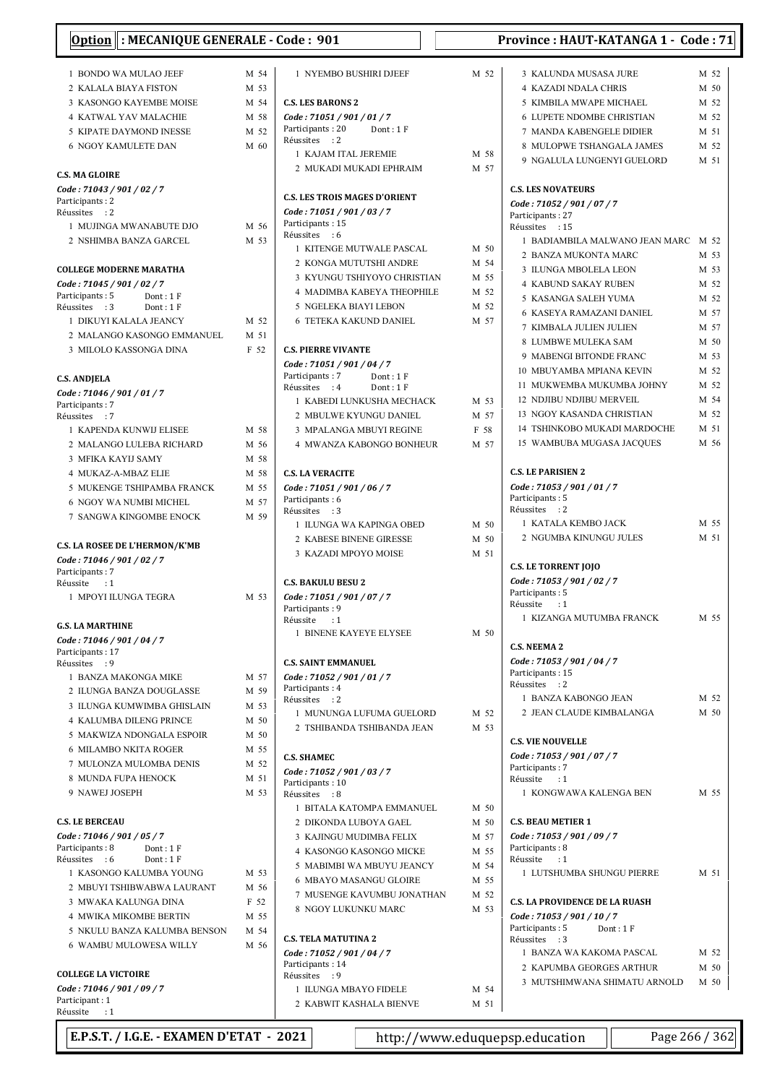| <b>I: MECANIQUE GENERALE - Code : 901</b><br><b>Option</b> |      |                                                        |      | Province: HAUT-KATANGA 1 - Code: 71            |              |
|------------------------------------------------------------|------|--------------------------------------------------------|------|------------------------------------------------|--------------|
| 1 BONDO WA MULAO JEEF                                      | M 54 | 1 NYEMBO BUSHIRI DJEEF                                 | M 52 | 3 KALUNDA MUSASA JURE                          | M 52         |
| 2 KALALA BIAYA FISTON                                      | M 53 |                                                        |      | <b>4 KAZADI NDALA CHRIS</b>                    | M 50         |
| 3 KASONGO KAYEMBE MOISE                                    | M 54 | <b>C.S. LES BARONS 2</b>                               |      | 5 KIMBILA MWAPE MICHAEL                        | M 52         |
| <b>4 KATWAL YAV MALACHIE</b>                               | M 58 | Code: 71051 / 901 / 01 / 7                             |      | <b>6 LUPETE NDOMBE CHRISTIAN</b>               | M 52         |
| 5 KIPATE DAYMOND INESSE                                    | M 52 | Participants: 20<br>Dont: 1F                           |      | 7 MANDA KABENGELE DIDIER                       | M 51         |
| <b>6 NGOY KAMULETE DAN</b>                                 | M 60 | Réussites : 2                                          |      | 8 MULOPWE TSHANGALA JAMES                      | M 52         |
|                                                            |      | 1 KAJAM ITAL JEREMIE                                   | M 58 | 9 NGALULA LUNGENYI GUELORD                     | M 51         |
| <b>C.S. MA GLOIRE</b>                                      |      | 2 MUKADI MUKADI EPHRAIM                                | M 57 |                                                |              |
| Code: 71043 / 901 / 02 / 7                                 |      |                                                        |      | <b>C.S. LES NOVATEURS</b>                      |              |
| Participants: 2                                            |      | <b>C.S. LES TROIS MAGES D'ORIENT</b>                   |      | Code: 71052 / 901 / 07 / 7                     |              |
| Réussites : 2                                              |      | Code: 71051 / 901 / 03 / 7                             |      | Participants: 27                               |              |
| 1 MUJINGA MWANABUTE DJO                                    | M 56 | Participants: 15<br>Réussites : 6                      |      | Réussites : 15                                 |              |
| 2 NSHIMBA BANZA GARCEL                                     | M 53 | 1 KITENGE MUTWALE PASCAL                               | M 50 | 1 BADIAMBILA MALWANO JEAN MARC M 52            |              |
|                                                            |      | 2 KONGA MUTUTSHI ANDRE                                 | M 54 | 2 BANZA MUKONTA MARC                           | M 53         |
| <b>COLLEGE MODERNE MARATHA</b>                             |      | 3 KYUNGU TSHIYOYO CHRISTIAN                            | M 55 | 3 ILUNGA MBOLELA LEON                          | M 53         |
| Code: 71045 / 901 / 02 / 7<br>Participants: 5<br>Dont: 1 F |      | 4 MADIMBA KABEYA THEOPHILE                             | M 52 | <b>4 KABUND SAKAY RUBEN</b>                    | M 52         |
| Réussites : 3<br>Dont:1F                                   |      | 5 NGELEKA BIAYI LEBON                                  | M 52 | 5 KASANGA SALEH YUMA                           | M 52         |
| 1 DIKUYI KALALA JEANCY                                     | M 52 | <b>6 TETEKA KAKUND DANIEL</b>                          | M 57 | 6 KASEYA RAMAZANI DANIEL                       | M 57         |
| 2 MALANGO KASONGO EMMANUEL                                 | M 51 |                                                        |      | 7 KIMBALA JULIEN JULIEN                        | M 57         |
| 3 MILOLO KASSONGA DINA                                     | F 52 | <b>C.S. PIERRE VIVANTE</b>                             |      | 8 LUMBWE MULEKA SAM<br>9 MABENGI BITONDE FRANC | M 50         |
|                                                            |      | Code: 71051 / 901 / 04 / 7                             |      | 10 MBUYAMBA MPIANA KEVIN                       | M 53<br>M 52 |
| <b>C.S. ANDJELA</b>                                        |      | Participants: 7<br>Dont: 1F                            |      | 11 MUKWEMBA MUKUMBA JOHNY                      | M 52         |
| Code: 71046 / 901 / 01 / 7                                 |      | Réussites : 4<br>Dont: 1F<br>1 KABEDI LUNKUSHA MECHACK | M 53 | <b>12 NDJIBU NDJIBU MERVEIL</b>                | M 54         |
| Participants: 7                                            |      |                                                        | M 57 | 13 NGOY KASANDA CHRISTIAN                      | M 52         |
| Réussites : 7<br>1 KAPENDA KUNWIJ ELISEE                   | M 58 | 2 MBULWE KYUNGU DANIEL<br>3 MPALANGA MBUYI REGINE      | F 58 | 14 TSHINKOBO MUKADI MARDOCHE                   | M 51         |
| 2 MALANGO LULEBA RICHARD                                   | M 56 | 4 MWANZA KABONGO BONHEUR                               | M 57 | 15 WAMBUBA MUGASA JACQUES                      | M 56         |
| 3 MFIKA KAYIJ SAMY                                         | M 58 |                                                        |      |                                                |              |
| 4 MUKAZ-A-MBAZ ELIE                                        | M 58 | <b>C.S. LA VERACITE</b>                                |      | <b>C.S. LE PARISIEN 2</b>                      |              |
| 5 MUKENGE TSHIPAMBA FRANCK                                 | M 55 | Code: 71051 / 901 / 06 / 7                             |      | Code: 71053 / 901 / 01 / 7                     |              |
| 6 NGOY WA NUMBI MICHEL                                     | M 57 | Participants: 6                                        |      | Participants: 5                                |              |
| 7 SANGWA KINGOMBE ENOCK                                    | M 59 | Réussites : 3                                          |      | Réussites : 2                                  |              |
|                                                            |      | 1 ILUNGA WA KAPINGA OBED                               | M 50 | 1 KATALA KEMBO JACK                            | M 55         |
| <b>C.S. LA ROSEE DE L'HERMON/K'MB</b>                      |      | 2 KABESE BINENE GIRESSE                                | M 50 | 2 NGUMBA KINUNGU JULES                         | M 51         |
| Code: 71046 / 901 / 02 / 7                                 |      | 3 KAZADI MPOYO MOISE                                   | M 51 |                                                |              |
| Participants: 7                                            |      |                                                        |      | <b>C.S. LE TORRENT JOJO</b>                    |              |
| Réussite<br>$\cdot$ 1                                      |      | <b>C.S. BAKULU BESU 2</b>                              |      | Code: 71053 / 901 / 02 / 7<br>Participants: 5  |              |
| 1 MPOYI ILUNGA TEGRA                                       | M 53 | Code: 71051 / 901 / 07 / 7<br>Participants: 9          |      | Réussite : 1                                   |              |
|                                                            |      | Réussite<br>$\cdot$ :1                                 |      | 1 KIZANGA MUTUMBA FRANCK                       | M 55         |
| <b>G.S. LA MARTHINE</b>                                    |      | 1 BINENE KAYEYE ELYSEE                                 | M 50 |                                                |              |
| Code: 71046 / 901 / 04 / 7<br>Participants: 17             |      |                                                        |      | <b>C.S. NEEMA 2</b>                            |              |
| Réussites : 9                                              |      | <b>C.S. SAINT EMMANUEL</b>                             |      | Code: 71053 / 901 / 04 / 7                     |              |
| 1 BANZA MAKONGA MIKE                                       | M 57 | Code: 71052 / 901 / 01 / 7                             |      | Participants: 15<br>Réussites : 2              |              |
| 2 ILUNGA BANZA DOUGLASSE                                   | M 59 | Participants: 4                                        |      | 1 BANZA KABONGO JEAN                           | M 52         |
| 3 ILUNGA KUMWIMBA GHISLAIN                                 | M 53 | Réussites : 2<br>1 MUNUNGA LUFUMA GUELORD              | M 52 | 2 JEAN CLAUDE KIMBALANGA                       | M 50         |
| <b>4 KALUMBA DILENG PRINCE</b>                             | M 50 | 2 TSHIBANDA TSHIBANDA JEAN                             | M 53 |                                                |              |
| 5 MAKWIZA NDONGALA ESPOIR                                  | M 50 |                                                        |      | <b>C.S. VIE NOUVELLE</b>                       |              |
| 6 MILAMBO NKITA ROGER                                      | M 55 | <b>C.S. SHAMEC</b>                                     |      | Code: 71053 / 901 / 07 / 7                     |              |
| 7 MULONZA MULOMBA DENIS                                    | M 52 | Code: 71052 / 901 / 03 / 7                             |      | Participants: 7                                |              |
| 8 MUNDA FUPA HENOCK                                        | M 51 | Participants: 10                                       |      | Réussite<br>$\cdots$                           |              |
| 9 NAWEJ JOSEPH                                             | M 53 | Réussites : 8                                          |      | 1 KONGWAWA KALENGA BEN                         | M 55         |
|                                                            |      | 1 BITALA KATOMPA EMMANUEL                              | M 50 |                                                |              |
| <b>C.S. LE BERCEAU</b>                                     |      | 2 DIKONDA LUBOYA GAEL                                  | M 50 | <b>C.S. BEAU METIER 1</b>                      |              |
| Code: 71046 / 901 / 05 / 7<br>Participants: 8<br>Dont: 1 F |      | 3 KAJINGU MUDIMBA FELIX                                | M 57 | Code: 71053 / 901 / 09 / 7<br>Participants: 8  |              |
| Réussites : 6<br>Dont: $1 F$                               |      | 4 KASONGO KASONGO MICKE                                | M 55 | Réussite<br>$\cdots$                           |              |
| 1 KASONGO KALUMBA YOUNG                                    | M 53 | 5 MABIMBI WA MBUYU JEANCY                              | M 54 | 1 LUTSHUMBA SHUNGU PIERRE                      | M 51         |
| 2 MBUYI TSHIBWABWA LAURANT                                 | M 56 | 6 MBAYO MASANGU GLOIRE                                 | M 55 |                                                |              |
| 3 MWAKA KALUNGA DINA                                       | F 52 | 7 MUSENGE KAVUMBU JONATHAN                             | M 52 | <b>C.S. LA PROVIDENCE DE LA RUASH</b>          |              |
| 4 MWIKA MIKOMBE BERTIN                                     | M 55 | 8 NGOY LUKUNKU MARC                                    | M 53 | Code: 71053 / 901 / 10 / 7                     |              |
| 5 NKULU BANZA KALUMBA BENSON                               | M 54 | <b>C.S. TELA MATUTINA 2</b>                            |      | Participants: 5<br>Dont: 1F                    |              |
| 6 WAMBU MULOWESA WILLY                                     | M 56 | Code: 71052 / 901 / 04 / 7                             |      | Réussites : 3<br>1 BANZA WA KAKOMA PASCAL      | M 52         |
|                                                            |      | Participants: 14                                       |      | 2 KAPUMBA GEORGES ARTHUR                       | M 50         |
| <b>COLLEGE LA VICTOIRE</b>                                 |      | Réussites : 9                                          |      | 3 MUTSHIMWANA SHIMATU ARNOLD                   | M 50         |
| Code: 71046 / 901 / 09 / 7                                 |      | 1 ILUNGA MBAYO FIDELE                                  | M 54 |                                                |              |
| Participant: 1<br>Réussite : 1                             |      | 2 KABWIT KASHALA BIENVE                                | M 51 |                                                |              |

LA RUASH  $\text{at}: 1 \text{ F}$ 1 M 52  $ES$  ARTHUR M 50 HIMATU ARNOLD M 50

E.P.S.T. / I.G.E. - EXAMEN D'ETAT - 2021 http://www.eduquepsp.education Page 266 / 362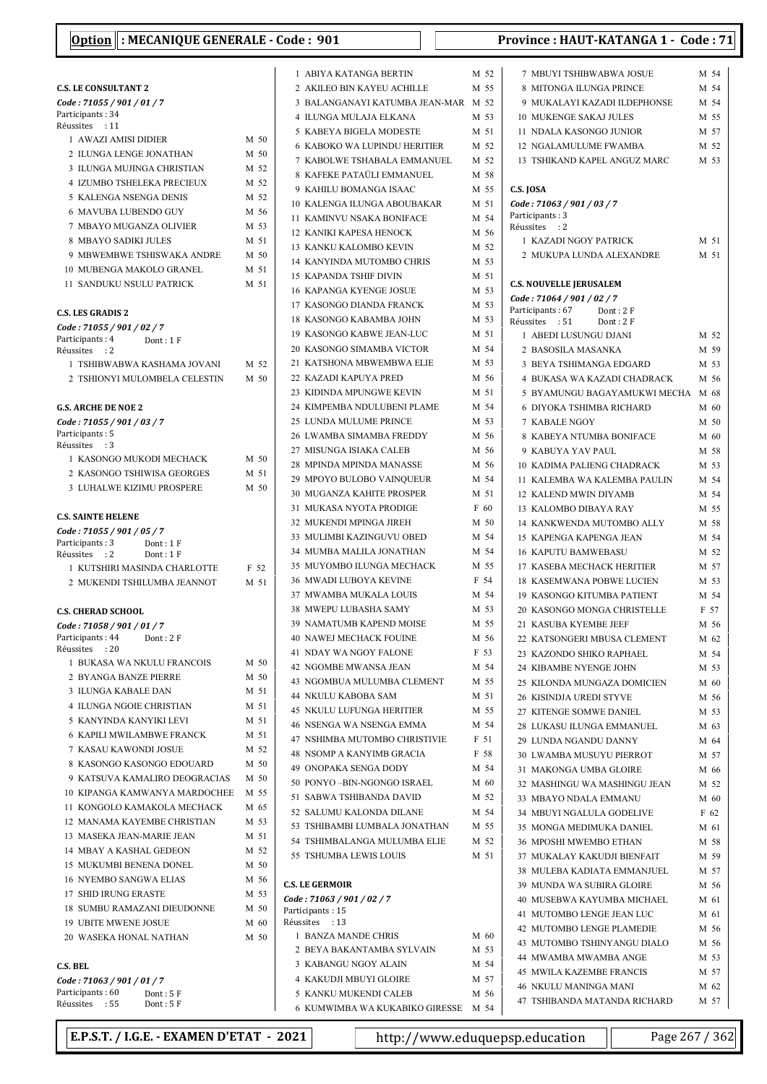## C.S. LE CONSULTANT 2 Code : 71055 / 901 / 01 / 7 Participants: 34 Réussites : 11 1 AWAZI AMISI DIDIER M 50 2 ILUNGA LENGE JONATHAN M 50 3 ILUNGA MUJINGA CHRISTIAN M 52 4 IZUMBO TSHELEKA PRECIEUX M 52 5 KALENGA NSENGA DENIS M 52 6 MAVUBA LUBENDO GUY M 56 7 MBAYO MUGANZA OLIVIER M 53 8 MBAYO SADIKI JULES M 51 9 MBWEMBWE TSHISWAKA ANDRE M 50 10 MUBENGA MAKOLO GRANEL M 51 11 SANDUKU NSULU PATRICK M 51 C.S. LES GRADIS 2 Code : 71055 / 901 / 02 / 7 Participants: 4 Dont: 1 F Réussites : 2 1 TSHIBWABWA KASHAMA JOVANI M 52 2 TSHIONYI MULOMBELA CELESTIN M 50 G.S. ARCHE DE NOE 2 Code : 71055 / 901 / 03 / 7 Participants: 5 Réussites : 3 1 KASONGO MUKODI MECHACK M 50 2 KASONGO TSHIWISA GEORGES M 51 3 LUHALWE KIZIMU PROSPERE M 50 C.S. SAINTE HELENE Code : 71055 / 901 / 05 / 7 Participants: 3 Dont: 1 F<br>Réussites : 2 Dont: 1 F Réussites : 2 1 KUTSHIRI MASINDA CHARLOTTE F 52 2 MUKENDI TSHILUMBA JEANNOT M 51 C.S. CHERAD SCHOOL Code : 71058 / 901 / 01 / 7 Participants: 44 Dont: 2 F Réussites : 20 1 BUKASA WA NKULU FRANCOIS M 50 2 BYANGA BANZE PIERRE M 50 3 ILUNGA KABALE DAN M 51 4 ILUNGA NGOIE CHRISTIAN M 51 5 M 51 KANYINDA KANYIKI LEVI 6 KAPILI MWILAMBWE FRANCK M 51 7 KASAU KAWONDI JOSUE M 52 8 KASONGO KASONGO EDOUARD M 50 9 KATSUVA KAMALIRO DEOGRACIAS M 50 10 KIPANGA KAMWANYA MARDOCHEE M 55 11 KONGOLO KAMAKOLA MECHACK M 65 12 MANAMA KAYEMBE CHRISTIAN M 53 13 MASEKA JEAN-MARIE JEAN M 51 14 MBAY A KASHAL GEDEON M 52 15 MUKUMBI BENENA DONEL M 50 16 NYEMBO SANGWA ELIAS M 56 17 SHID IRUNG ERASTE M 53 18 SUMBU RAMAZANI DIEUDONNE M 50 19 UBITE MWENE JOSUE M 60 20 WASEKA HONAL NATHAN M 50 C.S. BEL Code : 71063 / 901 / 01 / 7 Participants: 60 Dont: 5 F<br>Réussites : 55 Dont: 5 F

|        | 1 ABIYA KATANGA BERTIN                          | M 52         |
|--------|-------------------------------------------------|--------------|
|        | 2 AKILEO BIN KAYEU ACHILLE                      | M 55         |
|        | 3 BALANGANAYI KATUMBA JEAN-MAR M 52             |              |
|        | 4 ILUNGA MULAJA ELKANA                          | M 53         |
| 5      | KABEYA BIGELA MODESTE                           | M 51         |
| 6      | KABOKO WA LUPINDU HERITIER                      | M 52         |
| $\tau$ | KABOLWE TSHABALA EMMANUEL                       | M 52         |
| 8      | KAFEKE PATAÜLI EMMANUEL                         | M 58         |
| 9      | KAHILU BOMANGA ISAAC                            | M 55         |
|        | 10 KALENGA ILUNGA ABOUBAKAR                     | M 51         |
|        | 11 KAMINVU NSAKA BONIFACE                       | M 54         |
|        | <b>12 KANIKI KAPESA HENOCK</b>                  | M 56         |
|        | 13 KANKU KALOMBO KEVIN                          | M 52         |
|        | 14 KANYINDA MUTOMBO CHRIS                       | M 53         |
| 15     | KAPANDA TSHIF DIVIN                             | M 51         |
|        | <b>16 KAPANGA KYENGE JOSUE</b>                  | M 53         |
|        | 17 KASONGO DIANDA FRANCK                        | M 53         |
|        | 18 KASONGO KABAMBA JOHN                         | M 53         |
|        | 19 KASONGO KABWE JEAN-LUC                       | M 51         |
|        | 20 KASONGO SIMAMBA VICTOR                       | M 54         |
|        | 21 KATSHONA MBWEMBWA ELIE                       | M 53         |
|        | 22 KAZADI KAPUYA PRED                           | M 56         |
| 23     | KIDINDA MPUNGWE KEVIN                           | M 51         |
|        | 24 KIMPEMBA NDULUBENI PLAME                     | M 54         |
| 25     | LUNDA MULUME PRINCE                             | M 53         |
|        | 26 LWAMBA SIMAMBA FREDDY                        | M 56         |
|        | 27 MISUNGA ISIAKA CALEB                         | M 56         |
|        | 28 MPINDA MPINDA MANASSE                        | M 56         |
|        | 29 MPOYO BULOBO VAINQUEUR                       | M 54         |
|        | 30 MUGANZA KAHITE PROSPER                       | M 51         |
|        | 31 MUKASA NYOTA PRODIGE                         | F 60         |
|        | 32 MUKENDI MPINGA JIREH                         | M 50         |
| 33     | MULIMBI KAZINGUVU OBED                          | M 54         |
|        | 34 MUMBA MALILA JONATHAN                        | M 54         |
|        | 35 MUYOMBO ILUNGA MECHACK                       | M 55         |
|        | <b>36 MWADI LUBOYA KEVINE</b>                   | F 54         |
|        | 37 MWAMBA MUKALA LOUIS<br>38 MWEPU LUBASHA SAMY | M 54<br>M 53 |
|        | 39 NAMATUMB KAPEND MOISE                        | M 55         |
|        | <b>40 NAWEJ MECHACK FOUINE</b>                  | M 56         |
|        | 41 NDAY WA NGOY FALONE                          | F 53         |
|        | 42 NGOMBE MWANSA JEAN                           | M 54         |
|        | 43 NGOMBUA MULUMBA CLEMENT                      | M 55         |
|        | 44 NKULU KABOBA SAM                             | M 51         |
|        | <b>45 NKULU LUFUNGA HERITIER</b>                | M 55         |
|        | <b>46 NSENGA WA NSENGA EMMA</b>                 | M 54         |
|        | 47 NSHIMBA MUTOMBO CHRISTIVIE                   | F 51         |
|        | <b>48 NSOMP A KANYIMB GRACIA</b>                | F 58         |
|        | 49 ONOPAKA SENGA DODY                           | M 54         |
|        | 50 PONYO -BIN-NGONGO ISRAEL                     | M 60         |
|        | 51 SABWA TSHIBANDA DAVID                        | M 52         |
|        | 52 SALUMU KALONDA DILANE                        | M 54         |
|        | 53 TSHIBAMBI LUMBALA JONATHAN                   | M 55         |
|        | 54 TSHIMBALANGA MULUMBA ELIE                    | M 52         |
|        | 55 TSHUMBA LEWIS LOUIS                          | M 51         |
|        |                                                 |              |
|        | <b>C.S. LE GERMOIR</b>                          |              |
|        | Code: 71063 / 901 / 02 / 7                      |              |
|        | Participants: 15<br>Réussites : 13              |              |
|        | 1 BANZA MANDE CHRIS                             | M 60         |
|        | 2 BEYA BAKANTAMBA SYLVAIN                       | M 53         |
|        | 3 KABANGU NGOY ALAIN                            | M 54         |
|        | <b>4 KAKUDJI MBUYI GLOIRE</b>                   | M 57         |
|        | 5 KANKU MUKENDI CALEB                           | M 56         |
|        | 6 KUMWIMBA WA KUKABIKO GIRESSE M 54             |              |

| 7 MBUYI TSHIBWABWA JOSUE                                     | M 54         |
|--------------------------------------------------------------|--------------|
| 8 MITONGA ILUNGA PRINCE                                      | M 54         |
| 9 MUKALAYI KAZADI ILDEPHONSE                                 | M 54         |
| 10 MUKENGE SAKAJ JULES                                       | M 55         |
| 11 NDALA KASONGO JUNIOR                                      | M 57         |
| 12 NGALAMULUME FWAMBA                                        | M 52         |
| 13 TSHIKAND KAPEL ANGUZ MARC                                 | M 53         |
|                                                              |              |
| C.S. JOSA                                                    |              |
| Code: 71063 / 901 / 03 / 7                                   |              |
| Participants: 3                                              |              |
| Réussites : 2                                                |              |
| 1 KAZADI NGOY PATRICK                                        | M 51         |
| 2 MUKUPA LUNDA ALEXANDRE                                     | M 51         |
|                                                              |              |
| <b>C.S. NOUVELLE JERUSALEM</b>                               |              |
| Code: 71064 / 901 / 02 / 7                                   |              |
| Participants : 67<br>Dont: 2 F<br>Dont: 2F<br>Réussites : 51 |              |
| 1 ABEDI LUSUNGU DJANI                                        | M 52         |
| 2 BASOSILA MASANKA                                           | M 59         |
| 3 BEYA TSHIMANGA EDGARD                                      | M 53         |
| 4 BUKASA WA KAZADI CHADRACK                                  | M 56         |
| 5 BYAMUNGU BAGAYAMUKWI MECHA M 68                            |              |
| 6 DIYOKA TSHIMBA RICHARD                                     | M 60         |
| 7 KABALE NGOY                                                | $M$ 50       |
| 8  KABEYA NTUMBA BONIFACE                                    | M 60         |
| 9 KABUYA YAV PAUL                                            | M 58         |
| 10 KADIMA PALIENG CHADRACK                                   |              |
| 11  KALEMBA WA KALEMBA PAULIN                                | M 53<br>M 54 |
|                                                              | M 54         |
| 12 KALEND MWIN DIYAMB                                        |              |
| 13 KALOMBO DIBAYA RAY                                        | M 55         |
| 14 KANKWENDA MUTOMBO ALLY                                    | M 58         |
| 15 KAPENGA KAPENGA JEAN                                      | M 54         |
| <b>16 KAPUTU BAMWEBASU</b>                                   | M 52         |
| 17 KASEBA MECHACK HERITIER                                   | M 57         |
| <b>18 KASEMWANA POBWE LUCIEN</b>                             | M 53         |
| <b>19 KASONGO KITUMBA PATIENT</b>                            | M 54         |
| 20 KASONGO MONGA CHRISTELLE                                  | F 57<br>M 56 |
| 21 KASUBA KYEMBE JEEF                                        |              |
| 22 KATSONGERI MBUSA CLEMENT                                  | M 62         |
| 23 KAZONDO SHIKO RAPHAEL                                     | M 54         |
| 24 KIBAMBE NYENGE JOHN                                       | M 53         |
| 25 KILONDA MUNGAZA DOMICIEN                                  | M 60         |
| 26 KISINDJA UREDI STYVE                                      | M 56         |
| 27 KITENGE SOMWE DANIEL                                      | M 53         |
| 28 LUKASU ILUNGA EMMANUEL                                    | M 63         |
| 29 LUNDA NGANDU DANNY                                        | M 64         |
| 30 LWAMBA MUSUYU PIERROT                                     | M 57         |
| 31 MAKONGA UMBA GLOIRE                                       | M 66         |
| 32 MASHINGU WA MASHINGU JEAN                                 | M 52         |
| 33 MBAYO NDALA EMMANU                                        | M 60         |
| 34 MBUYI NGALULA GODELIVE                                    | F 62         |
| 35 MONGA MEDIMUKA DANIEL                                     | M 61         |
| <b>36 MPOSHI MWEMBO ETHAN</b>                                | M 58         |
| 37 MUKALAY KAKUDJI BIENFAIT                                  | M 59         |
| 38 MULEBA KADIATA EMMANJUEL                                  | M 57         |
| 39 MUNDA WA SUBIRA GLOIRE                                    | M 56         |
| 40 MUSEBWA KAYUMBA MICHAEL                                   | M 61         |
| 41 MUTOMBO LENGE JEAN LUC                                    | M 61         |
| 42 MUTOMBO LENGE PLAMEDIE                                    | M 56         |
| 43 MUTOMBO TSHINYANGU DIALO                                  | M 56         |
| 44 MWAMBA MWAMBA ANGE                                        | M 53         |
| 45 MWILA KAZEMBE FRANCIS                                     | M 57         |
| 46 NKULU MANINGA MANI                                        | M 62         |
|                                                              |              |

E.P.S.T. / I.G.E. - EXAMEN D'ETAT - 2021 http://www.eduquepsp.education  $\parallel$  Page 267 / 362

Réussites : 55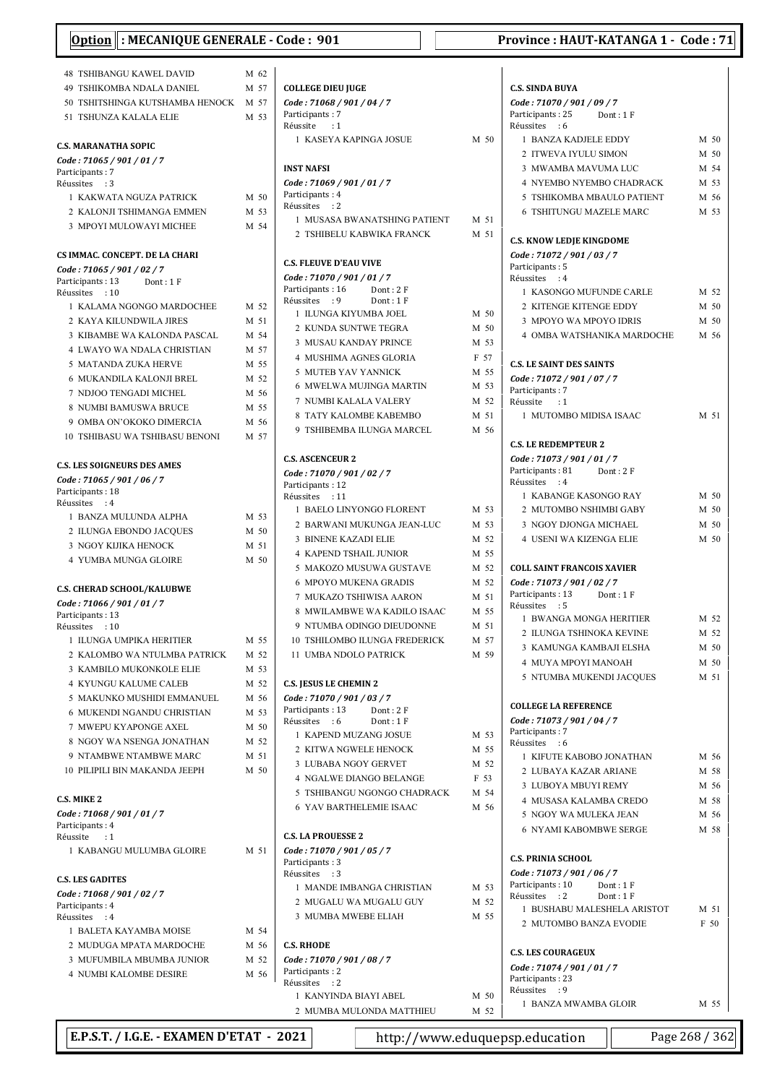| : MECANIQUE GENERALE - Code: 901<br><b>Option</b> |      |                               |      | Province: HAUT-KATANGA 1 - Code: 71 |      |
|---------------------------------------------------|------|-------------------------------|------|-------------------------------------|------|
| <b>48 TSHIBANGU KAWEL DAVID</b>                   | M 62 |                               |      |                                     |      |
| 49 TSHIKOMBA NDALA DANIEL                         | M 57 | <b>COLLEGE DIEU JUGE</b>      |      | <b>C.S. SINDA BUYA</b>              |      |
| 50 TSHITSHINGA KUTSHAMBA HENOCK M 57              |      | Code: 71068 / 901 / 04 / 7    |      | Code: 71070 / 901 / 09 / 7          |      |
| 51 TSHUNZA KALALA ELIE                            | M 53 | Participants: 7               |      | Participants: 25<br>Dont: 1F        |      |
|                                                   |      | Réussite : 1                  |      | Réussites : 6                       |      |
|                                                   |      | 1 KASEYA KAPINGA JOSUE        | M 50 | 1 BANZA KADJELE EDDY                | M 50 |
| <b>C.S. MARANATHA SOPIC</b>                       |      |                               |      | 2 ITWEVA IYULU SIMON                | M 50 |
| Code: 71065 / 901 / 01 / 7<br>Participants: 7     |      | <b>INST NAFSI</b>             |      | 3 MWAMBA MAVUMA LUC                 | M 54 |
| Réussites : 3                                     |      | Code: 71069 / 901 / 01 / 7    |      | 4 NYEMBO NYEMBO CHADRACK            | M 53 |
| 1 KAKWATA NGUZA PATRICK                           | M 50 | Participants: 4               |      | 5 TSHIKOMBA MBAULO PATIENT          | M 56 |
| 2 KALONJI TSHIMANGA EMMEN                         | M 53 | Réussites : 2                 |      | <b>6 TSHITUNGU MAZELE MARC</b>      | M 53 |
| 3 MPOYI MULOWAYI MICHEE                           | M 54 | 1 MUSASA BWANATSHING PATIENT  | M 51 |                                     |      |
|                                                   |      | 2 TSHIBELU KABWIKA FRANCK     | M 51 | <b>C.S. KNOW LEDJE KINGDOME</b>     |      |
| CS IMMAC. CONCEPT. DE LA CHARI                    |      |                               |      | Code: 71072 / 901 / 03 / 7          |      |
| Code: 71065 / 901 / 02 / 7                        |      | <b>C.S. FLEUVE D'EAU VIVE</b> |      | Participants: 5                     |      |
| Participants: 13<br>Dont: 1F                      |      | Code: 71070 / 901 / 01 / 7    |      | Réussites : 4                       |      |
| Réussites : 10                                    |      | Participants: 16<br>Dont: 2F  |      | 1 KASONGO MUFUNDE CARLE             | M 52 |
| 1 KALAMA NGONGO MARDOCHEE                         | M 52 | Réussites : 9<br>Dont: 1F     |      | 2 KITENGE KITENGE EDDY              | M 50 |
| 2 KAYA KILUNDWILA JIRES                           | M 51 | 1 ILUNGA KIYUMBA JOEL         | M 50 | 3 MPOYO WA MPOYO IDRIS              | M 50 |
| 3 KIBAMBE WA KALONDA PASCAL                       | M 54 | 2 KUNDA SUNTWE TEGRA          | M 50 | 4 OMBA WATSHANIKA MARDOCHE          | M 56 |
| 4 LWAYO WA NDALA CHRISTIAN                        | M 57 | 3 MUSAU KANDAY PRINCE         | M 53 |                                     |      |
| 5 MATANDA ZUKA HERVE                              | M 55 | 4 MUSHIMA AGNES GLORIA        | F 57 | <b>C.S. LE SAINT DES SAINTS</b>     |      |
| 6 MUKANDILA KALONJI BREL                          | M 52 | 5 MUTEB YAV YANNICK           | M 55 | Code: 71072 / 901 / 07 / 7          |      |
| 7 NDJOO TENGADI MICHEL                            | M 56 | 6 MWELWA MUJINGA MARTIN       | M 53 | Participants: 7                     |      |
| 8 NUMBI BAMUSWA BRUCE                             | M 55 | 7 NUMBI KALALA VALERY         | M 52 | Réussite<br>$\cdot:1$               |      |
|                                                   |      | 8 TATY KALOMBE KABEMBO        | M 51 | 1 MUTOMBO MIDISA ISAAC              | M 51 |
| 9 OMBA ON'OKOKO DIMERCIA                          | M 56 | 9 TSHIBEMBA ILUNGA MARCEL     | M 56 |                                     |      |
| <b>10 TSHIBASU WA TSHIBASU BENONI</b>             | M 57 |                               |      | <b>C.S. LE REDEMPTEUR 2</b>         |      |
|                                                   |      | <b>C.S. ASCENCEUR 2</b>       |      | Code: 71073 / 901 / 01 / 7          |      |
| <b>C.S. LES SOIGNEURS DES AMES</b>                |      | Code: 71070 / 901 / 02 / 7    |      | Participants: 81<br>Dont: $2 F$     |      |
| Code: 71065 / 901 / 06 / 7                        |      | Participants: 12              |      | Réussites : 4                       |      |
| Participants: 18<br>Réussites : 4                 |      | Réussites : 11                |      | 1 KABANGE KASONGO RAY               | M 50 |
| 1 BANZA MULUNDA ALPHA                             | M 53 | 1 BAELO LINYONGO FLORENT      | M 53 | 2 MUTOMBO NSHIMBI GABY              | M 50 |
| 2 ILUNGA EBONDO JACQUES                           | M 50 | 2 BARWANI MUKUNGA JEAN-LUC    | M 53 | 3 NGOY DJONGA MICHAEL               | M 50 |
| 3 NGOY KIJIKA HENOCK                              | M 51 | 3 BINENE KAZADI ELIE          | M 52 | 4 USENI WA KIZENGA ELIE             | M 50 |
| 4 YUMBA MUNGA GLOIRE                              | M 50 | <b>4 KAPEND TSHAIL JUNIOR</b> | M 55 |                                     |      |
|                                                   |      | 5 MAKOZO MUSUWA GUSTAVE       | M 52 | <b>COLL SAINT FRANCOIS XAVIER</b>   |      |
|                                                   |      | <b>6 MPOYO MUKENA GRADIS</b>  | M 52 | Code: 71073 / 901 / 02 / 7          |      |
| <b>C.S. CHERAD SCHOOL/KALUBWE</b>                 |      | 7 MUKAZO TSHIWISA AARON       | M 51 | Participants: 13<br>Dont: 1 F       |      |
| Code: 71066 / 901 / 01 / 7<br>Participants: 13    |      | 8 MWILAMBWE WA KADILO ISAAC   | M 55 | Réussites : 5                       |      |
| Réussites : 10                                    |      | 9 NTUMBA ODINGO DIEUDONNE     | M 51 | 1 BWANGA MONGA HERITIER             | M 52 |
| 1 ILUNGA UMPIKA HERITIER                          | M 55 | 10 TSHILOMBO ILUNGA FREDERICK | M 57 | 2 ILUNGA TSHINOKA KEVINE            | M 52 |
| 2 KALOMBO WA NTULMBA PATRICK                      | M 52 | 11 UMBA NDOLO PATRICK         | M 59 | 3 KAMUNGA KAMBAJI ELSHA             | M 50 |
| 3 KAMBILO MUKONKOLE ELIE                          | M 53 |                               |      | 4 MUYA MPOYI MANOAH                 | M 50 |
| 4 KYUNGU KALUME CALEB                             | M 52 | <b>C.S. JESUS LE CHEMIN 2</b> |      | 5 NTUMBA MUKENDI JACQUES            | M 51 |
| 5 MAKUNKO MUSHIDI EMMANUEL                        | M 56 | Code: 71070 / 901 / 03 / 7    |      |                                     |      |
| 6 MUKENDI NGANDU CHRISTIAN                        | M 53 | Participants: 13<br>Dont: 2F  |      | <b>COLLEGE LA REFERENCE</b>         |      |
| 7 MWEPU KYAPONGE AXEL                             | M 50 | Réussites : 6<br>Dont: 1F     |      | Code: 71073 / 901 / 04 / 7          |      |
| 8 NGOY WA NSENGA JONATHAN                         | M 52 | 1 KAPEND MUZANG JOSUE         | M 53 | Participants: 7                     |      |
| 9 NTAMBWE NTAMBWE MARC                            |      | 2 KITWA NGWELE HENOCK         | M 55 | Réussites : 6                       |      |
|                                                   | M 51 | 3 LUBABA NGOY GERVET          | M 52 | 1 KIFUTE KABOBO JONATHAN            | M 56 |
| 10 PILIPILI BIN MAKANDA JEEPH                     | M 50 | 4 NGALWE DIANGO BELANGE       | F 53 | 2 LUBAYA KAZAR ARIANE               | M 58 |
|                                                   |      | 5 TSHIBANGU NGONGO CHADRACK   | M 54 | 3 LUBOYA MBUYI REMY                 | M 56 |
| <b>C.S. MIKE 2</b>                                |      | 6 YAV BARTHELEMIE ISAAC       | M 56 | 4 MUSASA KALAMBA CREDO              | M 58 |
| Code: 71068 / 901 / 01 / 7                        |      |                               |      | 5 NGOY WA MULEKA JEAN               | M 56 |
| Participants: 4<br>Réussite<br>$\cdot$ 1          |      | <b>C.S. LA PROUESSE 2</b>     |      | <b>6 NYAMI KABOMBWE SERGE</b>       | M 58 |
| 1 KABANGU MULUMBA GLOIRE                          | M 51 | Code: 71070 / 901 / 05 / 7    |      |                                     |      |
|                                                   |      | Participants: 3               |      | <b>C.S. PRINIA SCHOOL</b>           |      |
| <b>C.S. LES GADITES</b>                           |      | Réussites : 3                 |      | Code: 71073 / 901 / 06 / 7          |      |
| Code: 71068 / 901 / 02 / 7                        |      | 1 MANDE IMBANGA CHRISTIAN     | M 53 | Participants: 10<br>Dont: 1F        |      |
| Participants: 4                                   |      | 2 MUGALU WA MUGALU GUY        | M 52 | Réussites : 2<br>Dont: $1 F$        |      |
| Réussites : 4                                     |      | 3 MUMBA MWEBE ELIAH           | M 55 | 1 BUSHABU MALESHELA ARISTOT         | M 51 |
| 1 BALETA KAYAMBA MOISE                            | M 54 |                               |      | 2 MUTOMBO BANZA EVODIE              | F 50 |
| 2 MUDUGA MPATA MARDOCHE                           | M 56 | <b>C.S. RHODE</b>             |      |                                     |      |
| 3 MUFUMBILA MBUMBA JUNIOR                         | M 52 | Code: 71070 / 901 / 08 / 7    |      | <b>C.S. LES COURAGEUX</b>           |      |
| <b>4 NUMBI KALOMBE DESIRE</b>                     | M 56 | Participants: 2               |      | Code: 71074 / 901 / 01 / 7          |      |
|                                                   |      | Réussites : 2                 |      | Participants: 23<br>Réussites : 9   |      |
|                                                   |      | 1 KANYINDA BIAYI ABEL         | M 50 | 1 BANZA MWAMBA GLOIR                | M 55 |

| T NAIVED VIA DIA LEADER. | $\mathbf{v}$ $\mathbf{v}$ |  |
|--------------------------|---------------------------|--|
| 2 MUMBA MULONDA MATTHIEU | M 52                      |  |

E.P.S.T. / I.G.E. - EXAMEN D'ETAT - 2021 http://www.eduquepsp.education Page 268 / 362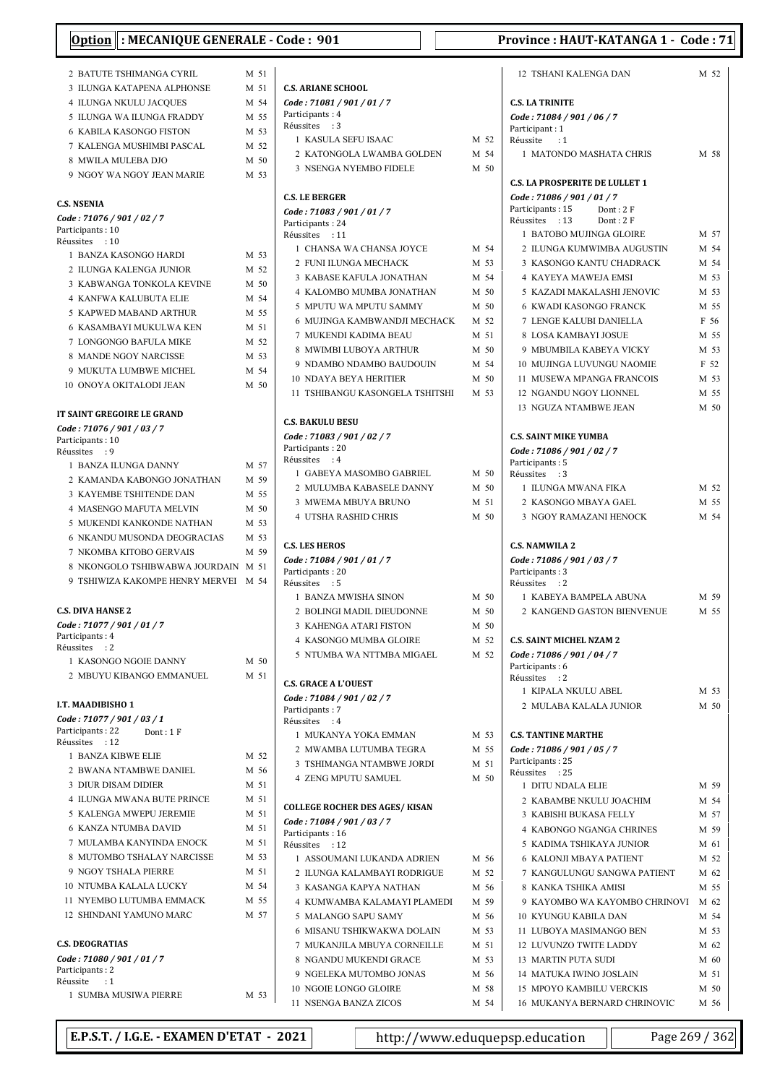| : MECANIQUE GENERALE<br><b>Option</b>                             |              |
|-------------------------------------------------------------------|--------------|
| 2 BATUTE TSHIMANGA CYRIL                                          | M 51         |
| 3 ILUNGA KATAPENA ALPHONSE                                        | M 51         |
| <b>4 ILUNGA NKULU JACOUES</b>                                     | M 54         |
| 5 ILUNGA WA ILUNGA FRADDY                                         | M 55         |
| <b>6 KABILA KASONGO FISTON</b>                                    | M 53         |
| 7 KALENGA MUSHIMBI PASCAL                                         | M 52         |
| 8 MWILA MULEBA DJO                                                | M 50         |
| 9 NGOY WA NGOY JEAN MARIE                                         | M 53         |
| <b>C.S. NSENIA</b>                                                |              |
| Code: 71076 / 901 / 02 / 7                                        |              |
| Participants: 10                                                  |              |
| Réussites : 10<br>1 BANZA KASONGO HARDI                           |              |
| 2 ILUNGA KALENGA JUNIOR                                           | M 53         |
| 3 KABWANGA TONKOLA KEVINE                                         | M 52<br>M 50 |
| <b>4 KANFWA KALUBUTA ELIE</b>                                     | M 54         |
| 5 KAPWED MABAND ARTHUR                                            | M 55         |
| <b>6 KASAMBAYI MUKULWA KEN</b>                                    | M 51         |
| 7 LONGONGO BAFULA MIKE                                            | M 52         |
| 8 MANDE NGOY NARCISSE                                             | M 53         |
| 9 MUKUTA LUMBWE MICHEL                                            | M 54         |
| 10 ONOYA OKITALODI JEAN                                           | $M$ 50       |
|                                                                   |              |
| IT SAINT GREGOIRE LE GRAND<br>Code: 71076 / 901 / 03 / 7          |              |
| Participants: 10                                                  |              |
| Réussites<br>$\cdot$ 9                                            |              |
| 1 BANZA ILUNGA DANNY                                              | M 57         |
| 2 KAMANDA KABONGO JONATHAN                                        | M 59         |
| 3 KAYEMBE TSHITENDE DAN                                           | M 55         |
| 4 MASENGO MAFUTA MELVIN                                           | M 50         |
| 5 MUKENDI KANKONDE NATHAN                                         | M 53         |
| 6 NKANDU MUSONDA DEOGRACIAS                                       | M 53         |
| 7 NKOMBA KITOBO GERVAIS                                           | M 59         |
| 8 NKONGOLO TSHIBWABWA JOURDAIN<br>9 TSHIWIZA KAKOMPE HENRY MERVEI | M 51<br>M 54 |
| <b>C.S. DIVA HANSE 2</b>                                          |              |
| Code: 71077 / 901 / 01 / 7                                        |              |
| Participants: 4                                                   |              |
| Réussites<br>$\cdot$ : 2                                          |              |
| 1 KASONGO NGOIE DANNY                                             | M 50         |
| 2 MBUYU KIBANGO EMMANUEL                                          | M 51         |
| I.T. MAADIBISHO 1                                                 |              |
| Code: 71077 / 901 / 03 / 1                                        |              |
| Participants: 22<br>Dont: 1F                                      |              |
| Réussites : 12                                                    |              |
| 1 BANZA KIBWE ELIE                                                | M 52         |
| 2 BWANA NTAMBWE DANIEL                                            | M 56         |
| 3 DIUR DISAM DIDIER                                               | M 51         |
| <b>4 ILUNGA MWANA BUTE PRINCE</b>                                 | M 51         |
| 5 KALENGA MWEPU JEREMIE                                           | M 51         |
| <b>6 KANZA NTUMBA DAVID</b>                                       | M 51         |
| 7 MULAMBA KANYINDA ENOCK                                          | M 51         |
| 8 MUTOMBO TSHALAY NARCISSE                                        | M 53         |
| 9 NGOY TSHALA PIERRE                                              | M 51         |
| 10 NTUMBA KALALA LUCKY                                            | M 54         |
| 11 NYEMBO LUTUMBA EMMACK                                          | M 55         |
| 12 SHINDANI YAMUNO MARC                                           | M 57         |
| <b>C.S. DEOGRATIAS</b>                                            |              |
| Code: 71080 / 901 / 01 / 7<br>Participants: 2                     |              |
| Réussite<br>: 1                                                   |              |
| 1 SUMBA MUSIWA PIERRE                                             | M 53         |

| <b>C.S. ARIANE SCHOOL</b>                                        |              |
|------------------------------------------------------------------|--------------|
| Code: 71081 / 901 / 01 / 7                                       |              |
| Participants: 4                                                  |              |
| Réussites : 3                                                    |              |
| 1 KASULA SEFU ISAAC                                              | M 52         |
| 2 KATONGOLA LWAMBA GOLDEN                                        | M 54         |
| 3 NSENGA NYEMBO FIDELE                                           | M 50         |
| <b>C.S. LE BERGER</b>                                            |              |
| Code: 71083 / 901 / 01 / 7<br>Participants: 24<br>Réussites : 11 |              |
| 1 CHANSA WA CHANSA JOYCE                                         | M 54         |
| 2 FUNI ILUNGA MECHACK                                            | M 53         |
| 3 KABASE KAFULA JONATHAN                                         | M 54         |
| 4 KALOMBO MUMBA JONATHAN                                         | M 50         |
| 5 MPUTU WA MPUTU SAMMY                                           | M 50         |
| 6 MUJINGA KAMBWANDJI MECHACK                                     | M 52         |
| 7 MUKENDI KADIMA BEAU                                            | M 51         |
| 8 MWIMBI LUBOYA ARTHUR                                           | M 50         |
| 9 NDAMBO NDAMBO BAUDOUIN                                         | M 54         |
| <b>10 NDAYA BEYA HERITIER</b>                                    | M 50         |
| 11 TSHIBANGU KASONGELA TSHITSHI                                  | M 53         |
| <b>C.S. BAKULU BESU</b>                                          |              |
| Code: 71083 / 901 / 02 / 7                                       |              |
| Participants: 20                                                 |              |
| Réussites : 4                                                    |              |
| 1 GABEYA MASOMBO GABRIEL                                         | M 50         |
| 2 MULUMBA KABASELE DANNY                                         | M 50<br>M 51 |
| 3 MWEMA MBUYA BRUNO<br><b>4 UTSHA RASHID CHRIS</b>               | M 50         |
|                                                                  |              |
| <b>C.S. LES HEROS</b>                                            |              |
| Code: 71084 / 901 / 01 / 7<br>Participants: 20                   |              |
| Réussites : 5                                                    |              |
| 1 BANZA MWISHA SINON                                             | M 50         |
| 2 BOLINGI MADIL DIEUDONNE                                        | M 50         |
| 3 KAHENGA ATARI FISTON                                           | M 50         |
| <b>4 KASONGO MUMBA GLOIRE</b>                                    | M 52         |
| 5 NTUMBA WA NTTMBA MIGAEL                                        | M 52         |
| <b>C.S. GRACE A L'OUEST</b>                                      |              |
| Code : 71084 / 901 / 02 / 7                                      |              |
| Participants: 7                                                  |              |
| Réussites : 4                                                    |              |
| 1 MUKANYA YOKA EMMAN                                             | M 53         |
| 2 MWAMBA LUTUMBA TEGRA                                           | M 55         |
| 3 TSHIMANGA NTAMBWE JORDI                                        | M 51         |
| <b>4 ZENG MPUTU SAMUEL</b>                                       | M 50         |
| COLLEGE ROCHER DES AGES/ KISAN                                   |              |
| Code : 71084 / 901 / 03 / 7                                      |              |
| Participants: 16<br>Réussites : 12                               |              |
| 1 ASSOUMANI LUKANDA ADRIEN                                       | M 56         |
| 2 ILUNGA KALAMBAYI RODRIGUE                                      | M 52         |
| 3 KASANGA KAPYA NATHAN                                           | M 56         |
| 4 KUMWAMBA KALAMAYI PLAMEDI                                      | M 59         |
| 5 MALANGO SAPU SAMY                                              | M 56         |
| 6 MISANU TSHIKWAKWA DOLAIN                                       | M 53         |
| 7 MUKANJILA MBUYA CORNEILLE                                      | M 51         |
| 8 NGANDU MUKENDI GRACE                                           | M 53         |
| 9 NGELEKA MUTOMBO JONAS                                          | M 56         |
|                                                                  |              |
| 10 NGOIE LONGO GLOIRE                                            | M 58         |

| 12 TSHANI KALENGA DAN                                       | M 52 |
|-------------------------------------------------------------|------|
| <b>C.S. LA TRINITE</b>                                      |      |
| Code: 71084 / 901 / 06 / 7<br>Participant: 1                |      |
| Réussite : 1                                                |      |
| 1 MATONDO MASHATA CHRIS                                     | M 58 |
| <b>C.S. LA PROSPERITE DE LULLET 1</b>                       |      |
| Code: 71086 / 901 / 01 / 7<br>Participants: 15<br>Dont: 2 F |      |
| Réussites : 13<br>Dont: 2F                                  |      |
| 1 BATOBO MUJINGA GLOIRE                                     | M 57 |
| 2 ILUNGA KUMWIMBA AUGUSTIN                                  | M 54 |
| 3 KASONGO KANTU CHADRACK                                    | M 54 |
| <b>4 KAYEYA MAWEJA EMSI</b>                                 | M 53 |
| 5 KAZADI MAKALASHI JENOVIC                                  | M 53 |
| <b>6 KWADI KASONGO FRANCK</b>                               | M 55 |
| 7 LENGE KALUBI DANIELLA                                     | F 56 |
| 8 LOSA KAMBAYLIOSUE                                         | M 55 |
| 9 MBUMBILA KABEYA VICKY                                     | M 53 |
| 10 MUJINGA LUVUNGU NAOMIE                                   | F 52 |
| 11 MUSEWA MPANGA FRANCOIS                                   | M 53 |
| 12 NGANDU NGOY LIONNEL                                      | M 55 |
| 13 NGUZA NTAMBWE JEAN                                       | M 50 |
| <b>C.S. SAINT MIKE YUMBA</b>                                |      |
| Code: 71086 / 901 / 02 / 7                                  |      |
| Participants: 5<br>Réussites : 3                            |      |
| 1 ILUNGA MWANA FIKA                                         | M 52 |
| 2 KASONGO MBAYA GAEL                                        | M 55 |
| 3 NGOY RAMAZANI HENOCK                                      | M 54 |
| <b>C.S. NAMWILA 2</b>                                       |      |
| Code: 71086 / 901 / 03 / 7<br>Participants: 3               |      |
| Réussites : 2                                               |      |
| 1 KABEYA BAMPELA ABUNA                                      | M 59 |
| 2 KANGEND GASTON BIENVENUE                                  | M 55 |
| <b>C.S. SAINT MICHEL NZAM 2</b>                             |      |
| Code: 71086 / 901 / 04 / 7                                  |      |
| Participants: 6                                             |      |
| Réussites<br>$\cdot$ : 2<br>1 KIPALA NKULU ABEL             | M 53 |
| 2 MULABA KALALA JUNIOR                                      | M 50 |
|                                                             |      |
| <b>C.S. TANTINE MARTHE</b><br>Code: 71086 / 901 / 05 / 7    |      |
| Participants: 25                                            |      |
| Réussites : 25                                              |      |
| 1 DITU NDALA ELIE                                           | M 59 |
| 2 KABAMBE NKULU JOACHIM                                     | M 54 |
| 3 KABISHI BUKASA FELLY                                      | M 57 |
| 4 KABONGO NGANGA CHRINES                                    | M 59 |
| 5 KADIMA TSHIKAYA JUNIOR                                    | M 61 |
| <b>6 KALONJI MBAYA PATIENT</b>                              | M 52 |
| 7 KANGULUNGU SANGWA PATIENT                                 | M 62 |
| 8 KANKA TSHIKA AMISI                                        | M 55 |
| 9 KAYOMBO WA KAYOMBO CHRINOVI                               | M 62 |
| <b>10 KYUNGU KABILA DAN</b>                                 | M 54 |
| 11 LUBOYA MASIMANGO BEN                                     | M 53 |
| <b>12 LUVUNZO TWITE LADDY</b>                               | M 62 |
| 13 MARTIN PUTA SUDI                                         | M 60 |
| 14 MATUKA IWINO JOSLAIN                                     | M 51 |
| 15 MPOYO KAMBILU VERCKIS                                    | M 50 |
| 16 MUKANYA BERNARD CHRINOVIC                                | M 56 |

E.P.S.T. / I.G.E. - EXAMEN D'ETAT - 2021 http://www.eduquepsp.education Page 269 / 362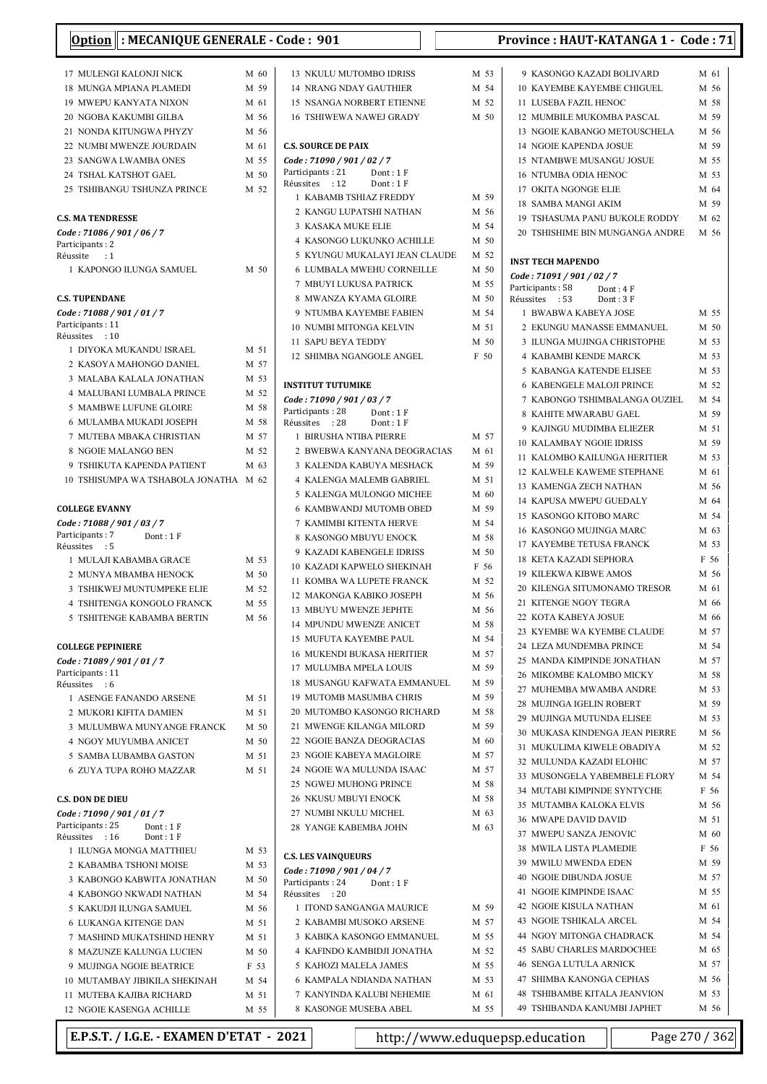| Option : MECANIQUE GENERALE - Code : 901              |              | Province: HAUT-KATANGA 1 - Code: 71                  |              |                                                      |                 |
|-------------------------------------------------------|--------------|------------------------------------------------------|--------------|------------------------------------------------------|-----------------|
| 17 MULENGI KALONJI NICK                               | M 60         | 13 NKULU MUTOMBO IDRISS                              | M 53         | 9 KASONGO KAZADI BOLIVARD                            | M 61            |
| 18 MUNGA MPIANA PLAMEDI                               | M 59         | <b>14 NRANG NDAY GAUTHIER</b>                        | M 54         | 10 KAYEMBE KAYEMBE CHIGUEL                           | M 56            |
| <b>19 MWEPU KANYATA NIXON</b>                         | M 61         | <b>15 NSANGA NORBERT ETIENNE</b>                     | M 52         | 11 LUSEBA FAZIL HENOC                                | M 58            |
| 20 NGOBA KAKUMBI GILBA                                | M 56         | <b>16 TSHIWEWA NAWEJ GRADY</b>                       | M 50         | 12 MUMBILE MUKOMBA PASCAL                            | M 59            |
| 21 NONDA KITUNGWA PHYZY                               | M 56         |                                                      |              | 13 NGOIE KABANGO METOUSCHELA                         | M 56            |
| 22 NUMBI MWENZE JOURDAIN                              | M 61         | <b>C.S. SOURCE DE PAIX</b>                           |              | 14 NGOIE KAPENDA JOSUE                               | M 59            |
| 23 SANGWA LWAMBA ONES                                 | M 55         | Code: 71090 / 901 / 02 / 7<br>Participants: 21       |              | 15 NTAMBWE MUSANGU JOSUE                             | M 55            |
| 24 TSHAL KATSHOT GAEL                                 | M 50         | Dont: $1 F$<br>Réussites : 12<br>Dont: 1F            |              | <b>16 NTUMBA ODIA HENOC</b>                          | M 53            |
| 25 TSHIBANGU TSHUNZA PRINCE                           | M 52         | 1 KABAMB TSHIAZ FREDDY                               | M 59         | 17 OKITA NGONGE ELIE                                 | M 64<br>M 59    |
| <b>C.S. MA TENDRESSE</b>                              |              | 2 KANGU LUPATSHI NATHAN                              | M 56         | 18 SAMBA MANGI AKIM<br>19 TSHASUMA PANU BUKOLE RODDY | M 62            |
| Code: 71086 / 901 / 06 / 7                            |              | 3 KASAKA MUKE ELIE                                   | M 54         | 20 TSHISHIME BIN MUNGANGA ANDRE                      | M 56            |
| Participants: 2                                       |              | 4 KASONGO LUKUNKO ACHILLE                            | M 50         |                                                      |                 |
| Réussite<br>$\cdot$ :1                                |              | 5 KYUNGU MUKALAYI JEAN CLAUDE                        | M 52         | <b>INST TECH MAPENDO</b>                             |                 |
| 1 KAPONGO ILUNGA SAMUEL                               | M 50         | 6 LUMBALA MWEHU CORNEILLE                            | M 50         | Code: 71091 / 901 / 02 / 7                           |                 |
|                                                       |              | 7 MBUYI LUKUSA PATRICK                               | M 55<br>M 50 | Participants: 58<br>Dont: 4 F                        |                 |
| <b>C.S. TUPENDANE</b><br>Code: 71088 / 901 / 01 / 7   |              | 8 MWANZA KYAMA GLOIRE<br>9 NTUMBA KAYEMBE FABIEN     | M 54         | Réussites : 53<br>Dont: 3F<br>1 BWABWA KABEYA JOSE   | M 55            |
| Participants: 11                                      |              | <b>10 NUMBI MITONGA KELVIN</b>                       | M 51         | 2 EKUNGU MANASSE EMMANUEL                            | M 50            |
| Réussites : 10                                        |              | 11 SAPU BEYA TEDDY                                   | M 50         | 3 ILUNGA MUJINGA CHRISTOPHE                          | M 53            |
| 1 DIYOKA MUKANDU ISRAEL                               | M 51         | 12 SHIMBA NGANGOLE ANGEL                             | F 50         | 4  KABAMBI KENDE MARCK                               | M 53            |
| 2 KASOYA MAHONGO DANIEL                               | M 57         |                                                      |              | 5 KABANGA KATENDE ELISEE                             | M 53            |
| 3 MALABA KALALA JONATHAN                              | M 53         | <b>INSTITUT TUTUMIKE</b>                             |              | <b>6 KABENGELE MALOJI PRINCE</b>                     | M 52            |
| 4 MALUBANI LUMBALA PRINCE                             | M 52<br>M 58 | Code: 71090 / 901 / 03 / 7                           |              | 7 KABONGO TSHIMBALANGA OUZIEL                        | M 54            |
| 5 MAMBWE LUFUNE GLOIRE<br>6 MULAMBA MUKADI JOSEPH     | M 58         | Participants: 28<br>Dont: 1F                         |              | 8 KAHITE MWARABU GAEL                                | M 59            |
| 7 MUTEBA MBAKA CHRISTIAN                              | M 57         | Réussites : 28<br>Dont: 1F<br>1 BIRUSHA NTIBA PIERRE | M 57         | 9 KAJINGU MUDIMBA ELIEZER                            | M 51            |
| 8 NGOIE MALANGO BEN                                   | M 52         | 2 BWEBWA KANYANA DEOGRACIAS                          | M 61         | <b>10 KALAMBAY NGOIE IDRISS</b>                      | M 59            |
| 9 TSHIKUTA KAPENDA PATIENT                            | M 63         | 3 KALENDA KABUYA MESHACK                             | M 59         | 11 KALOMBO KAILUNGA HERITIER                         | M 53            |
| 10 TSHISUMPA WA TSHABOLA JONATHA M 62                 |              | 4 KALENGA MALEMB GABRIEL                             | M 51         | 12 KALWELE KAWEME STEPHANE                           | M 61            |
|                                                       |              | 5 KALENGA MULONGO MICHEE                             | M 60         | 13 KAMENGA ZECH NATHAN                               | M 56<br>M 64    |
| <b>COLLEGE EVANNY</b>                                 |              | 6 KAMBWANDJ MUTOMB OBED                              | M 59         | 14 KAPUSA MWEPU GUEDALY<br>15 KASONGO KITOBO MARC    | M 54            |
| Code: 71088 / 901 / 03 / 7                            |              | 7 KAMIMBI KITENTA HERVE                              | M 54         | 16 KASONGO MUJINGA MARC                              | M 63            |
| Participants: 7<br>Dont: 1F<br>Réussites : 5          |              | 8 KASONGO MBUYU ENOCK                                | M 58         | <b>17 KAYEMBE TETUSA FRANCK</b>                      | M 53            |
| 1 MULAJI KABAMBA GRACE                                | M 53         | 9 KAZADI KABENGELE IDRISS                            | M 50         | 18 KETA KAZADI SEPHORA                               | F 56            |
| 2 MUNYA MBAMBA HENOCK                                 | M 50         | <b>10 KAZADI KAPWELO SHEKINAH</b>                    | F 56         | <b>19 KILEKWA KIBWE AMOS</b>                         | M 56            |
| 3 TSHIKWEJ MUNTUMPEKE ELIE                            | M 52         | 11 KOMBA WA LUPETE FRANCK                            | M 52         | 20 KILENGA SITUMONAMO TRESOR                         | M 61            |
| 4 TSHITENGA KONGOLO FRANCK                            | M 55         | 12 MAKONGA KABIKO JOSEPH<br>13 MBUYU MWENZE JEPHTE   | M 56         | 21 KITENGE NGOY TEGRA                                | $\mathbf{M}$ 66 |
| 5 TSHITENGE KABAMBA BERTIN                            | M 56         | 14 MPUNDU MWENZE ANICET                              | M 56<br>M 58 | 22 KOTA KABEYA JOSUE                                 | M 66            |
|                                                       |              | 15 MUFUTA KAYEMBE PAUL                               | M 54         | 23 KYEMBE WA KYEMBE CLAUDE                           | M 57            |
| <b>COLLEGE PEPINIERE</b>                              |              | <b>16 MUKENDI BUKASA HERITIER</b>                    | M 57         | 24 LEZA MUNDEMBA PRINCE                              | M 54            |
| Code: 71089 / 901 / 01 / 7<br>Participants: 11        |              | 17 MULUMBA MPELA LOUIS                               | M 59         | 25 MANDA KIMPINDE JONATHAN                           | M 57            |
| Réussites : 6                                         |              | 18 MUSANGU KAFWATA EMMANUEL                          | M 59         | 26 MIKOMBE KALOMBO MICKY                             | M 58            |
| 1 ASENGE FANANDO ARSENE                               | M 51         | 19 MUTOMB MASUMBA CHRIS                              | M 59         | 27 MUHEMBA MWAMBA ANDRE<br>28 MUJINGA IGELIN ROBERT  | M 53<br>M 59    |
| 2 MUKORI KIFITA DAMIEN                                | M 51         | 20 MUTOMBO KASONGO RICHARD                           | M 58         | 29 MUJINGA MUTUNDA ELISEE                            | M 53            |
| 3 MULUMBWA MUNYANGE FRANCK                            | M 50         | 21 MWENGE KILANGA MILORD                             | M 59         | 30 MUKASA KINDENGA JEAN PIERRE                       | M 56            |
| 4 NGOY MUYUMBA ANICET                                 | M 50         | 22 NGOIE BANZA DEOGRACIAS                            | M 60         | 31 MUKULIMA KIWELE OBADIYA                           | M 52            |
| 5 SAMBA LUBAMBA GASTON                                | M 51         | 23 NGOIE KABEYA MAGLOIRE                             | M 57         | 32 MULUNDA KAZADI ELOHIC                             | M 57            |
| 6 ZUYA TUPA ROHO MAZZAR                               | M 51         | 24 NGOIE WA MULUNDA ISAAC                            | M 57         | 33 MUSONGELA YABEMBELE FLORY                         | M 54            |
|                                                       |              | 25 NGWEJ MUHONG PRINCE                               | M 58         | 34 MUTABI KIMPINDE SYNTYCHE                          | F 56            |
| <b>C.S. DON DE DIEU</b><br>Code: 71090 / 901 / 01 / 7 |              | 26 NKUSU MBUYI ENOCK<br>27 NUMBI NKULU MICHEL        | M 58<br>M 63 | 35 MUTAMBA KALOKA ELVIS                              | M 56            |
| Participants: 25<br>Dont: 1 F                         |              | 28 YANGE KABEMBA JOHN                                | M 63         | 36 MWAPE DAVID DAVID                                 | M 51            |
| Réussites : 16<br>Dont: 1 F                           |              |                                                      |              | 37 MWEPU SANZA JENOVIC                               | M 60            |
| 1 ILUNGA MONGA MATTHIEU                               | M 53         | <b>C.S. LES VAINQUEURS</b>                           |              | 38 MWILA LISTA PLAMEDIE                              | F 56            |
| 2 KABAMBA TSHONI MOISE                                | M 53         | Code: 71090 / 901 / 04 / 7                           |              | 39 MWILU MWENDA EDEN                                 | M 59            |
| 3 KABONGO KABWITA JONATHAN                            | M 50         | Participants: 24<br>Dont: 1F                         |              | 40 NGOIE DIBUNDA JOSUE                               | M 57            |
| 4 KABONGO NKWADI NATHAN                               | M 54         | Réussites : 20                                       | M 59         | 41 NGOIE KIMPINDE ISAAC<br>42 NGOIE KISULA NATHAN    | M 55<br>M 61    |
| 5 KAKUDJI ILUNGA SAMUEL                               | M 56         | 1 ITOND SANGANGA MAURICE<br>2 KABAMBI MUSOKO ARSENE  | M 57         | 43 NGOIE TSHIKALA ARCEL                              | M 54            |
| 6 LUKANGA KITENGE DAN<br>7 MASHIND MUKATSHIND HENRY   | M 51<br>M 51 | 3 KABIKA KASONGO EMMANUEL                            | M 55         | 44 NGOY MITONGA CHADRACK                             | M 54            |
| 8 MAZUNZE KALUNGA LUCIEN                              | M 50         | 4 KAFINDO KAMBIDJI JONATHA                           | M 52         | <b>45 SABU CHARLES MARDOCHEE</b>                     | M 65            |
| 9 MUJINGA NGOIE BEATRICE                              | F 53         | 5 KAHOZI MALELA JAMES                                | M 55         | <b>46 SENGA LUTULA ARNICK</b>                        | M 57            |
| 10 MUTAMBAY JIBIKILA SHEKINAH                         | M 54         | 6 KAMPALA NDIANDA NATHAN                             | M 53         | 47 SHIMBA KANONGA CEPHAS                             | M 56            |
| 11 MUTEBA KAJIBA RICHARD                              | M 51         | 7 KANYINDA KALUBI NEHEMIE                            | M 61         | <b>48 TSHIBAMBE KITALA JEANVION</b>                  | M 53            |
| 12 NGOIE KASENGA ACHILLE                              | M 55         | 8 KASONGE MUSEBA ABEL                                | M 55         | 49 TSHIBANDA KANUMBI JAPHET                          | M 56            |

|  | 9  KASONGO KAZADI BOLIVARD      | M 61 |      |
|--|---------------------------------|------|------|
|  | 10 KAYEMBE KAYEMBE CHIGUEL      |      | M 56 |
|  | 11 LUSEBA FAZIL HENOC           |      | M 58 |
|  | 12. MUMBILE MUKOMBA PASCAL      |      | M 59 |
|  | 13 NGOIE KABANGO METOUSCHELA    |      | M 56 |
|  | 14 NGOIE KAPENDA IOSUE          |      | M 59 |
|  | 15 NTAMBWE MUSANGU JOSUE        |      | M 55 |
|  | 16 NTUMBA ODIA HENOC            | M 53 |      |
|  | 17 OKITA NGONGE ELIE            |      | M 64 |
|  | 18 SAMBA MANGI AKIM             |      | M 59 |
|  | 19 TSHASUMA PANU BUKOLE RODDY   |      | M 62 |
|  | 20 TSHISHIME BIN MUNGANGA ANDRE |      | M 56 |
|  |                                 |      |      |

### INST TECH MAPENDO

| Code: 71091 / 901 / 02 / 7                             |      |
|--------------------------------------------------------|------|
| Participants: 58 Dont: 4 F<br>Réussites : 53 Dont: 3 F |      |
| 1 BWABWA KABEYA JOSE                                   | M 55 |
| 2 EKUNGU MANASSE EMMANUEL                              | M 50 |
| 3 ILUNGA MUJINGA CHRISTOPHE                            | M 53 |
| <b>4 KABAMBI KENDE MARCK</b>                           | M 53 |
| 5 KABANGA KATENDE ELISEE                               | M 53 |
| 6 KABENGELE MALOJI PRINCE                              | M 52 |
| 7 KABONGO TSHIMBALANGA OUZIEL                          | M 54 |
| 8 KAHITE MWARABU GAEL                                  | M 59 |
| 9 KAJINGU MUDIMBA ELIEZER                              | M 51 |
| <b>10 KALAMBAY NGOIE IDRISS</b>                        | M 59 |
| 11 KALOMBO KAILUNGA HERITIER                           | M 53 |
| 12 KALWELE KAWEME STEPHANE                             | M 61 |
| <b>13 KAMENGA ZECH NATHAN</b>                          | M 56 |
| 14 KAPUSA MWEPU GUEDALY                                | M 64 |
| 15 KASONGO KITOBO MARC                                 | M 54 |
| 16 KASONGO MUJINGA MARC                                | M 63 |
| 17 KAYEMBE TETUSA FRANCK                               | M 53 |
| <b>18 KETA KAZADI SEPHORA</b>                          | F 56 |
| <b>19 KILEKWA KIBWE AMOS</b>                           | M 56 |
| 20 KILENGA SITUMONAMO TRESOR                           | M 61 |
| 21 KITENGE NGOY TEGRA                                  | M 66 |
| 22 KOTA KABEYA JOSUE                                   | M 66 |
| 23 KYEMBE WA KYEMBE CLAUDE                             | M 57 |
| 24 LEZA MUNDEMBA PRINCE                                | M 54 |
| 25 MANDA KIMPINDE JONATHAN                             | M 57 |
| 26 MIKOMBE KALOMBO MICKY                               | M 58 |
| 27 MUHEMBA MWAMBA ANDRE                                | M 53 |
| 28 MUJINGA IGELIN ROBERT                               | M 59 |
| 29 MUJINGA MUTUNDA ELISEE                              | M 53 |
| 30 MUKASA KINDENGA JEAN PIERRE                         | M 56 |
| 31 MUKULIMA KIWELE OBADIYA                             | M 52 |
| 32 MULUNDA KAZADI ELOHIC                               | M 57 |
| 33 MUSONGELA YABEMBELE FLORY M 54                      |      |
| 34 MUTABI KIMPINDE SYNTYCHE                            | F 56 |
| 35 MUTAMBA KALOKA ELVIS                                | M 56 |
| 36 MWAPE DAVID DAVID                                   | M 51 |
| 37 MWEPU SANZA JENOVIC                                 | M 60 |
| 38 MWILA LISTA PLAMEDIE                                | F 56 |
| 39 MWILU MWENDA EDEN                                   | M 59 |
| <b>40 NGOIE DIBUNDA JOSUE</b>                          | M 57 |
| <b>41 NGOIE KIMPINDE ISAAC</b>                         | M 55 |
| <b>42 NGOIE KISULA NATHAN</b>                          | M 61 |
| <b>43 NGOIE TSHIKALA ARCEL</b>                         | M 54 |
| 44 NGOY MITONGA CHADRACK                               | M 54 |
| <b>45 SABU CHARLES MARDOCHEE</b>                       | M 65 |
| <b>46 SENGA LUTULA ARNICK</b>                          | M 57 |
| <b>47 SHIMBA KANONGA CEPHAS</b>                        | M 56 |
| <b>48 TSHIBAMBE KITALA JEANVION</b>                    | M 53 |
| 49 TSHIBANDA KANUMBI JAPHET                            | M 56 |

E.P.S.T. / I.G.E. - EXAMEN D'ETAT - 2021 http://www.eduquepsp.education Page 270 / 362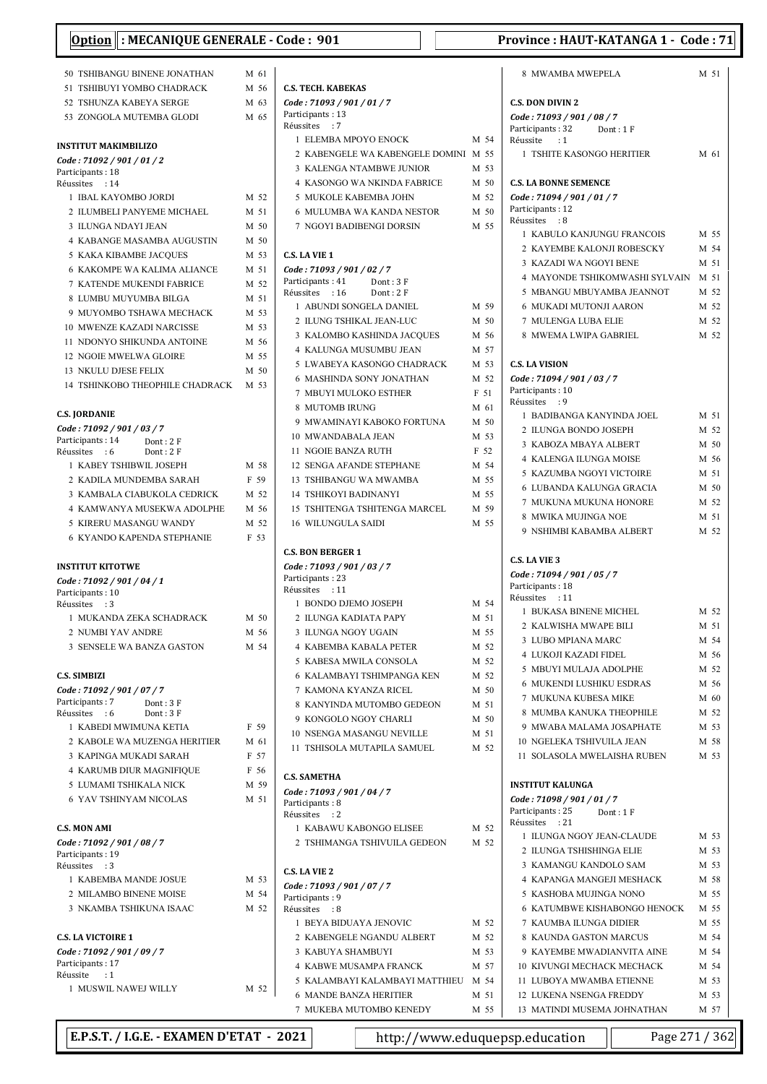| Option : MECANIQUE GENERALE - Code : 901<br>Province: HAUT-KATANGA 1 - Code: 71 |      |                                                            |      |                                                       |              |
|---------------------------------------------------------------------------------|------|------------------------------------------------------------|------|-------------------------------------------------------|--------------|
| 50 TSHIBANGU BINENE JONATHAN                                                    | M 61 |                                                            |      | 8 MWAMBA MWEPELA                                      | M 51         |
| 51 TSHIBUYI YOMBO CHADRACK                                                      | M 56 | <b>C.S. TECH. KABEKAS</b>                                  |      |                                                       |              |
| 52 TSHUNZA KABEYA SERGE                                                         | M 63 | Code: 71093 / 901 / 01 / 7                                 |      | <b>C.S. DON DIVIN 2</b>                               |              |
| 53 ZONGOLA MUTEMBA GLODI                                                        | M 65 | Participants: 13                                           |      | Code: 71093 / 901 / 08 / 7                            |              |
|                                                                                 |      | Réussites : 7                                              |      | Participants: 32<br>Dont: 1F                          |              |
| <b>INSTITUT MAKIMBILIZO</b>                                                     |      | 1 ELEMBA MPOYO ENOCK                                       | M 54 | Réussite<br>$\cdot$ :1                                |              |
| Code: 71092 / 901 / 01 / 2                                                      |      | 2 KABENGELE WA KABENGELE DOMINI M 55                       |      | 1 TSHITE KASONGO HERITIER                             | M 61         |
| Participants: 18                                                                |      | 3 KALENGA NTAMBWE JUNIOR                                   | M 53 |                                                       |              |
| Réussites : 14                                                                  |      | <b>4 KASONGO WA NKINDA FABRICE</b>                         | M 50 | <b>C.S. LA BONNE SEMENCE</b>                          |              |
| 1 IBAL KAYOMBO JORDI                                                            | M 52 | 5 MUKOLE KABEMBA JOHN                                      | M 52 | Code: 71094 / 901 / 01 / 7                            |              |
| 2 ILUMBELI PANYEME MICHAEL                                                      | M 51 | 6 MULUMBA WA KANDA NESTOR                                  | M 50 | Participants: 12<br>Réussites : 8                     |              |
| 3 ILUNGA NDAYI JEAN                                                             | M 50 | 7 NGOYI BADIBENGI DORSIN                                   | M 55 | 1 KABULO KANJUNGU FRANCOIS                            | M 55         |
| 4 KABANGE MASAMBA AUGUSTIN                                                      | M 50 |                                                            |      | 2 KAYEMBE KALONJI ROBESCKY                            | M 54         |
| 5 KAKA KIBAMBE JACQUES                                                          | M 53 | <b>C.S. LA VIE 1</b>                                       |      | 3 KAZADI WA NGOYI BENE                                | M 51         |
| 6 KAKOMPE WA KALIMA ALIANCE                                                     | M 51 | Code: 71093 / 901 / 02 / 7                                 |      | 4 MAYONDE TSHIKOMWASHI SYLVAIN                        | M 51         |
| 7 KATENDE MUKENDI FABRICE                                                       | M 52 | Participants: 41<br>Dont: 3F<br>Réussites : 16<br>Dont: 2F |      | 5 MBANGU MBUYAMBA JEANNOT                             | M 52         |
| 8 LUMBU MUYUMBA BILGA                                                           | M 51 | 1 ABUNDI SONGELA DANIEL                                    | M 59 | 6 MUKADI MUTONJI AARON                                | M 52         |
| 9 MUYOMBO TSHAWA MECHACK                                                        | M 53 | 2 ILUNG TSHIKAL JEAN-LUC                                   | M 50 | 7 MULENGA LUBA ELIE                                   | M 52         |
| <b>10 MWENZE KAZADI NARCISSE</b>                                                | M 53 |                                                            | M 56 | 8 MWEMA LWIPA GABRIEL                                 | M 52         |
| 11 NDONYO SHIKUNDA ANTOINE                                                      | M 56 | 3 KALOMBO KASHINDA JACQUES<br>4 KALUNGA MUSUMBU JEAN       | M 57 |                                                       |              |
| <b>12 NGOIE MWELWA GLOIRE</b>                                                   | M 55 |                                                            |      |                                                       |              |
| 13 NKULU DJESE FELIX                                                            | M 50 | 5 LWABEYA KASONGO CHADRACK                                 | M 53 | <b>C.S. LA VISION</b>                                 |              |
| <b>14 TSHINKOBO THEOPHILE CHADRACK</b>                                          | M 53 | 6 MASHINDA SONY JONATHAN                                   | M 52 | Code: 71094 / 901 / 03 / 7<br>Participants: 10        |              |
|                                                                                 |      | 7 MBUYI MULOKO ESTHER                                      | F 51 | Réussites : 9                                         |              |
| <b>C.S. JORDANIE</b>                                                            |      | 8 MUTOMB IRUNG                                             | M 61 | 1 BADIBANGA KANYINDA JOEL                             | M 51         |
| Code: 71092 / 901 / 03 / 7                                                      |      | 9 MWAMINAYI KABOKO FORTUNA                                 | M 50 | 2 ILUNGA BONDO JOSEPH                                 | M 52         |
| Participants: 14<br>Dont: 2F                                                    |      | 10 MWANDABALA JEAN                                         | M 53 | 3 KABOZA MBAYA ALBERT                                 | M 50         |
| Dont: 2F<br>Réussites : 6                                                       |      | 11 NGOIE BANZA RUTH                                        | F 52 | 4 KALENGA ILUNGA MOISE                                | M 56         |
| 1 KABEY TSHIBWIL JOSEPH                                                         | M 58 | 12 SENGA AFANDE STEPHANE                                   | M 54 | 5 KAZUMBA NGOYI VICTOIRE                              | M 51         |
| 2 KADILA MUNDEMBA SARAH                                                         | F 59 | 13 TSHIBANGU WA MWAMBA                                     | M 55 | 6 LUBANDA KALUNGA GRACIA                              | M 50         |
| 3 KAMBALA CIABUKOLA CEDRICK                                                     | M 52 | <b>14 TSHIKOYI BADINANYI</b>                               | M 55 | 7 MUKUNA MUKUNA HONORE                                | M 52         |
| 4 KAMWANYA MUSEKWA ADOLPHE                                                      | M 56 | <b>15 TSHITENGA TSHITENGA MARCEL</b>                       | M 59 | 8 MWIKA MUJINGA NOE                                   | M 51         |
| 5 KIRERU MASANGU WANDY                                                          | M 52 | <b>16 WILUNGULA SAIDI</b>                                  | M 55 | 9 NSHIMBI KABAMBA ALBERT                              | M 52         |
| <b>6 KYANDO KAPENDA STEPHANIE</b>                                               | F 53 |                                                            |      |                                                       |              |
|                                                                                 |      | <b>C.S. BON BERGER 1</b>                                   |      | <b>C.S. LA VIE 3</b>                                  |              |
| <b>INSTITUT KITOTWE</b>                                                         |      | Code: 71093 / 901 / 03 / 7                                 |      | Code: 71094 / 901 / 05 / 7                            |              |
| Code: 71092 / 901 / 04 / 1                                                      |      | Participants: 23<br>Réussites : 11                         |      | Participants: 18                                      |              |
| Participants: 10<br>Réussites : 3                                               |      | 1 BONDO DJEMO JOSEPH                                       | M 54 | Réussites : 11                                        |              |
| 1 MUKANDA ZEKA SCHADRACK                                                        | M 50 | 2 ILUNGA KADIATA PAPY                                      | M 51 | 1 BUKASA BINENE MICHEL                                | M 52         |
| 2 NUMBI YAV ANDRE                                                               | M 56 | 3 ILUNGA NGOY UGAIN                                        | M 55 | 2 KALWISHA MWAPE BILI                                 | M 51         |
| 3 SENSELE WA BANZA GASTON                                                       | M 54 | <b>4 KABEMBA KABALA PETER</b>                              | M 52 | 3 LUBO MPIANA MARC                                    | M 54         |
|                                                                                 |      | 5 KABESA MWILA CONSOLA                                     | M 52 | 4 LUKOJI KAZADI FIDEL                                 | M 56         |
| <b>C.S. SIMBIZI</b>                                                             |      | 6 KALAMBAYI TSHIMPANGA KEN                                 | M 52 | 5 MBUYI MULAJA ADOLPHE                                | M 52         |
| Code: 71092 / 901 / 07 / 7                                                      |      | 7 KAMONA KYANZA RICEL                                      | M 50 | 6 MUKENDI LUSHIKU ESDRAS                              | M 56         |
| Participants: 7<br>Dont: 3 F                                                    |      | 8 KANYINDA MUTOMBO GEDEON                                  | M 51 | 7 MUKUNA KUBESA MIKE                                  | M 60         |
| Réussites : 6<br>Dont: $3F$                                                     |      | 9 KONGOLO NGOY CHARLI                                      | M 50 | 8 MUMBA KANUKA THEOPHILE                              | M 52         |
| 1 KABEDI MWIMUNA KETIA                                                          | F 59 | 10 NSENGA MASANGU NEVILLE                                  | M 51 | 9 MWABA MALAMA JOSAPHATE                              | M 53         |
| 2 KABOLE WA MUZENGA HERITIER                                                    | M 61 | 11 TSHISOLA MUTAPILA SAMUEL                                | M 52 | 10 NGELEKA TSHIVUILA JEAN                             | M 58         |
| 3 KAPINGA MUKADI SARAH                                                          | F 57 |                                                            |      | 11 SOLASOLA MWELAISHA RUBEN                           | M 53         |
| <b>4 KARUMB DIUR MAGNIFIQUE</b>                                                 | F 56 | <b>C.S. SAMETHA</b>                                        |      |                                                       |              |
| 5 LUMAMI TSHIKALA NICK                                                          | M 59 | Code: 71093 / 901 / 04 / 7                                 |      | <b>INSTITUT KALUNGA</b>                               |              |
| <b>6 YAV TSHINYAM NICOLAS</b>                                                   | M 51 | Participants: 8                                            |      | Code: 71098 / 901 / 01 / 7                            |              |
|                                                                                 |      | Réussites : 2                                              |      | Participants: 25<br>Dont: 1F                          |              |
| <b>C.S. MON AMI</b>                                                             |      | 1 KABAWU KABONGO ELISEE                                    | M 52 | Réussites : 21                                        |              |
| Code: 71092 / 901 / 08 / 7                                                      |      | 2 TSHIMANGA TSHIVUILA GEDEON                               | M 52 | 1 ILUNGA NGOY JEAN-CLAUDE<br>2 ILUNGA TSHISHINGA ELIE | M 53<br>M 53 |
| Participants: 19                                                                |      |                                                            |      | 3 KAMANGU KANDOLO SAM                                 | M 53         |
| Réussites : 3<br>1 KABEMBA MANDE JOSUE                                          | M 53 | <b>C.S. LA VIE 2</b>                                       |      | 4 KAPANGA MANGEJI MESHACK                             | M 58         |
| 2 MILAMBO BINENE MOISE                                                          | M 54 | Code: 71093 / 901 / 07 / 7                                 |      | 5 KASHOBA MUJINGA NONO                                | M 55         |
|                                                                                 |      | Participants: 9                                            |      | 6 KATUMBWE KISHABONGO HENOCK                          |              |
| 3 NKAMBA TSHIKUNA ISAAC                                                         | M 52 | Réussites : 8                                              | M 52 | 7 KAUMBA ILUNGA DIDIER                                | M 55<br>M 55 |
|                                                                                 |      | 1 BEYA BIDUAYA JENOVIC                                     |      |                                                       |              |
| <b>C.S. LA VICTOIRE 1</b>                                                       |      | 2 KABENGELE NGANDU ALBERT                                  | M 52 | 8 KAUNDA GASTON MARCUS                                | M 54         |
| Code: 71092 / 901 / 09 / 7<br>Participants: 17                                  |      | 3 KABUYA SHAMBUYI                                          | M 53 | 9 KAYEMBE MWADIANVITA AINE                            | M 54         |
| Réussite<br>$\cdot$ :1                                                          |      | 4 KABWE MUSAMPA FRANCK                                     | M 57 | 10 KIVUNGI MECHACK MECHACK                            | M 54         |
| 1 MUSWIL NAWEJ WILLY                                                            | M 52 | 5 KALAMBAYI KALAMBAYI MATTHIEU                             | M 54 | 11 LUBOYA MWAMBA ETIENNE                              | M 53         |
|                                                                                 |      | <b>6 MANDE BANZA HERITIER</b>                              | M 51 | 12 LUKENA NSENGA FREDDY                               | M 53         |
|                                                                                 |      | 7 MUKEBA MUTOMBO KENEDY                                    | M 55 | 13 MATINDI MUSEMA JOHNATHAN                           | M 57         |

E.P.S.T. / I.G.E. - EXAMEN D'ETAT - 2021 http://www.eduquepsp.education Page 271 / 362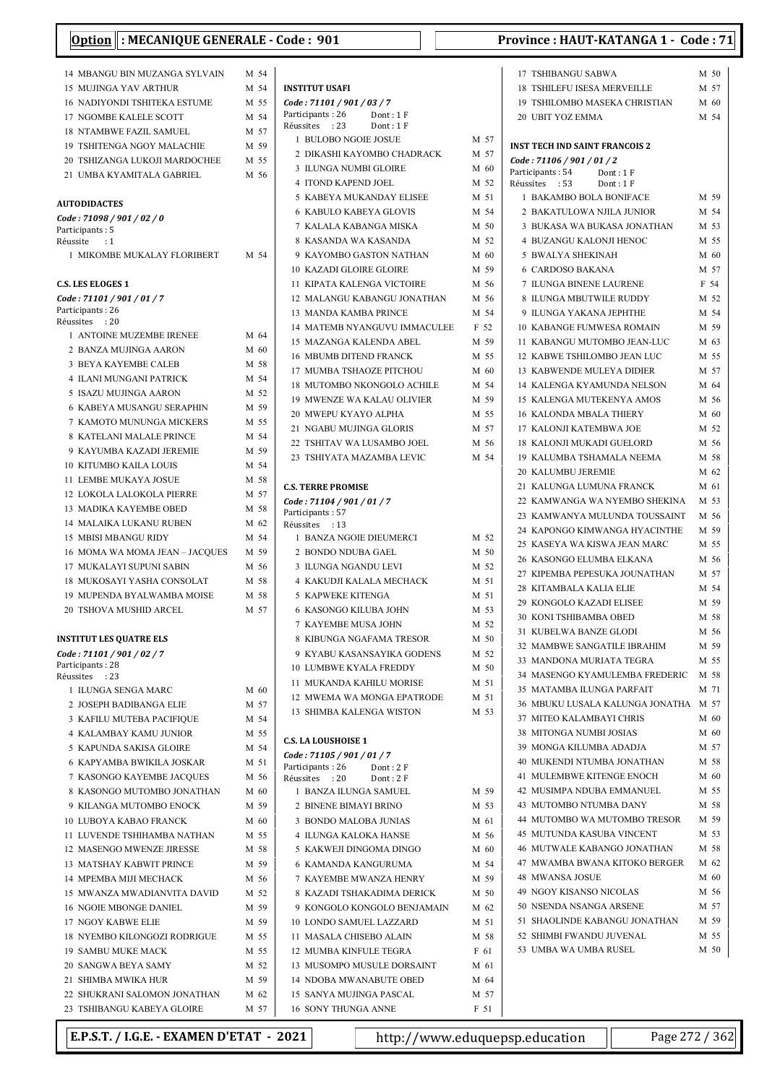| J L                                                           |              |                                  |
|---------------------------------------------------------------|--------------|----------------------------------|
| 14 MBANGU BIN MUZANGA SYLVAIN                                 | M 54         |                                  |
| <b>15 MUJINGA YAV ARTHUR</b>                                  | M 54         | INSTI                            |
| 16 NADIYONDI TSHITEKA ESTUME                                  | M 55         | Code                             |
| 17 NGOMBE KALELE SCOTT                                        | M 54         | Partic                           |
| <b>18 NTAMBWE FAZIL SAMUEL</b>                                | M 57         | Réuss<br>$1$ .                   |
| <b>19 TSHITENGA NGOY MALACHIE</b>                             | M 59         | $2^{\circ}$                      |
| 20 TSHIZANGA LUKOJI MARDOCHEE                                 | M 55         | 3 <sup>1</sup>                   |
| 21 UMBA KYAMITALA GABRIEL                                     | M 56         | 4 <sup>1</sup>                   |
|                                                               |              | $5^{\circ}$                      |
| <b>AUTODIDACTES</b><br>Code : 71098 / 901 / 02 / 0            |              | 6                                |
| Participants : 5                                              |              | 7 <sup>1</sup>                   |
| Réussite<br>: 1                                               |              | 8                                |
| 1 MIKOMBE MUKALAY FLORIBERT                                   | M 54         | 9 <sup>1</sup>                   |
| C.S. LES ELOGES 1                                             |              | $10^{\circ}$<br>11 1             |
| Code : 71101 / 901 / 01 / 7                                   |              | 12                               |
| Participants: 26                                              |              | 13 <sup>2</sup>                  |
| Réussites : 20                                                |              | 14                               |
| 1 ANTOINE MUZEMBE IRENEE                                      | M 64         | 15                               |
| 2 BANZA MUJINGA AARON                                         | M 60         | 16 <sup>2</sup>                  |
| <b>3 BEYA KAYEMBE CALEB</b><br><b>4 ILANI MUNGANI PATRICK</b> | M 58<br>M 54 | 17 <sup>2</sup>                  |
| 5 ISAZU MUJINGA AARON                                         | M 52         | 18 <sup>2</sup>                  |
| <b>6 KABEYA MUSANGU SERAPHIN</b>                              | M 59         | 19                               |
| 7 KAMOTO MUNUNGA MICKERS                                      | M 55         | 20 <sup>2</sup>                  |
| 8 KATELANI MALALE PRINCE                                      | M 54         | 21                               |
| 9 KAYUMBA KAZADI JEREMIE                                      | M 59         | 22'                              |
| <b>10 KITUMBO KAILA LOUIS</b>                                 | M 54         | 23                               |
| 11 LEMBE MUKAYA JOSUE                                         | M 58         | C.S. T                           |
| 12 LOKOLA LALOKOLA PIERRE                                     | M 57         | Code                             |
| 13 MADIKA KAYEMBE OBED                                        | M 58         | Partic                           |
| <b>14 MALAIKA LUKANU RUBEN</b>                                | M 62         | Réuss                            |
| <b>15 MBISI MBANGU RIDY</b>                                   | M 54         | $\mathbf{1}$                     |
| 16 MOMA WA MOMA JEAN – JACQUES                                | M 59         | $2^{\circ}$                      |
| 17 MUKALAYI SUPUNI SABIN                                      | M 56         | 3 <sup>1</sup>                   |
| 18 MUKOSAYI YASHA CONSOLAT<br>19 MUPENDA BYALWAMBA MOISE      | M 58<br>M 58 | 4 <sup>1</sup><br>5 <sup>1</sup> |
| 20 TSHOVA MUSHID ARCEL                                        | M 57         | 6                                |
|                                                               |              | 7 <sup>1</sup>                   |
| INSTITUT LES QUATRE ELS                                       |              | 8                                |
| Code : 71101 / 901 / 02 / 7                                   |              | 9 <sup>1</sup>                   |
| Participants : 28                                             |              | $10^{-1}$                        |
| Réussites :23<br>1 ILUNGA SENGA MARC                          | M 60         | 11 1                             |
| 2 JOSEPH BADIBANGA ELIE                                       | M 57         | 12                               |
| 3 KAFILU MUTEBA PACIFIQUE                                     | M 54         | 13 <sup>1</sup>                  |
| <b>4 KALAMBAY KAMU JUNIOR</b>                                 | M 55         |                                  |
| 5 KAPUNDA SAKISA GLOIRE                                       | M 54         | C.S. L.                          |
| <b>6 KAPYAMBA BWIKILA JOSKAR</b>                              | M 51         | Code<br>Partic                   |
| 7 KASONGO KAYEMBE JACQUES                                     | M 56         | Réuss                            |
| 8 KASONGO MUTOMBO JONATHAN                                    | M 60         | $1$ .                            |
| 9 KILANGA MUTOMBO ENOCK                                       | M 59         | 2 <sup>1</sup>                   |
| <b>10 LUBOYA KABAO FRANCK</b>                                 | M 60         | 3 <sup>1</sup>                   |
| 11 LUVENDE TSHIHAMBA NATHAN                                   | M 55         | 4 <sup>1</sup>                   |
| 12 MASENGO MWENZE JIRESSE                                     | M 58         | $5^{\circ}$                      |
| <b>13 MATSHAY KABWIT PRINCE</b><br>14 MPEMBA MIJI MECHACK     | M 59<br>M 56 | 6<br>7 <sup>1</sup>              |
| 15 MWANZA MWADIANVITA DAVID                                   | M 52         | 8                                |
| <b>16 NGOIE MBONGE DANIEL</b>                                 | M 59         | 9                                |
| <b>17 NGOY KABWE ELIE</b>                                     | M 59         | $10^{-1}$                        |
| 18 NYEMBO KILONGOZI RODRIGUE                                  | M 55         | 11 1                             |
| <b>19 SAMBU MUKE MACK</b>                                     | M 55         | 12                               |
| 20 SANGWA BEYA SAMY                                           | M 52         | 13                               |
| 21 SHIMBA MWIKA HUR                                           | M 59         | 14                               |
| 22 SHUKRANI SALOMON JONATHAN                                  | M 62         | 15 :                             |
| 23 TSHIBANGU KABEYA GLOIRE                                    | M 57         | 16 <sup>1</sup>                  |

| <b>INSTITUT USAFI</b>                                         |                 |
|---------------------------------------------------------------|-----------------|
| Code: 71101 / 901 / 03 / 7                                    |                 |
| Participants: 26<br>Dont: 1F<br>Réussites : 23<br>Dont: $1 F$ |                 |
| 1 BULOBO NGOIE JOSUE                                          | M 57            |
| 2 DIKASHI KAYOMBO CHADRACK                                    | M 57            |
| 3 ILUNGA NUMBI GLOIRE                                         | M 60            |
| <b>4 ITOND KAPEND JOEL</b>                                    | M 52            |
| 5 KABEYA MUKANDAY ELISEE                                      | M 51            |
| <b>6 KABULO KABEYA GLOVIS</b>                                 | M 54            |
| 7 KALALA KABANGA MISKA                                        | M 50            |
| 8 KASANDA WA KASANDA                                          | M 52            |
| 9 KAYOMBO GASTON NATHAN                                       | M 60            |
| <b>10 KAZADI GLOIRE GLOIRE</b>                                | M 59            |
| 11 KIPATA KALENGA VICTOIRE                                    | M 56            |
| 12 MALANGU KABANGU JONATHAN                                   | M 56            |
| <b>13 MANDA KAMBA PRINCE</b>                                  | M 54            |
| 14 MATEMB NYANGUVU IMMACULEE                                  | F 52            |
| 15 MAZANGA KALENDA ABEL                                       | M 59            |
| <b>16 MBUMB DITEND FRANCK</b>                                 | M 55            |
| 17 MUMBA TSHAOZE PITCHOU                                      | M <sub>60</sub> |
| 18 MUTOMBO NKONGOLO ACHILE                                    | M 54            |
| <b>19 MWENZE WA KALAU OLIVIER</b>                             | M 59            |
| 20 MWEPU KYAYO ALPHA                                          | M 55            |
| 21 NGABU MUJINGA GLORIS                                       | M 57            |
| 22 TSHITAV WA LUSAMBO JOEL                                    | M 56            |
| 23 TSHIYATA MAZAMBA LEVIC                                     | M 54            |
|                                                               |                 |
| <b>C.S. TERRE PROMISE</b>                                     |                 |
| Code: 71104 / 901 / 01 / 7                                    |                 |
| Participants: 57                                              |                 |
| Réussites : 13                                                |                 |
| 1 BANZA NGOIE DIEUMERCI                                       | M 52            |
| 2 BONDO NDUBA GAEL                                            | M 50            |
| 3 ILUNGA NGANDU LEVI<br><b>4 KAKUDJI KALALA MECHACK</b>       | M 52            |
| 5 KAPWEKE KITENGA                                             | M 51<br>M 51    |
| 6 KASONGO KILUBA JOHN                                         | M 53            |
| 7 KAYEMBE MUSA JOHN                                           | M 52            |
| 8 KIBUNGA NGAFAMA TRESOR                                      | M 50            |
| 9 KYABU KASANSAYIKA GODENS                                    | M 52            |
| <b>10 LUMBWE KYALA FREDDY</b>                                 | M 50            |
| 11 MUKANDA KAHILU MORISE                                      | M 51            |
| 12 MWEMA WA MONGA EPATRODE                                    | M 51            |
| <b>13 SHIMBA KALENGA WISTON</b>                               | M 53            |
|                                                               |                 |
| <b>C.S. LA LOUSHOISE 1</b>                                    |                 |
| Code: 71105 / 901 / 01 / 7                                    |                 |
| Participants: 26<br>Dont: 2F                                  |                 |
| Réussites : 20<br>Dont: 2F                                    |                 |
| 1 BANZA ILUNGA SAMUEL                                         | M 59            |
| 2 BINENE BIMAYI BRINO                                         | M 53            |
| 3 BONDO MALOBA JUNIAS                                         | M 61            |
| 4 ILUNGA KALOKA HANSE                                         | M 56            |
| 5 KAKWEJI DINGOMA DINGO                                       | M 60            |
| <b>6 KAMANDA KANGURUMA</b>                                    | M 54            |
| 7 KAYEMBE MWANZA HENRY                                        | M 59            |
| 8 KAZADI TSHAKADIMA DERICK                                    | M 50            |
| 9 KONGOLO KONGOLO BENJAMAIN                                   | M 62            |
| 10 LONDO SAMUEL LAZZARD                                       | M 51            |
| 11 MASALA CHISEBO ALAIN                                       | M 58            |
| 12 MUMBA KINFULE TEGRA                                        | F 61            |
| 13 MUSOMPO MUSULE DORSAINT                                    | M 61            |
| 14 NDOBA MWANABUTE OBED                                       | M 64            |
| 15 SANYA MUJINGA PASCAL                                       | M 57            |
| 16 SONY THUNGA ANNE                                           | F 51            |

| 17 TSHIBANGU SABWA                                      | M 50         |
|---------------------------------------------------------|--------------|
| <b>18 TSHILEFU ISESA MERVEILLE</b>                      | M 57         |
| 19 TSHILOMBO MASEKA CHRISTIAN                           | M 60         |
| 20 UBIT YOZ EMMA                                        | M 54         |
|                                                         |              |
| <b>INST TECH IND SAINT FRANCOIS 2</b>                   |              |
| Code: 71106 / 901 / 01 / 2                              |              |
| Participants: 54<br>Dont: 1 F                           |              |
| Réussites<br>:53<br>Dont: 1 F                           |              |
| 1<br><b>BAKAMBO BOLA BONIFACE</b>                       | M 59         |
| 2 BAKATULOWA NJILA JUNIOR                               | M 54         |
| <b>3 BUKASA WA BUKASA JONATHAN</b>                      | M 53         |
| 4 BUZANGU KALONJI HENOC                                 | M 55         |
| <b>5 BWALYA SHEKINAH</b>                                | M 60         |
| <b>6 CARDOSO BAKANA</b><br><b>ILUNGA BINENE LAURENE</b> | M 57         |
| 7<br>ILUNGA MBUTWILE RUDDY<br>8                         | F 54         |
| 9 ILUNGA YAKANA JEPHTHE                                 | M 52<br>M 54 |
| <b>10 KABANGE FUMWESA ROMAIN</b>                        | M 59         |
| KABANGU MUTOMBO JEAN-LUC<br>11                          | M 63         |
| 12 KABWE TSHILOMBO JEAN LUC                             | M 55         |
| <b>13 KABWENDE MULEYA DIDIER</b>                        | M 57         |
| 14 KALENGA KYAMUNDA NELSON                              | M 64         |
| 15 KALENGA MUTEKENYA AMOS                               | M 56         |
| 16 KALONDA MBALA THIERY                                 | M 60         |
| 17 KALONJI KATEMBWA JOE                                 | M 52         |
| 18 KALONJI MUKADI GUELORD                               | M 56         |
| <b>19 KALUMBA TSHAMALA NEEMA</b>                        | M 58         |
| 20 KALUMBU JEREMIE                                      | M 62         |
| 21<br>KALUNGA LUMUNA FRANCK                             | M 61         |
| 22 KAMWANGA WA NYEMBO SHEKINA                           | M 53         |
| 23 KAMWANYA MULUNDA TOUSSAINT                           | M 56         |
| 24 KAPONGO KIMWANGA HYACINTHE                           | M 59         |
| 25 KASEYA WA KISWA JEAN MARC                            | M 55         |
| 26 KASONGO ELUMBA ELKANA                                | M 56         |
| 27 KIPEMBA PEPESUKA JOUNATHAN                           | M 57         |
| 28 KITAMBALA KALIA ELIE                                 | M 54         |
| 29 KONGOLO KAZADI ELISEE                                | M 59         |
| <b>30 KONI TSHIBAMBA OBED</b>                           | M 58         |
| KUBELWA BANZE GLODI<br>31                               | M 56         |
| 32 MAMBWE SANGATILE IBRAHIM                             | M 59         |
| 33 MANDONA MURIATA TEGRA                                | M 55         |
| 34 MASENGO KYAMULEMBA FREDERIC M 58                     |              |
| 35 MATAMBA ILUNGA PARFAIT                               | M 71         |
| 36 MBUKU LUSALA KALUNGA JONATHA M 57                    |              |
| 37 MITEO KALAMBAYI CHRIS                                | M 60         |
| 38 MITONGA NUMBI JOSIAS                                 | M 60         |
| 39 MONGA KILUMBA ADADJA                                 | M 57         |
| 40 MUKENDI NTUMBA JONATHAN                              | M 58         |
| 41 MULEMBWE KITENGE ENOCH                               | M 60         |
| 42 MUSIMPA NDUBA EMMANUEL                               | M 55         |
| 43 MUTOMBO NTUMBA DANY                                  | M 58         |
| 44 MUTOMBO WA MUTOMBO TRESOR                            | M 59         |
| 45 MUTUNDA KASUBA VINCENT                               | M 53         |
| 46 MUTWALE KABANGO JONATHAN                             | M 58         |
| 47 MWAMBA BWANA KITOKO BERGER M 62                      |              |
| 48 MWANSA JOSUE                                         | M 60         |
| 49 NGOY KISANSO NICOLAS                                 | M 56         |
| 50 NSENDA NSANGA ARSENE                                 | M 57         |
| 51 SHAOLINDE KABANGU JONATHAN                           | M 59         |
| 52 SHIMBI FWANDU JUVENAL                                | M 55         |
| 53 UMBA WA UMBA RUSEL                                   | M 50         |
|                                                         |              |

E.P.S.T. / I.G.E. - EXAMEN D'ETAT - 2021 http://www.eduquepsp.education Page 272 / 362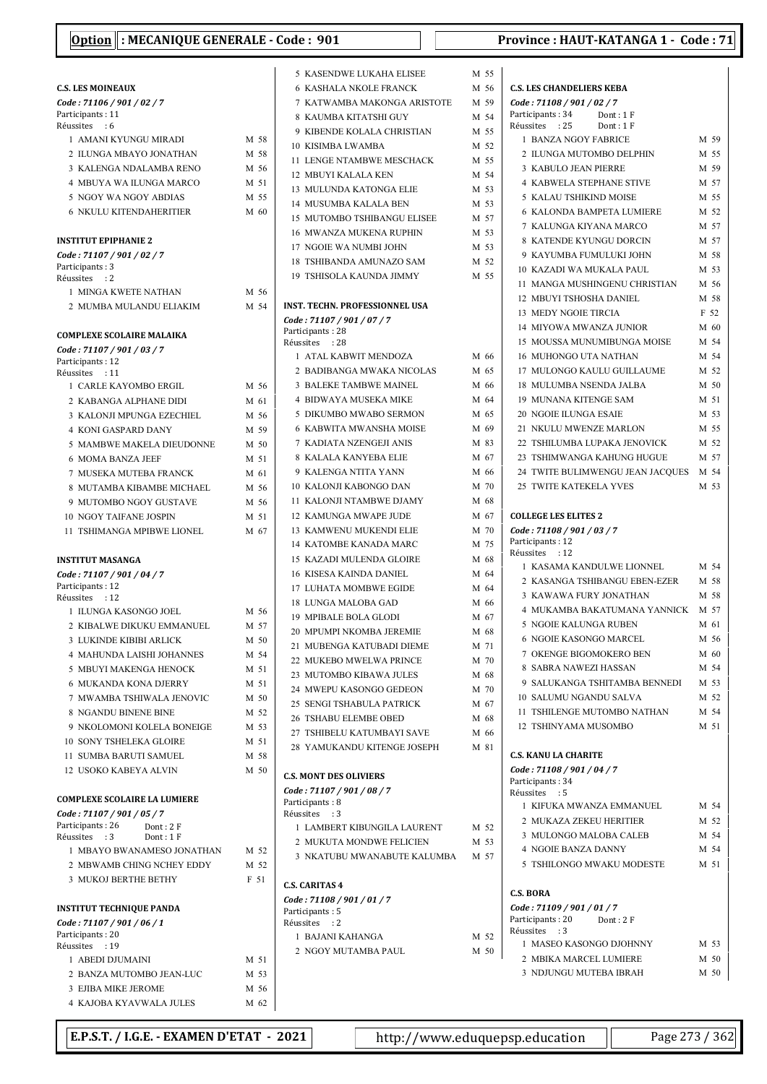|                                                              |              | 5 K                                                                                                                                                                                                                                     |
|--------------------------------------------------------------|--------------|-----------------------------------------------------------------------------------------------------------------------------------------------------------------------------------------------------------------------------------------|
| <b>C.S. LES MOINEAUX</b>                                     |              | 6 K                                                                                                                                                                                                                                     |
| Code: 71106 / 901 / 02 / 7                                   |              | 7 K                                                                                                                                                                                                                                     |
| Participants: 11<br>Réussites<br>$\cdot$ : 6                 |              | 8 K                                                                                                                                                                                                                                     |
| 1 AMANI KYUNGU MIRADI                                        | M 58         | 9 K                                                                                                                                                                                                                                     |
| 2 ILUNGA MBAYO JONATHAN                                      | M 58         | 10K<br>11 L                                                                                                                                                                                                                             |
| 3 KALENGA NDALAMBA RENO                                      | M 56         | 12 <sub>1</sub>                                                                                                                                                                                                                         |
| 4 MBUYA WA ILUNGA MARCO                                      | M 51         | 13 N                                                                                                                                                                                                                                    |
| 5 NGOY WA NGOY ABDIAS                                        | M 55         | 14 N                                                                                                                                                                                                                                    |
| <b>6 NKULU KITENDAHERITIER</b>                               | M 60         | 15 N                                                                                                                                                                                                                                    |
| <b>INSTITUT EPIPHANIE 2</b>                                  |              | 16 N                                                                                                                                                                                                                                    |
| Code: 71107 / 901 / 02 / 7                                   |              | 17 <sub>1</sub>                                                                                                                                                                                                                         |
| Participants: 3                                              |              | 18 T                                                                                                                                                                                                                                    |
| Réussites : 2                                                |              | 19 T                                                                                                                                                                                                                                    |
| 1 MINGA KWETE NATHAN                                         | M 56<br>M 54 | INST.                                                                                                                                                                                                                                   |
| 2 MUMBA MULANDU ELIAKIM                                      |              | Code :                                                                                                                                                                                                                                  |
| <b>COMPLEXE SCOLAIRE MALAIKA</b>                             |              | Partici                                                                                                                                                                                                                                 |
| Code: 71107 / 901 / 03 / 7                                   |              | Réussi                                                                                                                                                                                                                                  |
| Participants: 12                                             |              | $1 \neq$                                                                                                                                                                                                                                |
| Réussites<br>$\cdot$ 11<br>1 CARLE KAYOMBO ERGIL             | M 56         | 2 E<br>3 F                                                                                                                                                                                                                              |
| 2 KABANGA ALPHANE DIDI                                       | M 61         | 4 F                                                                                                                                                                                                                                     |
| 3 KALONJI MPUNGA EZECHIEL                                    | M 56         | 5 I                                                                                                                                                                                                                                     |
| <b>4 KONI GASPARD DANY</b>                                   | M 59         | 6 K                                                                                                                                                                                                                                     |
| 5 MAMBWE MAKELA DIEUDONNE                                    | M 50         | 7 K                                                                                                                                                                                                                                     |
| 6 MOMA BANZA JEEF                                            | M 51         | 8 K                                                                                                                                                                                                                                     |
| 7 MUSEKA MUTEBA FRANCK                                       | M 61         | 9 K                                                                                                                                                                                                                                     |
| 8 MUTAMBA KIBAMBE MICHAEL                                    | M 56         | 10K                                                                                                                                                                                                                                     |
| 9 MUTOMBO NGOY GUSTAVE                                       | M 56         | 11K                                                                                                                                                                                                                                     |
| <b>10 NGOY TAIFANE JOSPIN</b>                                | M 51         | 12K                                                                                                                                                                                                                                     |
| <b>11 TSHIMANGA MPIBWE LIONEL</b>                            | M 67         | 13 K                                                                                                                                                                                                                                    |
|                                                              |              | 14 K<br>15K                                                                                                                                                                                                                             |
| <b>INSTITUT MASANGA</b><br>Code: 71107 / 901 / 04 / 7        |              | 16 K                                                                                                                                                                                                                                    |
|                                                              |              |                                                                                                                                                                                                                                         |
| Participants: 12                                             |              |                                                                                                                                                                                                                                         |
| Réussites : 12                                               |              |                                                                                                                                                                                                                                         |
| 1 ILUNGA KASONGO JOEL                                        | M 56         |                                                                                                                                                                                                                                         |
| 2 KIBALWE DIKUKU EMMANUEL                                    | M 57         |                                                                                                                                                                                                                                         |
| 3 LUKINDE KIBIBI ARLICK                                      | M 50         |                                                                                                                                                                                                                                         |
| 4 MAHUNDA LAISHI JOHANNES                                    | M 54         |                                                                                                                                                                                                                                         |
| 5 MBUYI MAKENGA HENOCK                                       | M 51         |                                                                                                                                                                                                                                         |
| <b>6 MUKANDA KONA DJERRY</b><br>7 MWAMBA TSHIWALA JENOVIC    | M 51<br>M 50 |                                                                                                                                                                                                                                         |
| 8 NGANDU BINENE BINE                                         | M 52         |                                                                                                                                                                                                                                         |
| 9 NKOLOMONI KOLELA BONEIGE                                   | M 53         |                                                                                                                                                                                                                                         |
| 10 SONY TSHELEKA GLOIRE                                      | M 51         |                                                                                                                                                                                                                                         |
| 11 SUMBA BARUTI SAMUEL                                       | M 58         |                                                                                                                                                                                                                                         |
| 12 USOKO KABEYA ALVIN                                        | M 50         |                                                                                                                                                                                                                                         |
|                                                              |              |                                                                                                                                                                                                                                         |
| <b>COMPLEXE SCOLAIRE LA LUMIERE</b>                          |              |                                                                                                                                                                                                                                         |
| Code: 71107 / 901 / 05 / 7<br>Participants: 26<br>Dont: 2F   |              |                                                                                                                                                                                                                                         |
| Réussites<br>Dont: 1F<br>$\cdot$ : 3                         |              |                                                                                                                                                                                                                                         |
| 1 MBAYO BWANAMESO JONATHAN                                   | M 52         |                                                                                                                                                                                                                                         |
| 2 MBWAMB CHING NCHEY EDDY                                    | M 52         |                                                                                                                                                                                                                                         |
| 3 MUKOJ BERTHE BETHY                                         | F 51         |                                                                                                                                                                                                                                         |
|                                                              |              |                                                                                                                                                                                                                                         |
| <b>INSTITUT TECHNIQUE PANDA</b>                              |              |                                                                                                                                                                                                                                         |
| Code: 71107 / 901 / 06 / 1<br>Participants: 20               |              |                                                                                                                                                                                                                                         |
| Réussites : 19                                               |              |                                                                                                                                                                                                                                         |
| 1 ABEDI DJUMAINI                                             | M 51         |                                                                                                                                                                                                                                         |
| 2 BANZA MUTOMBO JEAN-LUC                                     | M 53         |                                                                                                                                                                                                                                         |
| <b>3 EJIBA MIKE JEROME</b><br><b>4 KAJOBA KYAVWALA JULES</b> | M 56<br>M 62 | 17 L<br>18 L<br>19 N<br>20 <sub>0</sub><br>21 N<br>22 N<br>23 N<br>24 N<br>25 S<br>26 1<br>27 T<br>28 <sub>1</sub><br>C.S. M<br>Code:<br>Partici<br>Réussi<br>1 L<br>2 N<br>3 N<br>C.S. CA<br>Code :<br>Partici<br>Réussi<br>1 F<br>2 N |

| 5 KASENDWE LUKAHA ELISEE                           | M 55         |
|----------------------------------------------------|--------------|
| 6 KASHALA NKOLE FRANCK                             | M 56         |
| 7 KATWAMBA MAKONGA ARISTOTE                        | M 59         |
| 8 KAUMBA KITATSHI GUY                              | M 54         |
| 9 KIBENDE KOLALA CHRISTIAN                         | M 55         |
| 10 KISIMBA LWAMBA                                  | M 52         |
| 11<br>LENGE NTAMBWE MESCHACK                       | M 55         |
| 12 MBUYI KALALA KEN                                | M 54         |
| 13 MULUNDA KATONGA ELIE                            | M 53         |
| 14 MUSUMBA KALALA BEN                              | M 53         |
| 15 MUTOMBO TSHIBANGU ELISEE                        | M 57         |
| <b>16 MWANZA MUKENA RUPHIN</b>                     | M 53         |
| 17 NGOIE WA NUMBI JOHN                             | M 53         |
| 18 TSHIBANDA AMUNAZO SAM                           | M 52         |
| 19 TSHISOLA KAUNDA JIMMY                           | M 55         |
| INST. TECHN. PROFESSIONNEL USA                     |              |
| Code: 71107 / 901 / 07 / 7                         |              |
| Participants: 28                                   |              |
| Réussites : 28                                     |              |
| 1 ATAL KABWIT MENDOZA                              | M 66         |
| 2 BADIBANGA MWAKA NICOLAS                          | M 65         |
| <b>3 BALEKE TAMBWE MAINEL</b>                      | M 66         |
| 4 BIDWAYA MUSEKA MIKE                              | M 64         |
| 5 DIKUMBO MWABO SERMON                             | M 65         |
| 6 KABWITA MWANSHA MOISE                            | M 69         |
| 7 KADIATA NZENGEJI ANIS                            | M 83         |
| 8 KALALA KANYEBA ELIE                              | M 67         |
| 9 KALENGA NTITA YANN                               | M 66         |
| 10 KALONJI KABONGO DAN                             | M 70         |
| 11 KALONJI NTAMBWE DJAMY                           | M 68         |
| 12 KAMUNGA MWAPE JUDE                              | M 67         |
| 13 KAMWENU MUKENDI ELIE                            | M 70         |
| <b>14 KATOMBE KANADA MARC</b>                      | M 75         |
| 15 KAZADI MULENDA GLOIRE                           | M 68         |
| 16 KISESA KAINDA DANIEL                            | M 64         |
| 17 LUHATA MOMBWE EGIDE                             | M 64         |
| 18 LUNGA MALOBA GAD                                | M 66         |
| 19 MPIBALE BOLA GLODI                              | M 67         |
| 20 MPUMPI NKOMBA JEREMIE                           | M 68         |
| 21 MUBENGA KATUBADI DIEME                          | M 71         |
| 22 MUKEBO MWELWA PRINCE                            | M 70         |
| 23 MUTOMBO KIBAWA JULES                            | M 68         |
| 24 MWEPU KASONGO GEDEON                            | M 70         |
| 25 SENGI TSHABULA PATRICK<br>26 TSHABU ELEMBE OBED | M 67<br>M 68 |
| 27 TSHIBELU KATUMBAYI SAVE                         | M 66         |
| 28 YAMUKANDU KITENGE JOSEPH                        | M 81         |
|                                                    |              |
| <b>C.S. MONT DES OLIVIERS</b>                      |              |
| Code: 71107 / 901 / 08 / 7                         |              |
| Participants: 8                                    |              |
| Réussites : 3<br>1 LAMBERT KIBUNGILA LAURENT       | M 52         |
| 2 MUKUTA MONDWE FELICIEN                           | M 53         |
| 3 NKATUBU MWANABUTE KALUMBA                        | M 57         |
|                                                    |              |
| <b>C.S. CARITAS 4</b>                              |              |
| Code: 71108 / 901 / 01 / 7                         |              |
| Participants: 5                                    |              |
| Réussites : 2<br>1 BAJANI KAHANGA                  | M 52         |
| 2 NGOY MUTAMBA PAUL                                | M 50         |
|                                                    |              |
|                                                    |              |
|                                                    |              |

| 6              | <b>C.S. LES CHANDELIERS KEBA</b> |      |
|----------------|----------------------------------|------|
| 9              | Code: 71108 / 901 / 02 / 7       |      |
| 4              | Participants: 34<br>Dont : 1 F   |      |
|                | Réussites : 25<br>Dont: 1F       |      |
| 5              | 1 BANZA NGOY FABRICE             | M 59 |
| 2              | 2 ILUNGA MUTOMBO DELPHIN         | M 55 |
| 5              | <b>3 KABULO JEAN PIERRE</b>      | M 59 |
| 4              | <b>4 KABWELA STEPHANE STIVE</b>  | M 57 |
| 3              | 5 KALAU TSHIKIND MOISE           | M 55 |
| 3              | 6 KALONDA BAMPETA LUMIERE        | M 52 |
| 7              | 7 KALUNGA KIYANA MARCO           | M 57 |
| 3              | 8 KATENDE KYUNGU DORCIN          | M 57 |
| 3              | 9 KAYUMBA FUMULUKI JOHN          | M 58 |
| 2              |                                  |      |
| 5              | 10 KAZADI WA MUKALA PAUL         | M 53 |
|                | 11 MANGA MUSHINGENU CHRISTIAN    | M 56 |
|                | 12 MBUYI TSHOSHA DANIEL          | M 58 |
|                | <b>13 MEDY NGOIE TIRCIA</b>      | F 52 |
|                | 14 MIYOWA MWANZA JUNIOR          | M 60 |
|                | 15 MOUSSA MUNUMIBUNGA MOISE      | M 54 |
| 6              | <b>16 MUHONGO UTA NATHAN</b>     | M 54 |
| 5              | 17 MULONGO KAULU GUILLAUME       | M 52 |
| 6              | 18 MULUMBA NSENDA JALBA          | M 50 |
| 4              | <b>19 MUNANA KITENGE SAM</b>     | M 51 |
| 5              | <b>20 NGOIE ILUNGA ESAIE</b>     | M 53 |
| 9              | 21 NKULU MWENZE MARLON           | M 55 |
| 3              | 22 TSHILUMBA LUPAKA JENOVICK     | M 52 |
| 7              | 23 TSHIMWANGA KAHUNG HUGUE       | M 57 |
| 6              | 24 TWITE BULIMWENGU JEAN JACQUES | M 54 |
| 0              | 25 TWITE KATEKELA YVES           | M 53 |
| 8              |                                  |      |
| 7              | <b>COLLEGE LES ELITES 2</b>      |      |
| 0              | Code: 71108 / 901 / 03 / 7       |      |
| 5              | Participants: 12                 |      |
| 8              | Réussites : 12                   |      |
| 4              | 1 KASAMA KANDULWE LIONNEL        | M 54 |
| 4              | 2 KASANGA TSHIBANGU EBEN-EZER    | M 58 |
|                | 3 KAWAWA FURY JONATHAN           | M 58 |
| 6              | 4 MUKAMBA BAKATUMANA YANNICK     | M 57 |
| 7              | 5 NGOIE KALUNGA RUBEN            | M 61 |
| 8              | 6 NGOIE KASONGO MARCEL           | M 56 |
| l              | 7 OKENGE BIGOMOKERO BEN          | M 60 |
| 0              | 8 SABRA NAWEZI HASSAN            | M 54 |
| 8              | 9 SALUKANGA TSHITAMBA BENNEDI    | M 53 |
| 0              | 10 SALUMU NGANDU SALVA           | M 52 |
| 7              | 11 TSHILENGE MUTOMBO NATHAN      | M 54 |
| 8              | 12 TSHINYAMA MUSOMBO             | M 51 |
| 6              |                                  |      |
| l              | <b>C.S. KANU LA CHARITE</b>      |      |
|                | Code: 71108 / 901 / 04 / 7       |      |
|                | Participants: 34                 |      |
|                | Réussites<br>: 5                 |      |
|                | 1 KIFUKA MWANZA EMMANUEL         | M 54 |
|                | 2 MUKAZA ZEKEU HERITIER          | M 52 |
| $\overline{c}$ | 3 MULONGO MALOBA CALEB           | M 54 |
| 3              | <b>4 NGOIE BANZA DANNY</b>       | M 54 |
| 7              | 5 TSHILONGO MWAKU MODESTE        | M 51 |
|                |                                  |      |
|                | <b>C.S. BORA</b>                 |      |
|                | Code : 71109 / 901 / 01 / 7      |      |
|                | Participants: 20<br>Dont: 2F     |      |
| 2              | Réussites<br>$\cdot$ :3          |      |
| 0              | 1 MASEO KASONGO DJOHNNY          | M 53 |
|                | 2 MBIKA MARCEL LUMIERE           | M 50 |
|                | 3 NDJUNGU MUTEBA IBRAH           | M 50 |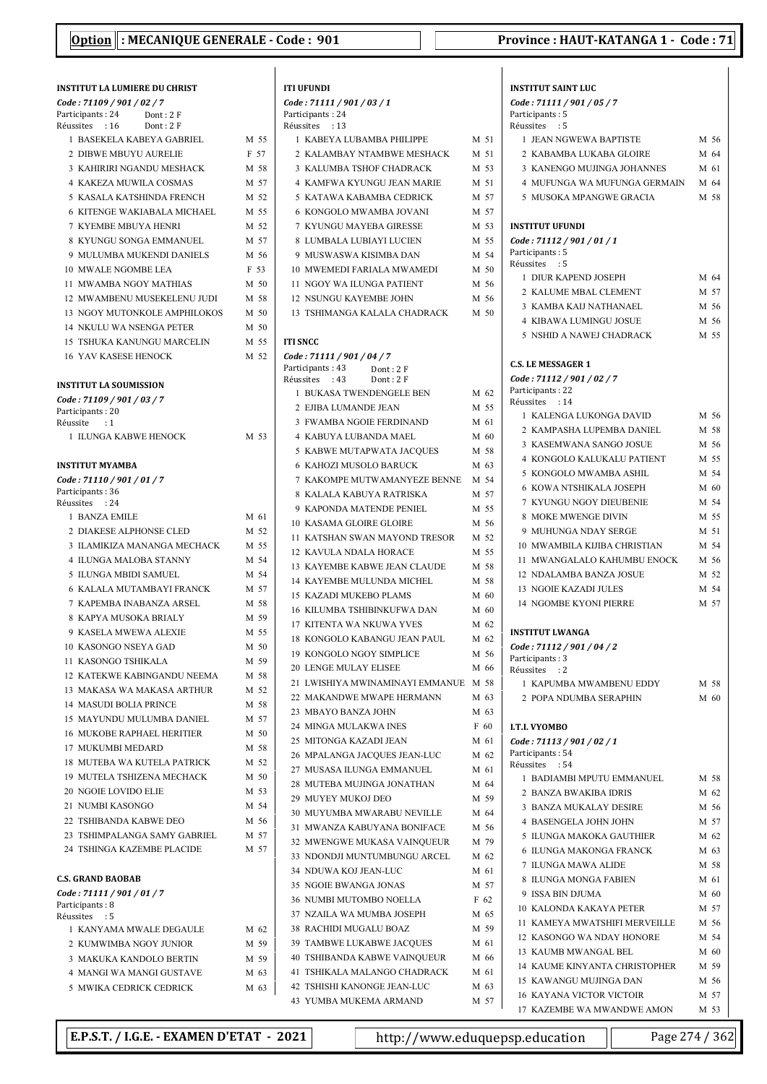| INSTITUT LA LUMIERE DU CHRIST                  |      |
|------------------------------------------------|------|
| Code: 71109 / 901 / 02 / 7<br>Participants: 24 |      |
| Dont: 2F<br>Réussites : 16<br>Dont: 2F         |      |
| 1 BASEKELA KABEYA GABRIEL                      | M 55 |
| 2 DIBWE MBUYU AURELIE                          | F 57 |
| 3 KAHIRIRI NGANDU MESHACK                      | M 58 |
| <b>4 KAKEZA MUWILA COSMAS</b>                  | M 57 |
| 5 KASALA KATSHINDA FRENCH                      | M 52 |
| <b>6 KITENGE WAKIABALA MICHAEL</b>             | M 55 |
| <b>7 KYEMBE MBUYA HENRI</b>                    | M 52 |
| 8 KYUNGU SONGA EMMANUEL                        | M 57 |
| 9 MULUMBA MUKENDI DANIELS                      | M 56 |
|                                                |      |
| <b>10 MWALE NGOMBE LEA</b>                     | F 53 |
| 11 MWAMBA NGOY MATHIAS                         | M 50 |
| 12 MWAMBENU MUSEKELENU JUDI                    | M 58 |
| 13 NGOY MUTONKOLE AMPHILOKOS                   | M 50 |
| <b>14 NKULU WA NSENGA PETER</b>                | M 50 |
| 15 TSHUKA KANUNGU MARCELIN                     | M 55 |
| <b>16 YAV KASESE HENOCK</b>                    | M 52 |
| <b>INSTITUT LA SOUMISSION</b>                  |      |
| Code: 71109 / 901 / 03 / 7                     |      |
| Participants: 20<br>Réussite<br>$\cdot$ :1     |      |
| 1 ILUNGA KABWE HENOCK                          | M 53 |
|                                                |      |
| <b>INSTITUT MYAMBA</b>                         |      |
| Code: 71110 / 901 / 01 / 7                     |      |
| Participants: 36                               |      |
| Réussites : 24                                 |      |
| 1 BANZA EMILE                                  | M 61 |
| 2 DIAKESE ALPHONSE CLED                        | M 52 |
| 3 ILAMIKIZA MANANGA MECHACK                    | M 55 |
| 4 ILUNGA MALOBA STANNY                         | M 54 |
| 5 ILUNGA MBIDI SAMUEL                          | M 54 |
| 6 KALALA MUTAMBAYI FRANCK                      | M 57 |
| 7 KAPEMBA INABANZA ARSEL                       | M 58 |
| 8 KAPYA MUSOKA BRIALY                          | M 59 |
| 9 KASELA MWEWA ALEXIE                          | M 55 |
| 10 KASONGO NSEYA GAD                           | M 50 |
| 11 KASONGO TSHIKALA                            | M 59 |
| 12 KATEKWE KABINGANDU NEEMA                    | M 58 |
| 13 MAKASA WA MAKASA ARTHUR                     | M 52 |
| <b>14 MASUDI BOLIA PRINCE</b>                  | M 58 |
| 15 MAYUNDU MULUMBA DANIEL                      | M 57 |
| <b>16 MUKOBE RAPHAEL HERITIER</b>              | M 50 |
| 17 MUKUMBI MEDARD                              | M 58 |
| 18 MUTEBA WA KUTELA PATRICK                    | M 52 |
| <b>19 MUTELA TSHIZENA MECHACK</b>              | M 50 |
| <b>20 NGOIE LOVIDO ELIE</b>                    | M 53 |
| 21 NUMBI KASONGO                               | M 54 |
| 22 TSHIBANDA KABWE DEO                         | M 56 |
| 23 TSHIMPALANGA SAMY GABRIEL                   | M 57 |
| 24 TSHINGA KAZEMBE PLACIDE                     | M 57 |
|                                                |      |
| <b>C.S. GRAND BAOBAB</b>                       |      |
| Code: 71111 / 901 / 01 / 7                     |      |
| Participants: 8<br>Réussites : 5               |      |
| 1 KANYAMA MWALE DEGAULE                        | M 62 |
| 2 KUMWIMBA NGOY JUNIOR                         | M 59 |
| 3 MAKUKA KANDOLO BERTIN                        | M 59 |
| 4 MANGI WA MANGI GUSTAVE                       | M 63 |
|                                                |      |

| ITI UFUNDI                                                 |      |
|------------------------------------------------------------|------|
| Code : 71111 / 901 / 03 / 1                                |      |
| Participants : 24                                          |      |
| Réussites<br>: 13<br>1 KABEYA LUBAMBA PHILIPPE             | M 51 |
| 2 KALAMBAY NTAMBWE MESHACK                                 | M 51 |
|                                                            |      |
| <b>3 KALUMBA TSHOF CHADRACK</b>                            | M 53 |
| <b>4 KAMFWA KYUNGU JEAN MARIE</b>                          | M 51 |
| 5 KATAWA KABAMBA CEDRICK                                   | M 57 |
| <b>6 KONGOLO MWAMBA JOVANI</b>                             | M 57 |
| <b>7 KYUNGU MAYEBA GIRESSE</b>                             | M 53 |
| 8 LUMBALA LUBIAYI LUCIEN                                   | M 55 |
| 9 MUSWASWA KISIMBA DAN                                     | M 54 |
| 10 MWEMEDI FARIALA MWAMEDI                                 | M 50 |
| 11 NGOY WA ILUNGA PATIENT                                  | M 56 |
| <b>12 NSUNGU KAYEMBE JOHN</b>                              | M 56 |
| 13 TSHIMANGA KALALA CHADRACK                               | M 50 |
|                                                            |      |
| ITI SNCC                                                   |      |
| Code : 71111 / 901 / 04 / 7                                |      |
| Participants: 43<br>Dont: 2F<br>Dont: 2F<br>Réussites : 43 |      |
| 1 BUKASA TWENDENGELE BEN                                   | M 62 |
| 2 EJIBA LUMANDE JEAN                                       | M 55 |
| 3 FWAMBA NGOIE FERDINAND                                   | M 61 |
| 4 KABUYA LUBANDA MAEL                                      | M 60 |
| 5 KABWE MUTAPWATA JACQUES                                  | M 58 |
| 6 KAHOZI MUSOLO BARUCK                                     | M 63 |
| 7 KAKOMPE MUTWAMANYEZE BENNE                               |      |
|                                                            | M 54 |
| 8 KALALA KABUYA RATRISKA                                   | M 57 |
| 9 KAPONDA MATENDE PENIEL                                   | M 55 |
| <b>10 KASAMA GLOIRE GLOIRE</b>                             | M 56 |
| 11 KATSHAN SWAN MAYOND TRESOR                              | M 52 |
| 12 KAVULA NDALA HORACE                                     | M 55 |
| <b>13 KAYEMBE KABWE JEAN CLAUDE</b>                        | M 58 |
| 14 KAYEMBE MULUNDA MICHEL                                  | M 58 |
| <b>15 KAZADI MUKEBO PLAMS</b>                              | M 60 |
| 16 KILUMBA TSHIBINKUFWA DAN                                | M 60 |
| 17 KITENTA WA NKUWA YVES                                   | M 62 |
| 18 KONGOLO KABANGU JEAN PAUL                               | M 62 |
| 19 KONGOLO NGOY SIMPLICE                                   | M 56 |
| 20 LENGE MULAY ELISEE                                      | M 66 |
| 21 LWISHIYA MWINAMINAYI EMMANUE M 58                       |      |
| 22 MAKANDWE MWAPE HERMANN                                  | M 63 |
| 23 MBAYO BANZA JOHN                                        | M 63 |
| 24 MINGA MULAKWA INES                                      | F 60 |
| 25 MITONGA KAZADI JEAN                                     | M 61 |
| 26 MPALANGA JACQUES JEAN-LUC                               | M 62 |
| 27 MUSASA ILUNGA EMMANUEL                                  | M 61 |
| 28 MUTEBA MUJINGA JONATHAN                                 | M 64 |
| 29 MUYEY MUKOJ DEO                                         | M 59 |
| 30 MUYUMBA MWARABU NEVILLE                                 | M 64 |
| 31 MWANZA KABUYANA BONIFACE                                | M 56 |
| 32 MWENGWE MUKASA VAINQUEUR                                | M 79 |
| 33 NDONDJI MUNTUMBUNGU ARCEL                               | M 62 |
| 34 NDUWA KOJ JEAN-LUC                                      | M 61 |
| 35 NGOIE BWANGA JONAS                                      | M 57 |
| 36 NUMBI MUTOMBO NOELLA                                    | F 62 |
| 37 NZAILA WA MUMBA JOSEPH                                  | M 65 |
| 38 RACHIDI MUGALU BOAZ                                     | M 59 |
| 39 TAMBWE LUKABWE JACQUES                                  | M 61 |
| 40 TSHIBANDA KABWE VAINQUEUR                               | M 66 |
| 41 TSHIKALA MALANGO CHADRACK                               | M 61 |
| 42 TSHISHI KANONGE JEAN-LUC                                | M 63 |
| 43 YUMBA MUKEMA ARMAND                                     | M 57 |

| <b>INSTITUT SAINT LUC</b>                          |              |
|----------------------------------------------------|--------------|
| Code: 71111 / 901 / 05 / 7                         |              |
| Participants: 5                                    |              |
| Réussites : 5<br>1 JEAN NGWEWA BAPTISTE            | M 56         |
| 2 KABAMBA LUKABA GLOIRE                            | M 64         |
| 3 KANENGO MUJINGA JOHANNES                         | M 61         |
| 4 MUFUNGA WA MUFUNGA GERMAIN M 64                  |              |
| 5 MUSOKA MPANGWE GRACIA                            | M 58         |
|                                                    |              |
| <b>INSTITUT UFUNDI</b>                             |              |
| Code: 71112 / 901 / 01 / 1                         |              |
| Participants: 5                                    |              |
| Réussites : 5<br>1 DIUR KAPEND JOSEPH              | M 64         |
| 2 KALUME MBAL CLEMENT                              | M 57         |
| 3 KAMBA KAIJ NATHANAEL                             | M 56         |
| <b>4 KIBAWA LUMINGU JOSUE</b>                      | M 56         |
| 5 NSHID A NAWEJ CHADRACK                           | M 55         |
|                                                    |              |
| <b>C.S. LE MESSAGER 1</b>                          |              |
| Code: 71112 / 901 / 02 / 7                         |              |
| Participants: 22<br>Réussites : 14                 |              |
| 1 KALENGA LUKONGA DAVID                            | M 56         |
| 2 KAMPASHA LUPEMBA DANIEL                          | M 58         |
| 3 KASEMWANA SANGO JOSUE                            | M 56         |
| 4 KONGOLO KALUKALU PATIENT                         | M 55         |
| 5 KONGOLO MWAMBA ASHIL                             | M 54         |
| <b>6 KOWA NTSHIKALA JOSEPH</b>                     | M 60         |
| 7 KYUNGU NGOY DIEUBENIE                            | M 54         |
| 8 MOKE MWENGE DIVIN                                | M 55         |
| 9 MUHUNGA NDAY SERGE                               | M 51         |
| 10 MWAMBILA KIJIBA CHRISTIAN                       | M 54         |
| 11 MWANGALALO KAHUMBU ENOCK                        | M 56         |
| 12 NDALAMBA BANZA JOSUE                            | M 52         |
| <b>13 NGOIE KAZADI JULES</b>                       | M 54         |
| <b>14 NGOMBE KYONI PIERRE</b>                      | M 57         |
| <b>INSTITUT LWANGA</b>                             |              |
| Code: 71112 / 901 / 04 / 2                         |              |
| Participants: 3                                    |              |
| Réussites<br>: 2                                   |              |
| 1  KAPUMBA MWAMBENU EDDY                           | M 58         |
| 2 POPA NDUMBA SERAPHIN                             | M 60         |
| <b>I.T.I. VYOMBO</b>                               |              |
| Code: 71113 / 901 / 02 / 1                         |              |
| Participants: 54                                   |              |
| Réussites : 54                                     |              |
| 1 BADIAMBI MPUTU EMMANUEL<br>2 BANZA BWAKIBA IDRIS | M 58<br>M 62 |
| <b>3 BANZA MUKALAY DESIRE</b>                      | M 56         |
| <b>4 BASENGELA JOHN JOHN</b>                       | M 57         |
| 5 ILUNGA MAKOKA GAUTHIER                           | M 62         |
| <b>6 ILUNGA MAKONGA FRANCK</b>                     | M 63         |
| 7 ILUNGA MAWA ALIDE                                | M 58         |
| 8 ILUNGA MONGA FABIEN                              | M 61         |
| 9 ISSA BIN DJUMA                                   | M 60         |
| <b>10 KALONDA KAKAYA PETER</b>                     | M 57         |
| 11 KAMEYA MWATSHIFI MERVEILLE                      | M 56         |
| 12 KASONGO WA NDAY HONORE                          | M 54         |
| 13 KAUMB MWANGAL BEL                               | M 60         |
| 14 KAUME KINYANTA CHRISTOPHER                      | M 59         |
| 15 KAWANGU MUJINGA DAN                             | M 56         |

5 MWIKA CEDRICK CEDRICK M 63

16 KAYANA VICTOR VICTOIR M 57 17 KAZEMBE WA MWANDWE AMON M 53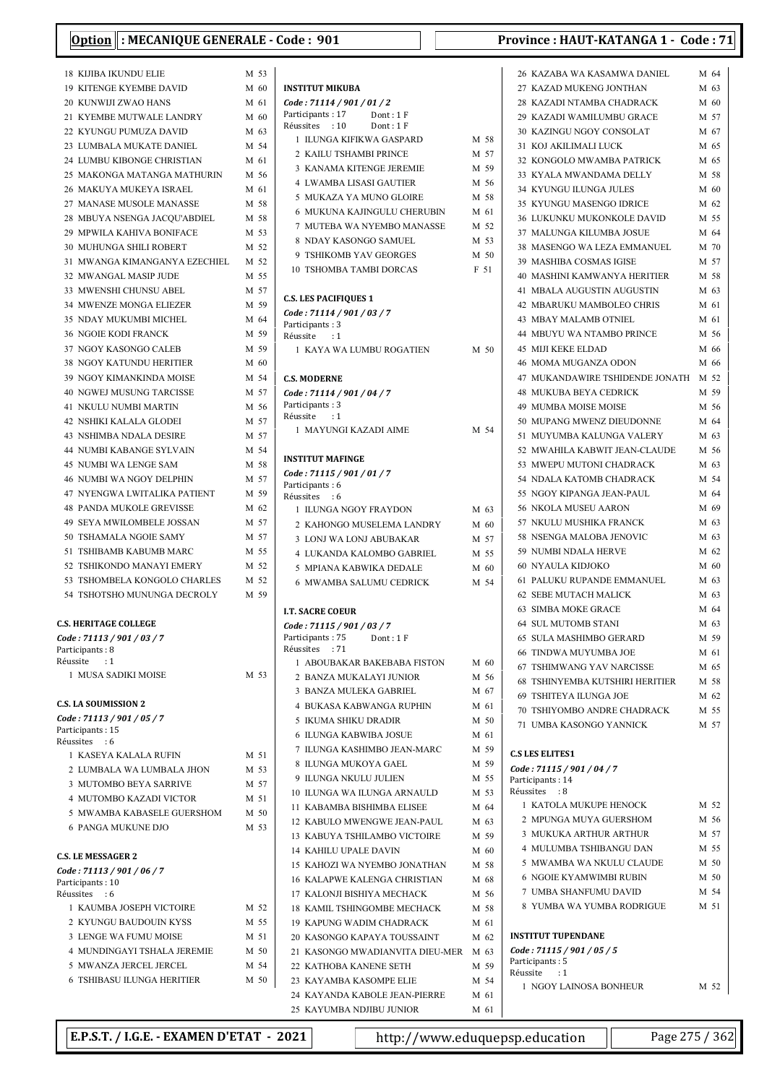| ונ־                                                            |      |
|----------------------------------------------------------------|------|
| <b>18 KIJIBA IKUNDU ELIE</b>                                   | M 53 |
| <b>19 KITENGE KYEMBE DAVID</b>                                 | M 60 |
| 20 KUNWIJI ZWAO HANS                                           | M 61 |
| 21 KYEMBE MUTWALE LANDRY                                       | M 60 |
| 22 KYUNGU PUMUZA DAVID                                         | M 63 |
| 23 LUMBALA MUKATE DANIEL                                       | M 54 |
| 24 LUMBU KIBONGE CHRISTIAN                                     | M 61 |
| 25 MAKONGA MATANGA MATHURIN                                    | M 56 |
| 26 MAKUYA MUKEYA ISRAEL                                        | M 61 |
| 27 MANASE MUSOLE MANASSE                                       | M 58 |
| 28 MBUYA NSENGA JACQU'ABDIEL                                   | M 58 |
| 29 MPWILA KAHIVA BONIFACE                                      | M 53 |
| 30 MUHUNGA SHILI ROBERT                                        | M 52 |
| 31 MWANGA KIMANGANYA EZECHIEL                                  | M 52 |
| 32 MWANGAL MASIP JUDE                                          | M 55 |
| 33 MWENSHI CHUNSU ABEL                                         | M 57 |
| 34 MWENZE MONGA ELIEZER                                        | M 59 |
| 35 NDAY MUKUMBI MICHEL                                         | M 64 |
| <b>36 NGOIE KODI FRANCK</b>                                    | M 59 |
| 37 NGOY KASONGO CALEB                                          | M 59 |
| <b>38 NGOY KATUNDU HERITIER</b>                                | M 60 |
| 39 NGOY KIMANKINDA MOISE                                       | M 54 |
| <b>40 NGWEJ MUSUNG TARCISSE</b>                                | M 57 |
| <b>41 NKULU NUMBI MARTIN</b>                                   | M 56 |
| 42 NSHIKI KALALA GLODEI                                        | M 57 |
| 43 NSHIMBA NDALA DESIRE                                        | M 57 |
| 44 NUMBI KABANGE SYLVAIN                                       | M 54 |
| 45 NUMBI WA LENGE SAM                                          | M 58 |
| 46 NUMBI WA NGOY DELPHIN                                       | M 57 |
| 47 NYENGWA LWITALIKA PATIENT                                   | M 59 |
| 48 PANDA MUKOLE GREVISSE                                       | M 62 |
| 49 SEYA MWILOMBELE JOSSAN                                      | M 57 |
| 50 TSHAMALA NGOIE SAMY                                         | M 57 |
| 51 TSHIBAMB KABUMB MARC                                        | M 55 |
| 52 TSHIKONDO MANAYI EMERY<br>53 TSHOMBELA KONGOLO CHARLES M 52 | M 52 |
| 54 TSHOTSHO MUNUNGA DECROLY M 59                               |      |
|                                                                |      |
| <b>C.S. HERITAGE COLLEGE</b>                                   |      |
| Code: 71113 / 901 / 03 / 7                                     |      |
| Participants: 8                                                |      |
| Réussite : 1                                                   |      |
| 1 MUSA SADIKI MOISE                                            | M 53 |
|                                                                |      |
| <b>C.S. LA SOUMISSION 2</b>                                    |      |
| Code: 71113 / 901 / 05 / 7<br>Participants: 15                 |      |
| Réussites<br>$\cdot$ 6                                         |      |
| 1 KASEYA KALALA RUFIN                                          | M 51 |
| 2 LUMBALA WA LUMBALA JHON                                      | M 53 |
| 3 MUTOMBO BEYA SARRIVE                                         | M 57 |
| 4 MUTOMBO KAZADI VICTOR                                        | M 51 |
| 5 MWAMBA KABASELE GUERSHOM                                     | M 50 |
| <b>6 PANGA MUKUNE DJO</b>                                      | M 53 |
|                                                                |      |
| <b>C.S. LE MESSAGER 2</b>                                      |      |
| Code: 71113 / 901 / 06 / 7<br>Participants: 10                 |      |
| Réussites : 6                                                  |      |
| 1 KAUMBA JOSEPH VICTOIRE                                       | M 52 |
| 2 KYUNGU BAUDOUIN KYSS                                         | M 55 |
| 3 LENGE WA FUMU MOISE                                          | M 51 |
| <b>4 MUNDINGAYI TSHALA JEREMIE</b>                             | M 50 |
| 5 MWANZA JERCEL JERCEL                                         | M 54 |
| <b>6 TSHIBASU ILUNGA HERITIER</b>                              | M 50 |
|                                                                |      |

| <b>INSTITUT MIKUBA</b>                                      |      |        |
|-------------------------------------------------------------|------|--------|
| Code: 71114 / 901 / 01 / 2                                  |      |        |
| Participants: 17<br>Dont: 1 F<br>Réussites : 10<br>Dont: 1F |      |        |
| 1 ILUNGA KIFIKWA GASPARD                                    |      | M 58   |
| 2 KAILU TSHAMBI PRINCE                                      |      | M 57   |
| 3 KANAMA KITENGE JEREMIE                                    |      | M 59   |
| <b>4 LWAMBA LISASI GAUTIER</b>                              |      | M 56   |
| 5 MUKAZA YA MUNO GLOIRE                                     |      | M 58   |
| 6 MUKUNA KAJINGULU CHERUBIN                                 |      | M 61   |
| 7 MUTEBA WA NYEMBO MANASSE                                  |      | M 52   |
| 8 NDAY KASONGO SAMUEL                                       |      | M 53   |
| <b>9 TSHIKOMB YAV GEORGES</b>                               |      | M 50   |
| <b>10 TSHOMBA TAMBI DORCAS</b>                              |      | F 51   |
|                                                             |      |        |
| <b>C.S. LES PACIFIQUES 1</b>                                |      |        |
| Code: 71114 / 901 / 03 / 7                                  |      |        |
| Participants: 3<br>Réussite                                 |      |        |
| $\cdots$<br>1 KAYA WA LUMBU ROGATIEN                        |      | $M$ 50 |
|                                                             |      |        |
| <b>C.S. MODERNE</b>                                         |      |        |
| Code: 71114 / 901 / 04 / 7                                  |      |        |
| Participants: 3                                             |      |        |
| Réussite : 1                                                |      |        |
| 1 MAYUNGI KAZADI AIME                                       |      | M 54   |
|                                                             |      |        |
| <b>INSTITUT MAFINGE</b>                                     |      |        |
| Code: 71115 / 901 / 01 / 7<br>Participants: 6               |      |        |
| Réussites : 6                                               |      |        |
| 1 ILUNGA NGOY FRAYDON                                       |      | M 63   |
| 2 KAHONGO MUSELEMA LANDRY                                   |      | M 60   |
| 3 LONJ WA LONJ ABUBAKAR                                     |      | M 57   |
| 4 LUKANDA KALOMBO GABRIEL                                   |      | M 55   |
| <b>5 MPIANA KABWIKA DEDALE</b>                              |      | M 60   |
| 6 MWAMBA SALUMU CEDRICK                                     |      | M 54   |
|                                                             |      |        |
| <b>I.T. SACRE COEUR</b>                                     |      |        |
| Code: 71115 / 901 / 03 / 7                                  |      |        |
| Participants: 75<br>Dont: 1F<br>: 71<br>Réussites           |      |        |
| 1 ABOUBAKAR BAKEBABA FISTON                                 |      | M 60   |
| 2 BANZA MUKALAYI JUNIOR                                     |      | M 56   |
| 3<br><b>BANZA MULEKA GABRIEL</b>                            |      | M 67   |
| 4 BUKASA KABWANGA RUPHIN                                    |      | M 61   |
| 5<br><b>IKUMA SHIKU DRADIR</b>                              |      | M 50   |
| ILUNGA KABWIBA JOSUE<br>6                                   |      | M 61   |
| 7 ILUNGA KASHIMBO JEAN-MARC                                 |      | M 59   |
| 8 ILUNGA MUKOYA GAEL                                        |      | M 59   |
| 9 ILUNGA NKULU JULIEN                                       |      | M 55   |
| 10 ILUNGA WA ILUNGA ARNAULD                                 |      | M 53   |
| 11 KABAMBA BISHIMBA ELISEE                                  |      | M 64   |
| 12 KABULO MWENGWE JEAN-PAUL                                 | M 63 |        |
| 13 KABUYA TSHILAMBO VICTOIRE                                |      | M 59   |
| 14 KAHILU UPALE DAVIN                                       |      | M 60   |
| 15 KAHOZI WA NYEMBO JONATHAN                                |      | M 58   |
| 16 KALAPWE KALENGA CHRISTIAN                                |      | M 68   |
| 17 KALONJI BISHIYA MECHACK                                  |      | M 56   |
| 18 KAMIL TSHINGOMBE MECHACK                                 |      | M 58   |
| <b>19 KAPUNG WADIM CHADRACK</b>                             |      | M 61   |
| 20 KASONGO KAPAYA TOUSSAINT                                 |      | M 62   |
| 21 KASONGO MWADIANVITA DIEU-MER                             | M 63 |        |
| 22 KATHOBA KANENE SETH                                      |      | M 59   |
| 23 KAYAMBA KASOMPE ELIE                                     |      | M 54   |
| 24 KAYANDA KABOLE JEAN-PIERRE                               |      | M 61   |
| 25 KAYUMBA NDJIBU JUNIOR                                    |      | M 61   |

| 26 KAZABA WA KASAMWA DANIEL          | M 64 |
|--------------------------------------|------|
| 27 KAZAD MUKENG JONTHAN              | M 63 |
| 28 KAZADI NTAMBA CHADRACK M 60       |      |
| 29 KAZADI WAMILUMBU GRACE            | M 57 |
| 30 KAZINGU NGOY CONSOLAT             | M 67 |
| 31 KOJ AKILIMALI LUCK                | M 65 |
| 32 KONGOLO MWAMBA PATRICK            | M 65 |
|                                      |      |
| 33 KYALA MWANDAMA DELLY              | M 58 |
| <b>34 KYUNGU ILUNGA JULES</b>        | M 60 |
| 35 KYUNGU MASENGO IDRICE             | M 62 |
| 36 LUKUNKU MUKONKOLE DAVID           | M 55 |
| 37 MALUNGA KILUMBA JOSUE             | M 64 |
| 38 MASENGO WA LEZA EMMANUEL          | M 70 |
| 39 MASHIBA COSMAS IGISE              | M 57 |
| 40 MASHINI KAMWANYA HERITIER         | M 58 |
| 41 MBALA AUGUSTIN AUGUSTIN           | M 63 |
| 42 MBARUKU MAMBOLEO CHRIS            | M 61 |
| 43 MBAY MALAMB OTNIEL                | M 61 |
| 44 MBUYU WA NTAMBO PRINCE            | M 56 |
|                                      |      |
| <b>45 MIJI KEKE ELDAD</b>            | M 66 |
| 46 MOMA MUGANZA ODON                 | M 66 |
| 47 MUKANDAWIRE TSHIDENDE JONATH M 52 |      |
| 48 MUKUBA BEYA CEDRICK               | M 59 |
| 49 MUMBA MOISE MOISE                 | M 56 |
| 50 MUPANG MWENZ DIEUDONNE            | M 64 |
| 51 MUYUMBA KALUNGA VALERY            | M 63 |
| 52 MWAHILA KABWIT JEAN-CLAUDE M 56   |      |
| 53 MWEPU MUTONI CHADRACK             | M 63 |
| 54 NDALA KATOMB CHADRACK             | M 54 |
| 55 NGOY KIPANGA JEAN-PAUL            | M 64 |
| 56 NKOLA MUSEU AARON                 | M 69 |
| 57 NKULU MUSHIKA FRANCK              | M 63 |
| 58 NSENGA MALOBA JENOVIC             | M 63 |
|                                      | M 62 |
| 59 NUMBI NDALA HERVE                 |      |
| 60 NYAULA KIDJOKO                    | M 60 |
| 61 PALUKU RUPANDE EMMANUEL           | M 63 |
| 62 SEBE MUTACH MALICK                | M 63 |
| 63 SIMBA MOKE GRACE                  | M 64 |
| 64 SUL MUTOMB STANI                  | M 63 |
| 65 SULA MASHIMBO GERARD              | M 59 |
| 66 TINDWA MUYUMBA JOE                | M 61 |
| 67 TSHIMWANG YAV NARCISSE            | M 65 |
| 68 TSHINYEMBA KUTSHIRI HERITIER      | M 58 |
| 69 TSHITEYA ILUNGA JOE               | M 62 |
| 70 TSHIYOMBO ANDRE CHADRACK          | M 55 |
| 71 UMBA KASONGO YANNICK              | M 57 |
|                                      |      |
| <b>C.S LES ELITES1</b>               |      |
| Code: 71115 / 901 / 04 / 7           |      |
| Participants: 14                     |      |
| Réussites : 8                        |      |
| 1 KATOLA MUKUPE HENOCK               | M 52 |
| 2 MPUNGA MUYA GUERSHOM               | M 56 |
| 3 MUKUKA ARTHUR ARTHUR               | M 57 |
| 4 MULUMBA TSHIBANGU DAN              | M 55 |
| 5 MWAMBA WA NKULU CLAUDE             | M 50 |
| <b>6 NGOIE KYAMWIMBI RUBIN</b>       | M 50 |
| 7 UMBA SHANFUMU DAVID                | M 54 |
| 8 YUMBA WA YUMBA RODRIGUE            | M 51 |
|                                      |      |
| <b>INSTITUT TUPENDANE</b>            |      |
| Code: 71115 / 901 / 05 / 5           |      |
|                                      |      |
|                                      |      |
| Participants: 5<br>Réussite : 1      |      |
| 1 NGOY LAINOSA BONHEUR               | M 52 |

E.P.S.T. / I.G.E. - EXAMEN D'ETAT - 2021 http://www.eduquepsp.education Page 275 / 362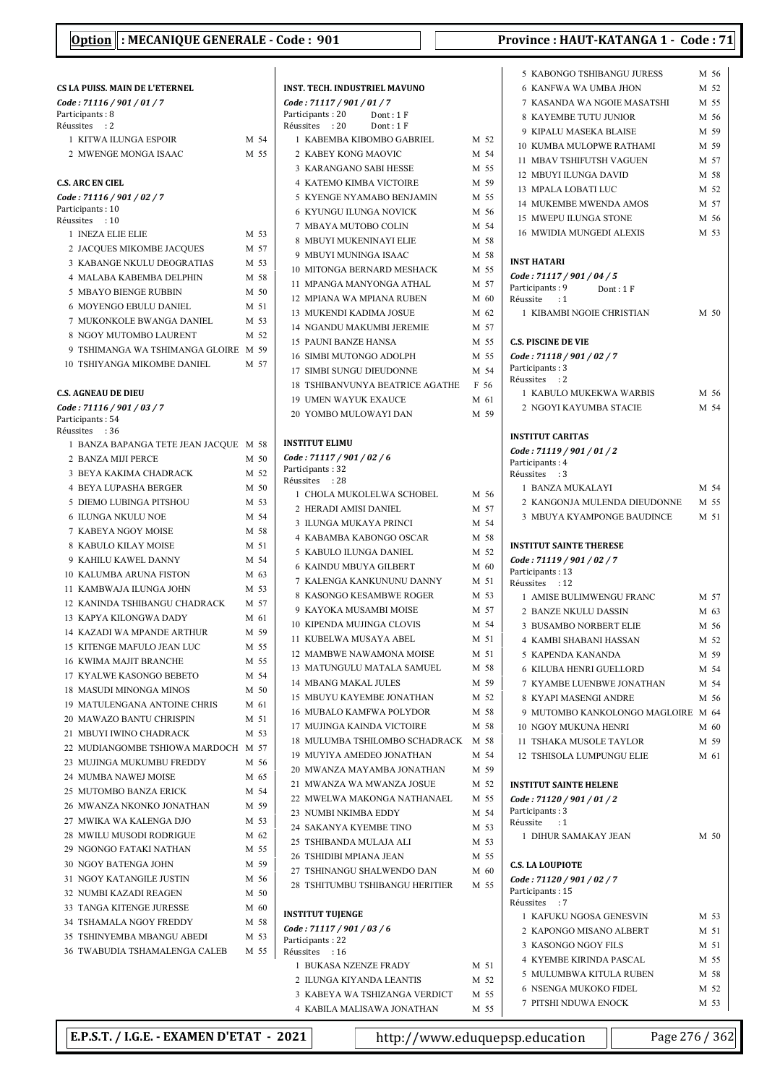$\overline{\phantom{a}}$ 

| <b>CS LA PUISS. MAIN DE L'ETERNEL</b>                   |              | П       |
|---------------------------------------------------------|--------------|---------|
| Code: 71116 / 901 / 01 / 7                              |              | C       |
| Participants: 8<br>Réussites : 2                        |              | P.<br>R |
| 1 KITWA ILUNGA ESPOIR                                   | M 54         |         |
| 2 MWENGE MONGA ISAAC                                    | M 55         |         |
|                                                         |              |         |
| <b>C.S. ARC EN CIEL</b>                                 |              |         |
| Code: 71116 / 901 / 02 / 7                              |              |         |
| Participants: 10                                        |              |         |
| Réussites : 10<br>1 INEZA ELIE ELIE                     | M 53         |         |
| 2 JACQUES MIKOMBE JACQUES                               | M 57         |         |
| 3 KABANGE NKULU DEOGRATIAS                              | M 53         |         |
| 4 MALABA KABEMBA DELPHIN                                | M 58         |         |
| <b>5 MBAYO BIENGE RUBBIN</b>                            | M 50         |         |
| 6 MOYENGO EBULU DANIEL                                  | M 51         |         |
| 7 MUKONKOLE BWANGA DANIEL                               | M 53         |         |
| 8 NGOY MUTOMBO LAURENT                                  | M 52         |         |
| 9 TSHIMANGA WA TSHIMANGA GLOIRE M 59                    |              |         |
| <b>10 TSHIYANGA MIKOMBE DANIEL</b>                      | M 57         |         |
|                                                         |              |         |
| <b>C.S. AGNEAU DE DIEU</b>                              |              |         |
| Code: 71116 / 901 / 03 / 7                              |              |         |
| Participants: 54<br>Réussites : 36                      |              |         |
| 1 BANZA BAPANGA TETE JEAN JACQUE                        | M 58         | П       |
| 2 BANZA MIJI PERCE                                      | M 50         | C       |
| 3 BEYA KAKIMA CHADRACK                                  | M 52         | P.      |
| <b>4 BEYA LUPASHA BERGER</b>                            | M 50         | R       |
| 5 DIEMO LUBINGA PITSHOU                                 | M 53         |         |
| <b>6 ILUNGA NKULU NOE</b>                               | M 54         |         |
| 7 KABEYA NGOY MOISE                                     | M 58         |         |
| 8 KABULO KILAY MOISE                                    | M 51         |         |
| 9 KAHILU KAWEL DANNY                                    | M 54         |         |
| <b>10 KALUMBA ARUNA FISTON</b>                          | M 63         |         |
| 11 KAMBWAJA ILUNGA JOHN                                 | M 53         |         |
| 12 KANINDA TSHIBANGU CHADRACK<br>13 KAPYA KILONGWA DADY | M 57<br>M 61 |         |
| 14 KAZADI WA MPANDE ARTHUR                              | M 59         |         |
| 15 KITENGE MAFULO JEAN LUC                              | M 55         |         |
| 16 KWIMA MAJIT BRANCHE                                  | M 55         |         |
| 17 KYALWE KASONGO BEBETO                                | M 54         |         |
| <b>18 MASUDI MINONGA MINOS</b>                          | M 50         |         |
| 19 MATULENGANA ANTOINE CHRIS                            | M 61         |         |
| 20 MAWAZO BANTU CHRISPIN                                | M 51         |         |
| 21 MBUYI IWINO CHADRACK                                 | M 53         |         |
| 22 MUDIANGOMBE TSHIOWA MARDOCH M 57                     |              |         |
| 23 MUJINGA MUKUMBU FREDDY                               | M 56         |         |
| 24 MUMBA NAWEJ MOISE                                    | M 65         |         |
| 25 MUTOMBO BANZA ERICK                                  | M 54         |         |
| 26 MWANZA NKONKO JONATHAN                               | M 59         |         |
| 27 MWIKA WA KALENGA DJO                                 | M 53         |         |
| 28 MWILU MUSODI RODRIGUE                                | M 62         |         |
| 29 NGONGO FATAKI NATHAN<br>30 NGOY BATENGA JOHN         | M 55<br>M 59 |         |
| 31 NGOY KATANGILE JUSTIN                                | M 56         |         |
| 32 NUMBI KAZADI REAGEN                                  | M 50         |         |
| 33 TANGA KITENGE JURESSE                                | M 60         |         |
| 34 TSHAMALA NGOY FREDDY                                 | M 58         | П       |
| 35 TSHINYEMBA MBANGU ABEDI                              | M 53         | с<br>P. |
| 36 TWABUDIA TSHAMALENGA CALEB M 55                      |              | R       |
|                                                         |              |         |
|                                                         |              |         |

| <b>INST. TECH. INDUSTRIEL MAVUNO</b>   |      |  |
|----------------------------------------|------|--|
| Code: 71117 / 901 / 01 / 7             |      |  |
| Participants: 20<br>Dont: 1 F          |      |  |
| Réussites<br>: 20<br>Dont: 1F          |      |  |
| 1 KABEMBA KIBOMBO GABRIEL              | M 52 |  |
| 2 KABEY KONG MAOVIC                    | M 54 |  |
| 3 KARANGANO SABI HESSE                 | M 55 |  |
| <b>4 KATEMO KIMBA VICTOIRE</b>         | M 59 |  |
| KYENGE NYAMABO BENJAMIN<br>5           | M 55 |  |
| 6 KYUNGU ILUNGA NOVICK                 | M 56 |  |
| <b>MBAYA MUTOBO COLIN</b><br>7         | M 54 |  |
| <b>MBUYI MUKENINAYI ELIE</b><br>8      | M 58 |  |
| 9 MBUYI MUNINGA ISAAC                  | M 58 |  |
| 10 MITONGA BERNARD MESHACK             | M 55 |  |
| MPANGA MANYONGA ATHAL<br>11            | M 57 |  |
| 12 MPIANA WA MPIANA RUBEN              | M 60 |  |
| 13 MUKENDI KADIMA JOSUE                | M 62 |  |
| 14 NGANDU MAKUMBI JEREMIE              | M 57 |  |
| <b>15 PAUNI BANZE HANSA</b>            | M 55 |  |
| <b>16 SIMBI MUTONGO ADOLPH</b>         | M 55 |  |
| SIMBI SUNGU DIEUDONNE<br>17            | M 54 |  |
| <b>18 TSHIBANVUNYA BEATRICE AGATHE</b> | F 56 |  |
| <b>19 UMEN WAYUK EXAUCE</b>            | M 61 |  |
| 20 YOMBO MULOWAYI DAN                  | M 59 |  |
|                                        |      |  |
| <b>INSTITUT ELIMU</b>                  |      |  |
| Code: 71117 / 901 / 02 / 6             |      |  |
| Participants: 32                       |      |  |
| Réussites : 28                         |      |  |
| 1 CHOLA MUKOLELWA SCHOBEL              | M 56 |  |
| 2 HERADI AMISI DANIEL                  | M 57 |  |
| 3 ILUNGA MUKAYA PRINCI                 | M 54 |  |
| 4 KABAMBA KABONGO OSCAR                | M 58 |  |
| KABULO ILUNGA DANIEL<br>5              | M 52 |  |
| <b>6 KAINDU MBUYA GILBERT</b>          | M 60 |  |
| KALENGA KANKUNUNU DANNY<br>7           | M 51 |  |
| 8 KASONGO KESAMBWE ROGER               | M 53 |  |
| 9 KAYOKA MUSAMBI MOISE                 | M 57 |  |
| 10 KIPENDA MUJINGA CLOVIS              | M 54 |  |
| 11 KUBELWA MUSAYA ABEL                 | M 51 |  |
| 12 MAMBWE NAWAMONA MOISE               | M 51 |  |
| 13 MATUNGULU MATALA SAMUEL             | M 58 |  |
| <b>14 MBANG MAKAL JULES</b>            | M 59 |  |
| 15 MBUYU KAYEMBE JONATHAN              | M 52 |  |
| 16 MUBALO KAMFWA POLYDOR               |      |  |
|                                        | M 58 |  |
| 17 MUJINGA KAINDA VICTOIRE             | M 58 |  |
| 18 MULUMBA TSHILOMBO SCHADRACK         | M 58 |  |
| 19 MUYIYA AMEDEO JONATHAN              | M 54 |  |
| 20 MWANZA MAYAMBA JONATHAN             | M 59 |  |
| 21 MWANZA WA MWANZA JOSUE              | M 52 |  |
| 22 MWELWA MAKONGA NATHANAEL            | M 55 |  |
| 23 NUMBI NKIMBA EDDY                   | M 54 |  |
| 24 SAKANYA KYEMBE TINO                 | M 53 |  |
| 25 TSHIBANDA MULAJA ALI                | M 53 |  |
| 26 TSHIDIBI MPIANA JEAN                | M 55 |  |
| 27 TSHINANGU SHALWENDO DAN             | M 60 |  |
| 28 TSHITUMBU TSHIBANGU HERITIER        | M 55 |  |
|                                        |      |  |
| <b>INSTITUT TUJENGE</b>                |      |  |
| Code: 71117 / 901 / 03 / 6             |      |  |
| Participants: 22                       |      |  |
| Réussites<br>$\cdot$ 16                |      |  |
| 1 BUKASA NZENZE FRADY                  | M 51 |  |
| 2 ILUNGA KIYANDA LEANTIS               | M 52 |  |
| 3 KABEYA WA TSHIZANGA VERDICT          | M 55 |  |
| 4 KABILA MALISAWA JONATHAN             | M 55 |  |

|                      | 5 KABONGO TSHIBANGU JURESS                                  |      | M 56         |
|----------------------|-------------------------------------------------------------|------|--------------|
|                      | <b>6 KANFWA WA UMBA JHON</b>                                |      | M 52         |
|                      | 7 KASANDA WA NGOIE MASATSHI                                 |      | M 55         |
|                      | 8 KAYEMBE TUTU JUNIOR                                       |      | M 56         |
| M 52                 | 9 KIPALU MASEKA BLAISE                                      |      | M 59         |
| M 54                 | 10 KUMBA MULOPWE RATHAMI                                    |      | M 59         |
| M 55                 | <b>11 MBAV TSHIFUTSH VAGUEN</b>                             |      | M 57         |
| M 59                 | 12 MBUYI ILUNGA DAVID                                       |      | M 58         |
| M 55                 | 13 MPALA LOBATI LUC                                         |      | M 52         |
| M 56                 | 14 MUKEMBE MWENDA AMOS                                      |      | M 57         |
| M 54                 | <b>15 MWEPU ILUNGA STONE</b>                                |      | M 56         |
| M 58                 | <b>16 MWIDIA MUNGEDI ALEXIS</b>                             |      | M 53         |
| M 58                 |                                                             |      |              |
| M 55                 | <b>INST HATARI</b>                                          |      |              |
| M 57                 | Code: 71117 / 901 / 04 / 5<br>Participants: 9<br>Dont : 1 F |      |              |
| M 60                 | Réussite : 1                                                |      |              |
| M 62                 | 1 KIBAMBI NGOIE CHRISTIAN                                   |      | M 50         |
| M 57                 |                                                             |      |              |
| M 55                 | <b>C.S. PISCINE DE VIE</b>                                  |      |              |
| M 55                 | Code: 71118 / 901 / 02 / 7                                  |      |              |
| M 54                 | Participants: 3<br>Réussites : 2                            |      |              |
| F 56                 | 1 KABULO MUKEKWA WARBIS                                     | M 56 |              |
| M 61                 | 2 NGOYI KAYUMBA STACIE                                      |      | M 54         |
| M 59                 |                                                             |      |              |
|                      | <b>INSTITUT CARITAS</b>                                     |      |              |
|                      | Code: 71119 / 901 / 01 / 2                                  |      |              |
|                      | Participants: 4                                             |      |              |
|                      | Réussites : 3<br>1 BANZA MUKALAYI                           |      | M 54         |
| M 56                 | 2 KANGONJA MULENDA DIEUDONNE                                | M 55 |              |
| M 57                 | 3 MBUYA KYAMPONGE BAUDINCE                                  | M 51 |              |
| M 54                 |                                                             |      |              |
| M 58                 | <b>INSTITUT SAINTE THERESE</b>                              |      |              |
| M 52                 | Code: 71119 / 901 / 02 / 7                                  |      |              |
| M 60<br>M 51         | Participants: 13                                            |      |              |
| M 53                 | Réussites<br>: 12                                           |      |              |
|                      | 1 AMISE BULIMWENGU FRANC                                    |      | M 57         |
|                      |                                                             |      |              |
| M 57                 | 2 BANZE NKULU DASSIN                                        |      | M 63         |
| M 54                 | 3 BUSAMBO NORBERT ELIE                                      |      | M 56         |
| M 51                 | 4 KAMBI SHABANI HASSAN                                      |      | M 52         |
| M 51<br>M 58         | 5 KAPENDA KANANDA                                           | M 59 |              |
| M 59                 | <b>6 KILUBA HENRI GUELLORD</b><br>7 KYAMBE LUENBWE JONATHAN |      | M 54<br>M 54 |
| M 52                 | 8 KYAPI MASENGI ANDRE                                       |      | M 56         |
| M 58                 | 9 MUTOMBO KANKOLONGO MAGLOIRE M 64                          |      |              |
| M 58                 | 10 NGOY MUKUNA HENRI                                        |      | M 60         |
| M 58                 | 11 TSHAKA MUSOLE TAYLOR                                     |      | M 59         |
| M 54                 | 12 TSHISOLA LUMPUNGU ELIE                                   | M 61 |              |
| M 59                 |                                                             |      |              |
| M 52                 | <b>INSTITUT SAINTE HELENE</b>                               |      |              |
| M 55                 | Code: 71120 / 901 / 01 / 2                                  |      |              |
| M 54                 | Participants: 3                                             |      |              |
| M 53                 | Réussite<br>: 1<br>1 DIHUR SAMAKAY JEAN                     |      | M 50         |
|                      |                                                             |      |              |
|                      | <b>C.S. LA LOUPIOTE</b>                                     |      |              |
| M 53<br>M 55<br>M 60 | Code: 71120 / 901 / 02 / 7                                  |      |              |
|                      | Participants: 15                                            |      |              |
|                      | Réussites<br>$\cdot$ : 7                                    |      |              |
|                      | 1 KAFUKU NGOSA GENESVIN                                     | M 53 |              |
|                      | 2 KAPONGO MISANO ALBERT                                     | M 51 |              |
|                      | 3 KASONGO NGOY FILS                                         |      | M 51         |
|                      | <b>4 KYEMBE KIRINDA PASCAL</b>                              |      | M 55         |
| M 55<br>M 51<br>M 52 | 5 MULUMBWA KITULA RUBEN                                     |      | M 58         |
| M 55<br>M 55         | <b>6 NSENGA MUKOKO FIDEL</b><br>7 PITSHI NDUWA ENOCK        |      | M 52<br>M 53 |

E.P.S.T. / I.G.E. - EXAMEN D'ETAT - 2021 http://www.eduquepsp.education Page 276 / 362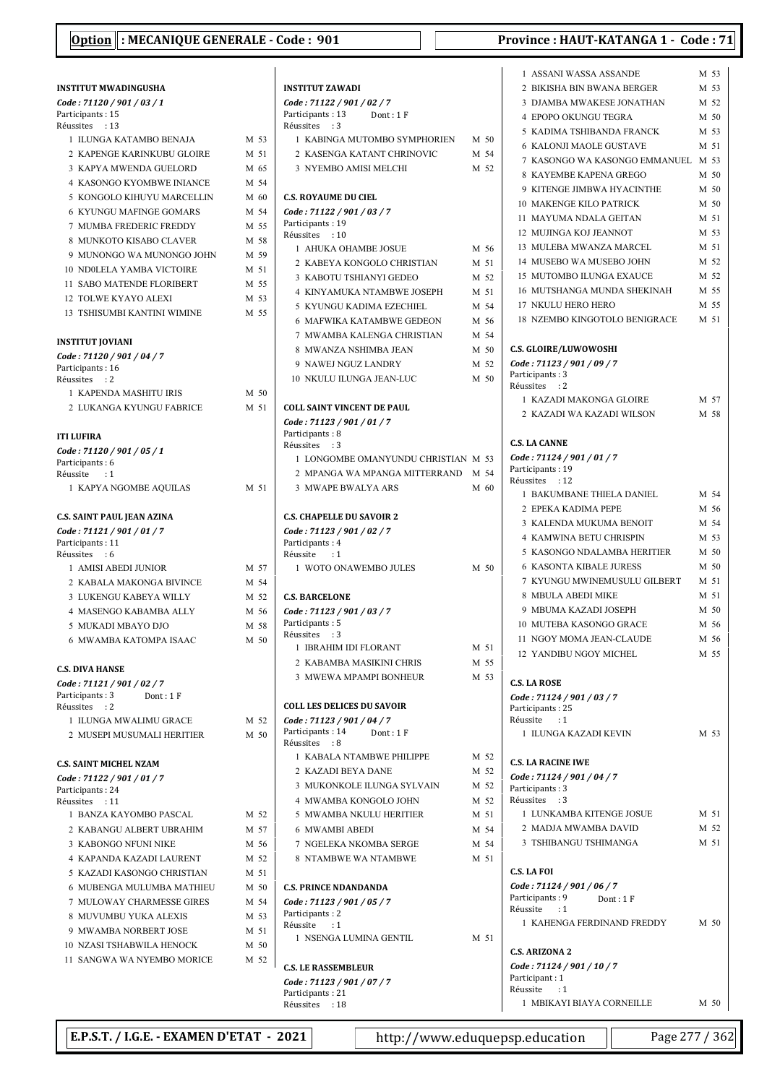## INSTITUT MWADINGUSHA Code : 71120 / 901 / 03 / 1 Participants: 15 Réussites : 13 1 ILUNGA KATAMBO BENAJA M 53 2 KAPENGE KARINKUBU GLOIRE M 51 3 KAPYA MWENDA GUELORD M 65 4 KASONGO KYOMBWE INIANCE M 54 5 KONGOLO KIHUYU MARCELLIN M 60 6 KYUNGU MAFINGE GOMARS M 54 7 MUMBA FREDERIC FREDDY M 55 8 MUNKOTO KISABO CLAVER M 58 9 MUNONGO WA MUNONGO JOHN M 59 10 ND0LELA YAMBA VICTOIRE M 51 11 SABO MATENDE FLORIBERT M 55 12 TOLWE KYAYO ALEXI M 53 13 TSHISUMBI KANTINI WIMINE M 55 INSTITUT JOVIANI Code : 71120 / 901 / 04 / 7 Participants: 16 Réussites : 2 1 KAPENDA MASHITU IRIS M 50 2 LUKANGA KYUNGU FABRICE M 51 ITI LUFIRA Code : 71120 / 901 / 05 / 1 Participants: 6 Réussite : 1 1 KAPYA NGOMBE AQUILAS M 51 C.S. SAINT PAUL JEAN AZINA Code : 71121 / 901 / 01 / 7 Participants: 11 Réussites : 6 1 AMISI ABEDI JUNIOR M 57 2 KABALA MAKONGA BIVINCE M 54 3 LUKENGU KABEYA WILLY M 52 4 MASENGO KABAMBA ALLY M 56 5 MUKADI MBAYO DJO M 58 6 MWAMBA KATOMPA ISAAC M 50 C.S. DIVA HANSE Code : 71121 / 901 / 02 / 7 Participants: 3 Dont: 1 F Réussites : 2 1 ILUNGA MWALIMU GRACE M 52 2 MUSEPI MUSUMALI HERITIER M 50 C.S. SAINT MICHEL NZAM Code : 71122 / 901 / 01 / 7 Participants: 24 Réussites : 11 1 BANZA KAYOMBO PASCAL M 52 2 KABANGU ALBERT UBRAHIM M57 3 KABONGO NFUNI NIKE M 56 4 KAPANDA KAZADI LAURENT M 52 5 KAZADI KASONGO CHRISTIAN M 51 6 MURENGA MULUMBA MATHIEU M 50 7 MULOWAY CHARMESSE GIRES M 54 8 MUVUMBU YUKA ALEXIS M 53 9 MWAMBA NORBERT JOSE M 51 10 NZASI TSHABWILA HENOCK M 50 11 SANGWA WA NYEMBO MORICE M 52

|        | <b>INSTITUT ZAWADI</b>                            |      |      |
|--------|---------------------------------------------------|------|------|
|        | Code: 71122 / 901 / 02 / 7                        |      |      |
|        | Participants: 13<br>Dont : 1 F<br>Réussites<br>:3 |      |      |
| ١      | 1 KABINGA MUTOMBO SYMPHORIEN                      | M 50 |      |
|        | 2 KASENGA KATANT CHRINOVIC                        | M 54 |      |
| 5      | 3 NYEMBO AMISI MELCHI                             |      | M 52 |
| į      |                                                   |      |      |
| )      | <b>C.S. ROYAUME DU CIEL</b>                       |      |      |
| į      | Code: 71122 / 901 / 03 / 7                        |      |      |
| 5      | Participants: 19<br>Réussites : 10                |      |      |
| ζ      | 1 AHUKA OHAMBE JOSUE                              | M 56 |      |
| )      | 2 KABEYA KONGOLO CHRISTIAN                        | M 51 |      |
| l      | 3 KABOTU TSHIANYI GEDEO                           |      | M 52 |
| 5      | <b>4 KINYAMUKA NTAMBWE JOSEPH</b>                 | M 51 |      |
| 3<br>5 | 5 KYUNGU KADIMA EZECHIEL                          |      | M 54 |
|        | <b>6 MAFWIKA KATAMBWE GEDEON</b>                  |      | M 56 |
|        | 7 MWAMBA KALENGA CHRISTIAN                        | M 54 |      |
|        | 8 MWANZA NSHIMBA JEAN                             |      | M 50 |
|        | 9 NAWEJ NGUZ LANDRY                               |      | M 52 |
|        | 10 NKULU ILUNGA JEAN-LUC                          |      | M 50 |
| )      |                                                   |      |      |
|        | <b>COLL SAINT VINCENT DE PAUL</b>                 |      |      |
|        | Code: 71123 / 901 / 01 / 7                        |      |      |
|        | Participants: 8<br>Réussites : 3                  |      |      |
|        | 1 LONGOMBE OMANYUNDU CHRISTIAN M 53               |      |      |
|        | 2 MPANGA WA MPANGA MITTERRAND M 54                |      |      |
|        | 3 MWAPE BWALYA ARS                                | M 60 |      |
|        |                                                   |      |      |
|        | <b>C.S. CHAPELLE DU SAVOIR 2</b>                  |      |      |
|        | Code: 71123 / 901 / 02 / 7                        |      |      |
|        | Participants: 4<br>Réussite : 1                   |      |      |
|        | 1 WOTO ONAWEMBO JULES                             | M 50 |      |
| į      |                                                   |      |      |
| ì      | <b>C.S. BARCELONE</b>                             |      |      |
| ś      | Code: 71123 / 901 / 03 / 7                        |      |      |
| ζ      | Participants: 5                                   |      |      |
| )      | Réussites : 3<br>1 IBRAHIM IDI FLORANT            |      | M 51 |
|        | 2 KABAMBA MASIKINI CHRIS                          |      | M 55 |
|        | 3 MWEWA MPAMPI BONHEUR                            |      | M 53 |
|        |                                                   |      |      |
|        | <b>COLL LES DELICES DU SAVOIR</b>                 |      |      |
| ì      | Code: 71123 / 901 / 04 / 7                        |      |      |
| )      | Participants: 14<br>Dont: 1 F                     |      |      |
|        | Réussites<br>$\cdot$ 8                            |      |      |
|        | 1 KABALA NTAMBWE PHILIPPE                         |      | M 52 |
|        | 2 KAZADI BEYA DANE                                |      | M 52 |
|        | 3 MUKONKOLE ILUNGA SYLVAIN                        |      | M 52 |
|        | 4 MWAMBA KONGOLO JOHN                             |      | M 52 |
|        | 5 MWAMBA NKULU HERITIER                           |      | M 51 |
| 7      | <b>6 MWAMBI ABEDI</b>                             |      | M 54 |
| 5      | 7 NGELEKA NKOMBA SERGE                            |      | M 54 |
| ì      | 8 NTAMBWE WA NTAMBWE                              |      | M 51 |
|        |                                                   |      |      |
| )      | <b>C.S. PRINCE NDANDANDA</b>                      |      |      |
| į      | Code: 71123 / 901 / 05 / 7<br>Participants: 2     |      |      |
| š      | Réussite<br>$\cdot$ : 1                           |      |      |
|        | 1 NSENGA LUMINA GENTIL                            |      | M 51 |
| )      |                                                   |      |      |
| Ž      | <b>C.S. LE RASSEMBLEUR</b>                        |      |      |
|        | Code: 71123 / 901 / 07 / 7                        |      |      |
|        | Participants: 21                                  |      |      |

|  |  | Province : HAUT-KATANGA 1 - Code : 71 |  |  |  |
|--|--|---------------------------------------|--|--|--|
|--|--|---------------------------------------|--|--|--|

| 1 ASSANI WASSA ASSANDE                                                                         | M 53   |
|------------------------------------------------------------------------------------------------|--------|
| 2 BIKISHA BIN BWANA BERGER                                                                     | M 53   |
| 3 DJAMBA MWAKESE JONATHAN                                                                      | M 52   |
| 4 EPOPO OKUNGU TEGRA                                                                           | M 50   |
| 5  KADIMA TSHIBANDA FRANCK                                                                     | M 53   |
| <b>6 KALONJI MAOLE GUSTAVE</b>                                                                 | M 51   |
| 7 KASONGO WA KASONGO EMMANUEL M 53                                                             |        |
| 8 KAYEMBE KAPENA GREGO                                                                         | M 50   |
| 9 KITENGE JIMBWA HYACINTHE                                                                     | M 50   |
| <b>10 MAKENGE KILO PATRICK</b>                                                                 | $M$ 50 |
| 11 MAYUMA NDALA GEITAN                                                                         | M 51   |
| 12 MUJINGA KOJ JEANNOT                                                                         | M 53   |
| 13 MULEBA MWANZA MARCEL                                                                        | M 51   |
| 14 MUSEBO WA MUSEBO JOHN                                                                       | M 52   |
| 15 MUTOMBO ILUNGA EXAUCE                                                                       | M 52   |
| 16 MUTSHANGA MUNDA SHEKINAH                                                                    | M 55   |
| <b>17 NKULU HERO HERO</b>                                                                      | M 55   |
|                                                                                                |        |
| 18 NZEMBO KINGOTOLO BENIGRACE                                                                  | M 51   |
| <b>C.S. GLOIRE/LUWOWOSHI</b><br>Code: 71123 / 901 / 09 / 7<br>Participants: 3<br>Réussites : 2 |        |
| 1  KAZADI MAKONGA GLOIRE                                                                       | M 57   |
| 2 KAZADI WA KAZADI WILSON                                                                      | M 58   |
|                                                                                                |        |
| <b>C.S. LA CANNE</b>                                                                           |        |
| Code: 71124 / 901 / 01 / 7<br>Participants: 19                                                 |        |
| Réussites : 12                                                                                 |        |
| 1 BAKUMBANE THIELA DANIEL                                                                      | M 54   |
| 2 EPEKA KADIMA PEPE                                                                            | M 56   |
| 3 KALENDA MUKUMA BENOIT                                                                        | M 54   |
| <b>4 KAMWINA BETU CHRISPIN</b>                                                                 | M 53   |
| 5 KASONGO NDALAMBA HERITIER                                                                    | M 50   |
|                                                                                                |        |
| <b>6 KASONTA KIBALE JURESS</b>                                                                 | M 50   |
| 7 KYUNGU MWINEMUSULU GILBERT                                                                   | M 51   |
| 8 MBULA ABEDI MIKE                                                                             | M 51   |
| 9 MBUMA KAZADI JOSEPH                                                                          | M 50   |
| 10 MUTEBA KASONGO GRACE                                                                        | M 56   |
| 11 NGOY MOMA JEAN-CLAUDE                                                                       | M 56   |
| 12 YANDIBU NGOY MICHEL                                                                         | M 55   |
| <b>C.S. LA ROSE</b>                                                                            |        |
| Code: 71124 / 901 / 03 / 7                                                                     |        |
| Participants: 25<br>Réussite<br>:1                                                             |        |
| 1 ILUNGA KAZADI KEVIN                                                                          | M 53   |
|                                                                                                |        |
| <b>C.S. LA RACINE IWE</b>                                                                      |        |
| Code: 71124 / 901 / 04 / 7                                                                     |        |
| Participants: 3                                                                                |        |
| Réussites<br>$\cdot$ :3                                                                        |        |
| 1 LUNKAMBA KITENGE JOSUE                                                                       | M 51   |
| 2 MADJA MWAMBA DAVID                                                                           | M 52   |
| 3 TSHIBANGU TSHIMANGA                                                                          | M 51   |
|                                                                                                |        |
| <b>C.S. LA FOI</b>                                                                             |        |
| Code: 71124 / 901 / 06 / 7                                                                     |        |
| Participants: 9<br>Dont: 1F                                                                    |        |
| Réussite<br>$\div 1$                                                                           |        |
| 1 KAHENGA FERDINAND FREDDY                                                                     | M 50   |
|                                                                                                |        |
| <b>C.S. ARIZONA 2</b>                                                                          |        |
| Code: 71124 / 901 / 10 / 7<br>Participant: 1                                                   |        |
| Réussite<br>:1                                                                                 |        |
| 1 MBIKAYI BIAYA CORNEILLE                                                                      | M 50   |

E.P.S.T. / I.G.E. - EXAMEN D'ETAT - 2021 | http://www.eduquepsp.education | Page 277 / 362

Réussites : 18